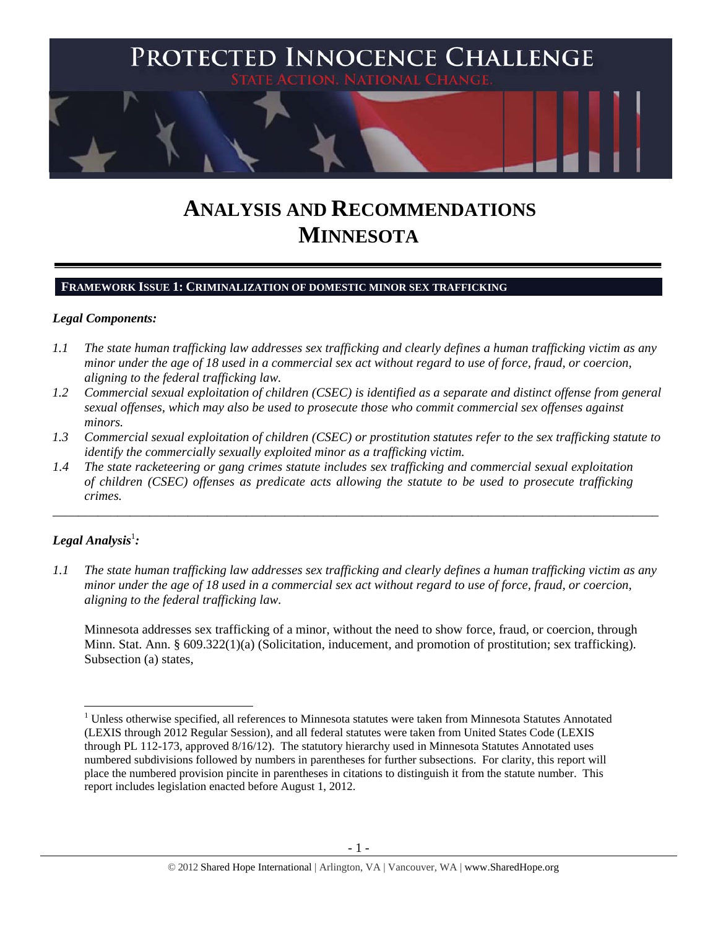

# **ANALYSIS AND RECOMMENDATIONS MINNESOTA**

# **FRAMEWORK ISSUE 1: CRIMINALIZATION OF DOMESTIC MINOR SEX TRAFFICKING**

# *Legal Components:*

- *1.1 The state human trafficking law addresses sex trafficking and clearly defines a human trafficking victim as any minor under the age of 18 used in a commercial sex act without regard to use of force, fraud, or coercion, aligning to the federal trafficking law.*
- *1.2 Commercial sexual exploitation of children (CSEC) is identified as a separate and distinct offense from general sexual offenses, which may also be used to prosecute those who commit commercial sex offenses against minors.*
- *1.3 Commercial sexual exploitation of children (CSEC) or prostitution statutes refer to the sex trafficking statute to identify the commercially sexually exploited minor as a trafficking victim.*

\_\_\_\_\_\_\_\_\_\_\_\_\_\_\_\_\_\_\_\_\_\_\_\_\_\_\_\_\_\_\_\_\_\_\_\_\_\_\_\_\_\_\_\_\_\_\_\_\_\_\_\_\_\_\_\_\_\_\_\_\_\_\_\_\_\_\_\_\_\_\_\_\_\_\_\_\_\_\_\_\_\_\_\_\_\_\_\_\_\_\_\_\_\_

*1.4 The state racketeering or gang crimes statute includes sex trafficking and commercial sexual exploitation of children (CSEC) offenses as predicate acts allowing the statute to be used to prosecute trafficking crimes.* 

# $\bm{L}$ egal Analysis $^{\rm l}$ :

*1.1 The state human trafficking law addresses sex trafficking and clearly defines a human trafficking victim as any minor under the age of 18 used in a commercial sex act without regard to use of force, fraud, or coercion, aligning to the federal trafficking law.*

Minnesota addresses sex trafficking of a minor, without the need to show force, fraud, or coercion, through Minn. Stat. Ann. § 609.322(1)(a) (Solicitation, inducement, and promotion of prostitution; sex trafficking). Subsection (a) states,

 <sup>1</sup> Unless otherwise specified, all references to Minnesota statutes were taken from Minnesota Statutes Annotated (LEXIS through 2012 Regular Session), and all federal statutes were taken from United States Code (LEXIS through PL 112-173, approved 8/16/12). The statutory hierarchy used in Minnesota Statutes Annotated uses numbered subdivisions followed by numbers in parentheses for further subsections. For clarity, this report will place the numbered provision pincite in parentheses in citations to distinguish it from the statute number. This report includes legislation enacted before August 1, 2012.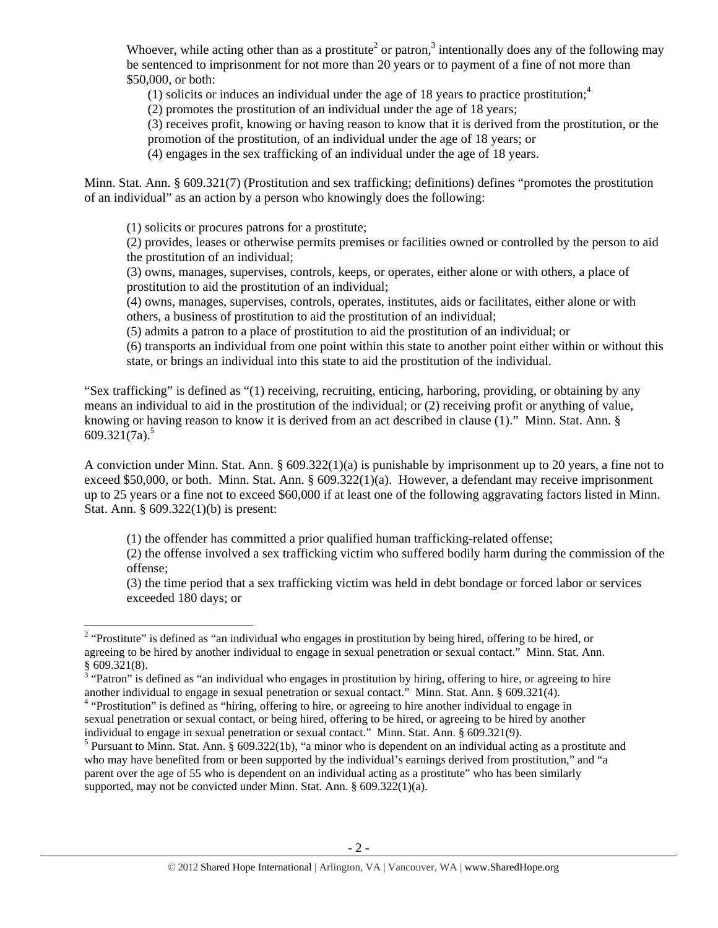Whoever, while acting other than as a prostitute<sup>2</sup> or patron,<sup>3</sup> intentionally does any of the following may be sentenced to imprisonment for not more than 20 years or to payment of a fine of not more than \$50,000, or both:

(1) solicits or induces an individual under the age of 18 years to practice prostitution;<sup>4</sup>

(2) promotes the prostitution of an individual under the age of 18 years;

(3) receives profit, knowing or having reason to know that it is derived from the prostitution, or the promotion of the prostitution, of an individual under the age of 18 years; or

(4) engages in the sex trafficking of an individual under the age of 18 years.

Minn. Stat. Ann. § 609.321(7) (Prostitution and sex trafficking; definitions) defines "promotes the prostitution of an individual" as an action by a person who knowingly does the following:

(1) solicits or procures patrons for a prostitute;

(2) provides, leases or otherwise permits premises or facilities owned or controlled by the person to aid the prostitution of an individual;

(3) owns, manages, supervises, controls, keeps, or operates, either alone or with others, a place of prostitution to aid the prostitution of an individual;

(4) owns, manages, supervises, controls, operates, institutes, aids or facilitates, either alone or with others, a business of prostitution to aid the prostitution of an individual;

(5) admits a patron to a place of prostitution to aid the prostitution of an individual; or

(6) transports an individual from one point within this state to another point either within or without this state, or brings an individual into this state to aid the prostitution of the individual.

"Sex trafficking" is defined as "(1) receiving, recruiting, enticing, harboring, providing, or obtaining by any means an individual to aid in the prostitution of the individual; or (2) receiving profit or anything of value, knowing or having reason to know it is derived from an act described in clause (1)." Minn. Stat. Ann. § 609.321 $(7a)^5$ 

A conviction under Minn. Stat. Ann. § 609.322(1)(a) is punishable by imprisonment up to 20 years, a fine not to exceed \$50,000, or both. Minn. Stat. Ann. § 609.322(1)(a). However, a defendant may receive imprisonment up to 25 years or a fine not to exceed \$60,000 if at least one of the following aggravating factors listed in Minn. Stat. Ann. § 609.322(1)(b) is present:

(1) the offender has committed a prior qualified human trafficking-related offense;

(2) the offense involved a sex trafficking victim who suffered bodily harm during the commission of the offense;

(3) the time period that a sex trafficking victim was held in debt bondage or forced labor or services exceeded 180 days; or

 <sup>2</sup> "Prostitute" is defined as "an individual who engages in prostitution by being hired, offering to be hired, or agreeing to be hired by another individual to engage in sexual penetration or sexual contact." Minn. Stat. Ann.

<sup>§ 609.321(8).&</sup>lt;br><sup>3</sup> "Patron" is defined as "an individual who engages in prostitution by hiring, offering to hire, or agreeing to hire another individual to engage in sexual penetration or sexual contact." Minn. Stat. Ann. § 609.321(4).

<sup>&</sup>lt;sup>4</sup> "Prostitution" is defined as "hiring, offering to hire, or agreeing to hire another individual to engage in sexual penetration or sexual contact, or being hired, offering to be hired, or agreeing to be hired by another individual to engage in sexual penetration or sexual contact." Minn. Stat. Ann. § 609.321(9).

<sup>&</sup>lt;sup>5</sup> Pursuant to Minn. Stat. Ann.  $\S$  609.322(1b), "a minor who is dependent on an individual acting as a prostitute and who may have benefited from or been supported by the individual's earnings derived from prostitution," and "a parent over the age of 55 who is dependent on an individual acting as a prostitute" who has been similarly supported, may not be convicted under Minn. Stat. Ann. § 609.322(1)(a).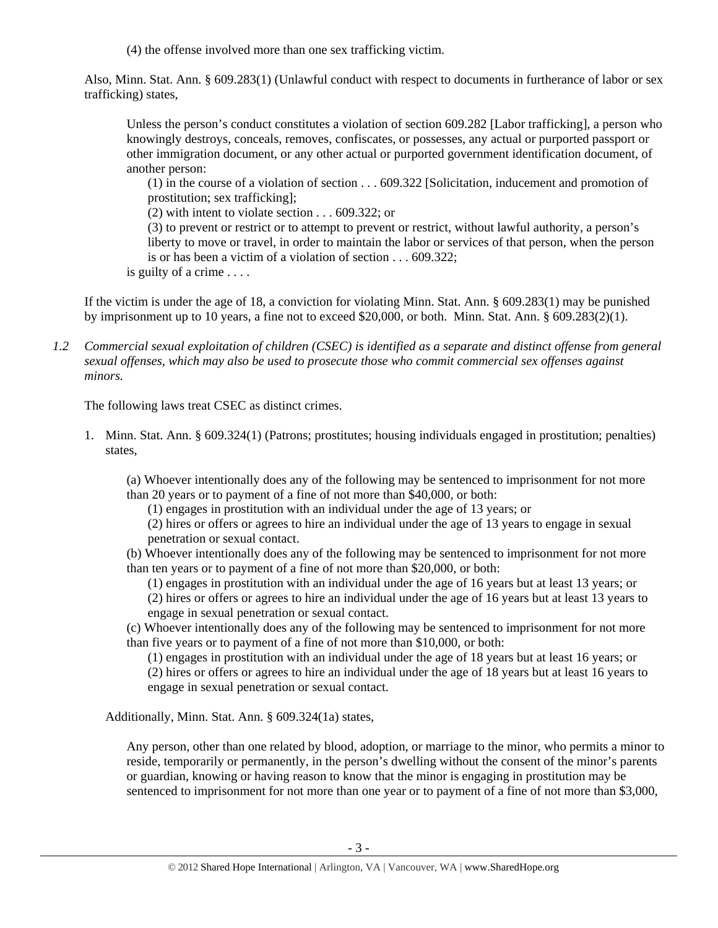(4) the offense involved more than one sex trafficking victim.

Also, Minn. Stat. Ann. § 609.283(1) (Unlawful conduct with respect to documents in furtherance of labor or sex trafficking) states,

Unless the person's conduct constitutes a violation of section 609.282 [Labor trafficking], a person who knowingly destroys, conceals, removes, confiscates, or possesses, any actual or purported passport or other immigration document, or any other actual or purported government identification document, of another person:

(1) in the course of a violation of section . . . 609.322 [Solicitation, inducement and promotion of prostitution; sex trafficking];

(2) with intent to violate section . . . 609.322; or

(3) to prevent or restrict or to attempt to prevent or restrict, without lawful authority, a person's liberty to move or travel, in order to maintain the labor or services of that person, when the person is or has been a victim of a violation of section . . . 609.322;

is guilty of a crime . . . .

If the victim is under the age of 18, a conviction for violating Minn. Stat. Ann. § 609.283(1) may be punished by imprisonment up to 10 years, a fine not to exceed \$20,000, or both. Minn. Stat. Ann. § 609.283(2)(1).

*1.2 Commercial sexual exploitation of children (CSEC) is identified as a separate and distinct offense from general sexual offenses, which may also be used to prosecute those who commit commercial sex offenses against minors.*

The following laws treat CSEC as distinct crimes.

1. Minn. Stat. Ann. § 609.324(1) (Patrons; prostitutes; housing individuals engaged in prostitution; penalties) states,

(a) Whoever intentionally does any of the following may be sentenced to imprisonment for not more than 20 years or to payment of a fine of not more than \$40,000, or both:

(1) engages in prostitution with an individual under the age of 13 years; or

(2) hires or offers or agrees to hire an individual under the age of 13 years to engage in sexual penetration or sexual contact.

(b) Whoever intentionally does any of the following may be sentenced to imprisonment for not more than ten years or to payment of a fine of not more than \$20,000, or both:

(1) engages in prostitution with an individual under the age of 16 years but at least 13 years; or (2) hires or offers or agrees to hire an individual under the age of 16 years but at least 13 years to engage in sexual penetration or sexual contact.

(c) Whoever intentionally does any of the following may be sentenced to imprisonment for not more than five years or to payment of a fine of not more than \$10,000, or both:

(1) engages in prostitution with an individual under the age of 18 years but at least 16 years; or (2) hires or offers or agrees to hire an individual under the age of 18 years but at least 16 years to engage in sexual penetration or sexual contact.

Additionally, Minn. Stat. Ann. § 609.324(1a) states,

Any person, other than one related by blood, adoption, or marriage to the minor, who permits a minor to reside, temporarily or permanently, in the person's dwelling without the consent of the minor's parents or guardian, knowing or having reason to know that the minor is engaging in prostitution may be sentenced to imprisonment for not more than one year or to payment of a fine of not more than \$3,000,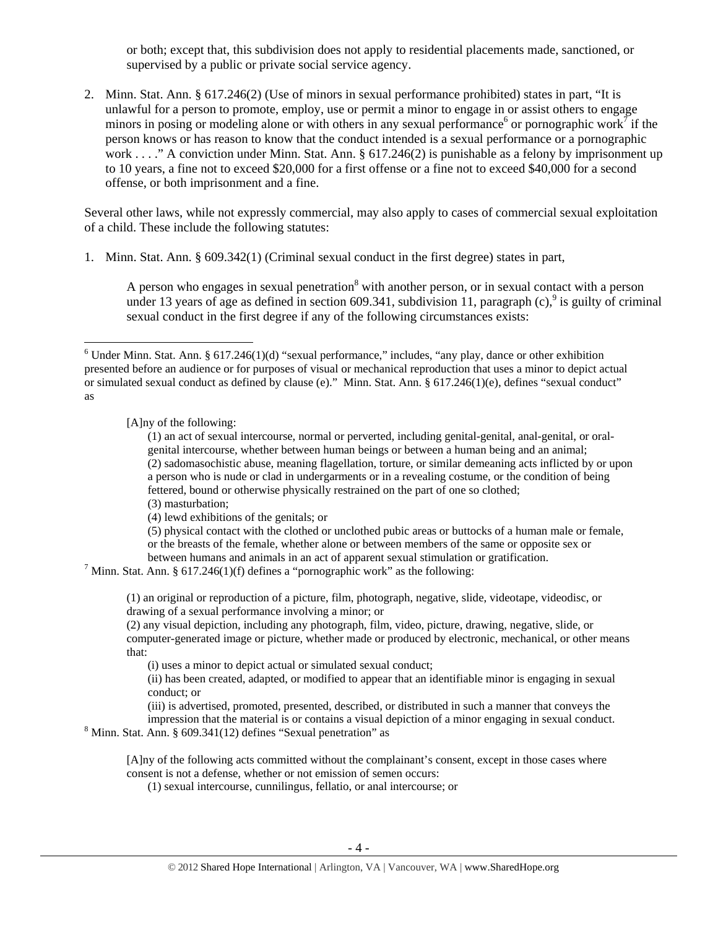or both; except that, this subdivision does not apply to residential placements made, sanctioned, or supervised by a public or private social service agency.

2. Minn. Stat. Ann. § 617.246(2) (Use of minors in sexual performance prohibited) states in part, "It is unlawful for a person to promote, employ, use or permit a minor to engage in or assist others to engage minors in posing or modeling alone or with others in any sexual performance<sup>6</sup> or pornographic work<sup>7</sup> if the person knows or has reason to know that the conduct intended is a sexual performance or a pornographic work . . . ." A conviction under Minn. Stat. Ann. § 617.246(2) is punishable as a felony by imprisonment up to 10 years, a fine not to exceed \$20,000 for a first offense or a fine not to exceed \$40,000 for a second offense, or both imprisonment and a fine.

Several other laws, while not expressly commercial, may also apply to cases of commercial sexual exploitation of a child. These include the following statutes:

1. Minn. Stat. Ann. § 609.342(1) (Criminal sexual conduct in the first degree) states in part,

A person who engages in sexual penetration<sup>8</sup> with another person, or in sexual contact with a person under 13 years of age as defined in section 609.341, subdivision 11, paragraph  $(c)$ , is guilty of criminal sexual conduct in the first degree if any of the following circumstances exists:

[A]ny of the following:

(3) masturbation;

(4) lewd exhibitions of the genitals; or

(5) physical contact with the clothed or unclothed pubic areas or buttocks of a human male or female, or the breasts of the female, whether alone or between members of the same or opposite sex or between humans and animals in an act of apparent sexual stimulation or gratification. 7

<sup>7</sup> Minn. Stat. Ann. § 617.246(1)(f) defines a "pornographic work" as the following:

(1) an original or reproduction of a picture, film, photograph, negative, slide, videotape, videodisc, or drawing of a sexual performance involving a minor; or

(2) any visual depiction, including any photograph, film, video, picture, drawing, negative, slide, or computer-generated image or picture, whether made or produced by electronic, mechanical, or other means that:

(i) uses a minor to depict actual or simulated sexual conduct;

(ii) has been created, adapted, or modified to appear that an identifiable minor is engaging in sexual conduct; or

(iii) is advertised, promoted, presented, described, or distributed in such a manner that conveys the impression that the material is or contains a visual depiction of a minor engaging in sexual conduct. 8

 $8$  Minn. Stat. Ann.  $8609.341(12)$  defines "Sexual penetration" as

[A]ny of the following acts committed without the complainant's consent, except in those cases where consent is not a defense, whether or not emission of semen occurs:

(1) sexual intercourse, cunnilingus, fellatio, or anal intercourse; or

<sup>&</sup>lt;sup>6</sup> Under Minn. Stat. Ann. § 617.246(1)(d) "sexual performance," includes, "any play, dance or other exhibition presented before an audience or for purposes of visual or mechanical reproduction that uses a minor to depict actual or simulated sexual conduct as defined by clause (e)." Minn. Stat. Ann. § 617.246(1)(e), defines "sexual conduct" as

<sup>(1)</sup> an act of sexual intercourse, normal or perverted, including genital-genital, anal-genital, or oralgenital intercourse, whether between human beings or between a human being and an animal; (2) sadomasochistic abuse, meaning flagellation, torture, or similar demeaning acts inflicted by or upon a person who is nude or clad in undergarments or in a revealing costume, or the condition of being fettered, bound or otherwise physically restrained on the part of one so clothed;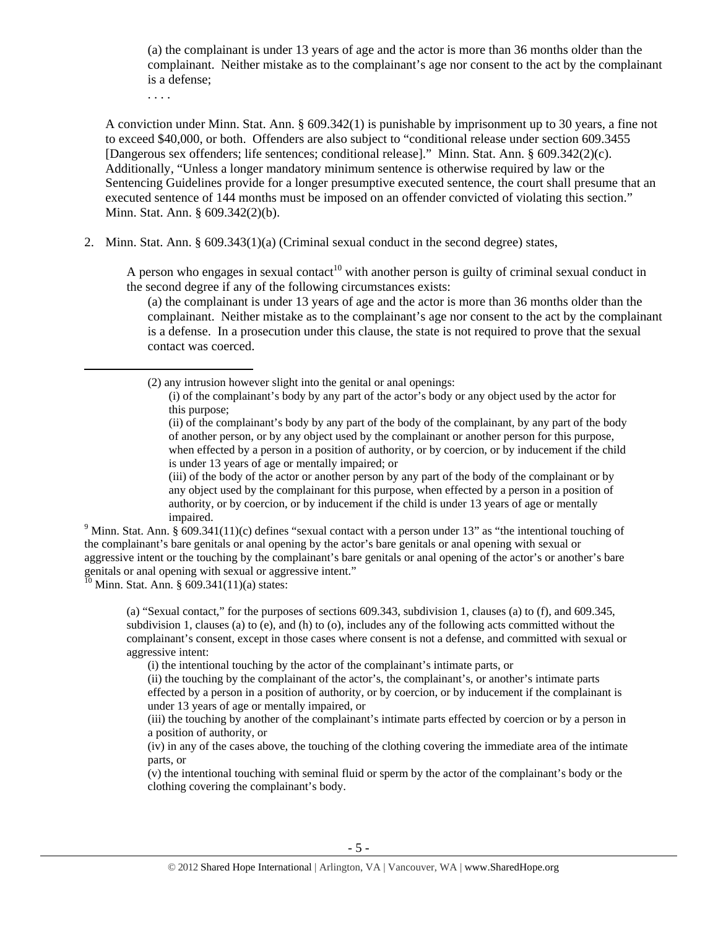(a) the complainant is under 13 years of age and the actor is more than 36 months older than the complainant. Neither mistake as to the complainant's age nor consent to the act by the complainant is a defense;

. . . .

A conviction under Minn. Stat. Ann. § 609.342(1) is punishable by imprisonment up to 30 years, a fine not to exceed \$40,000, or both. Offenders are also subject to "conditional release under section 609.3455 [Dangerous sex offenders; life sentences; conditional release]." Minn. Stat. Ann. § 609.342(2)(c). Additionally, "Unless a longer mandatory minimum sentence is otherwise required by law or the Sentencing Guidelines provide for a longer presumptive executed sentence, the court shall presume that an executed sentence of 144 months must be imposed on an offender convicted of violating this section." Minn. Stat. Ann. § 609.342(2)(b).

2. Minn. Stat. Ann. § 609.343(1)(a) (Criminal sexual conduct in the second degree) states,

A person who engages in sexual contact<sup>10</sup> with another person is guilty of criminal sexual conduct in the second degree if any of the following circumstances exists:

(a) the complainant is under 13 years of age and the actor is more than 36 months older than the complainant. Neither mistake as to the complainant's age nor consent to the act by the complainant is a defense. In a prosecution under this clause, the state is not required to prove that the sexual contact was coerced.

(2) any intrusion however slight into the genital or anal openings:

(i) of the complainant's body by any part of the actor's body or any object used by the actor for this purpose;

impaired.<br><sup>9</sup> Minn. Stat. Ann. § 609.341(11)(c) defines "sexual contact with a person under 13" as "the intentional touching of the complainant's bare genitals or anal opening by the actor's bare genitals or anal opening with sexual or aggressive intent or the touching by the complainant's bare genitals or anal opening of the actor's or another's bare genitals or anal opening with sexual or aggressive intent."

<sup>10</sup> Minn. Stat. Ann. § 609.341(11)(a) states:

(a) "Sexual contact," for the purposes of sections 609.343, subdivision 1, clauses (a) to (f), and 609.345, subdivision 1, clauses (a) to (e), and (h) to (o), includes any of the following acts committed without the complainant's consent, except in those cases where consent is not a defense, and committed with sexual or aggressive intent:

(i) the intentional touching by the actor of the complainant's intimate parts, or

(ii) the touching by the complainant of the actor's, the complainant's, or another's intimate parts effected by a person in a position of authority, or by coercion, or by inducement if the complainant is under 13 years of age or mentally impaired, or

(iii) the touching by another of the complainant's intimate parts effected by coercion or by a person in a position of authority, or

(iv) in any of the cases above, the touching of the clothing covering the immediate area of the intimate parts, or

(v) the intentional touching with seminal fluid or sperm by the actor of the complainant's body or the clothing covering the complainant's body.

<sup>(</sup>ii) of the complainant's body by any part of the body of the complainant, by any part of the body of another person, or by any object used by the complainant or another person for this purpose, when effected by a person in a position of authority, or by coercion, or by inducement if the child is under 13 years of age or mentally impaired; or

<sup>(</sup>iii) of the body of the actor or another person by any part of the body of the complainant or by any object used by the complainant for this purpose, when effected by a person in a position of authority, or by coercion, or by inducement if the child is under 13 years of age or mentally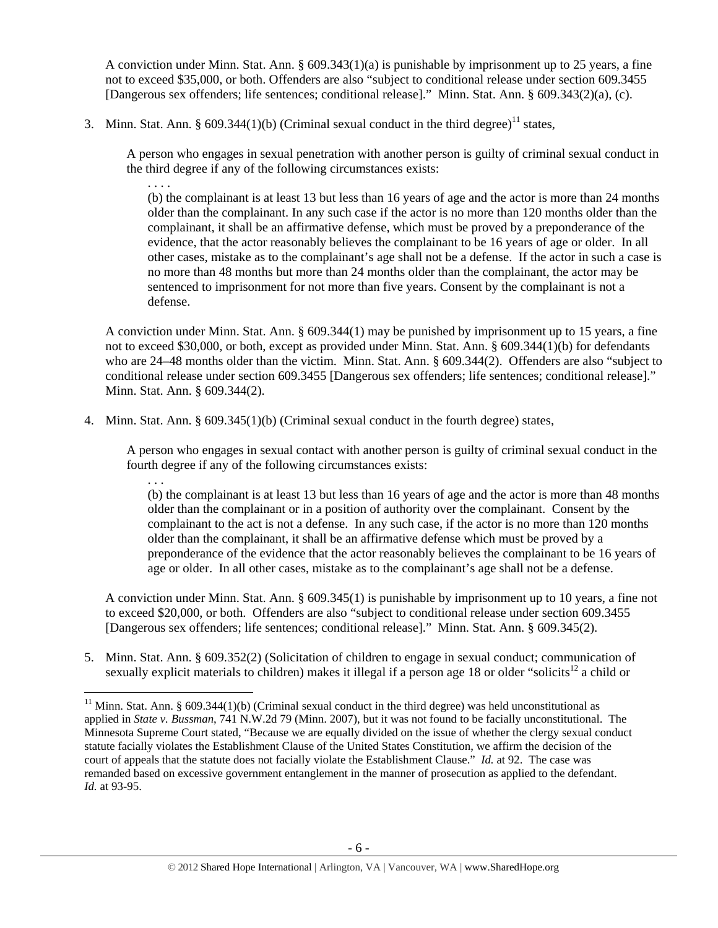A conviction under Minn. Stat. Ann.  $\S 609.343(1)(a)$  is punishable by imprisonment up to 25 years, a fine not to exceed \$35,000, or both. Offenders are also "subject to conditional release under section 609.3455 [Dangerous sex offenders; life sentences; conditional release]." Minn. Stat. Ann. § 609.343(2)(a), (c).

3. Minn. Stat. Ann. § 609.344(1)(b) (Criminal sexual conduct in the third degree)<sup>11</sup> states,

. . . .

A person who engages in sexual penetration with another person is guilty of criminal sexual conduct in the third degree if any of the following circumstances exists:

(b) the complainant is at least 13 but less than 16 years of age and the actor is more than 24 months older than the complainant. In any such case if the actor is no more than 120 months older than the complainant, it shall be an affirmative defense, which must be proved by a preponderance of the evidence, that the actor reasonably believes the complainant to be 16 years of age or older. In all other cases, mistake as to the complainant's age shall not be a defense. If the actor in such a case is no more than 48 months but more than 24 months older than the complainant, the actor may be sentenced to imprisonment for not more than five years. Consent by the complainant is not a defense.

A conviction under Minn. Stat. Ann. § 609.344(1) may be punished by imprisonment up to 15 years, a fine not to exceed \$30,000, or both, except as provided under Minn. Stat. Ann. § 609.344(1)(b) for defendants who are 24–48 months older than the victim. Minn. Stat. Ann. § 609.344(2). Offenders are also "subject to conditional release under section 609.3455 [Dangerous sex offenders; life sentences; conditional release]." Minn. Stat. Ann. § 609.344(2).

4. Minn. Stat. Ann. § 609.345(1)(b) (Criminal sexual conduct in the fourth degree) states,

A person who engages in sexual contact with another person is guilty of criminal sexual conduct in the fourth degree if any of the following circumstances exists:

. . . (b) the complainant is at least 13 but less than 16 years of age and the actor is more than 48 months older than the complainant or in a position of authority over the complainant. Consent by the complainant to the act is not a defense. In any such case, if the actor is no more than 120 months older than the complainant, it shall be an affirmative defense which must be proved by a preponderance of the evidence that the actor reasonably believes the complainant to be 16 years of age or older. In all other cases, mistake as to the complainant's age shall not be a defense.

A conviction under Minn. Stat. Ann. § 609.345(1) is punishable by imprisonment up to 10 years, a fine not to exceed \$20,000, or both. Offenders are also "subject to conditional release under section 609.3455 [Dangerous sex offenders; life sentences; conditional release]." Minn. Stat. Ann. § 609.345(2).

5. Minn. Stat. Ann. § 609.352(2) (Solicitation of children to engage in sexual conduct; communication of sexually explicit materials to children) makes it illegal if a person age 18 or older "solicits<sup>12</sup> a child or

<sup>&</sup>lt;sup>11</sup> Minn. Stat. Ann. § 609.344(1)(b) (Criminal sexual conduct in the third degree) was held unconstitutional as applied in *State v. Bussman*, 741 N.W.2d 79 (Minn. 2007), but it was not found to be facially unconstitutional. The Minnesota Supreme Court stated, "Because we are equally divided on the issue of whether the clergy sexual conduct statute facially violates the Establishment Clause of the United States Constitution, we affirm the decision of the court of appeals that the statute does not facially violate the Establishment Clause." *Id.* at 92. The case was remanded based on excessive government entanglement in the manner of prosecution as applied to the defendant. *Id.* at 93-95.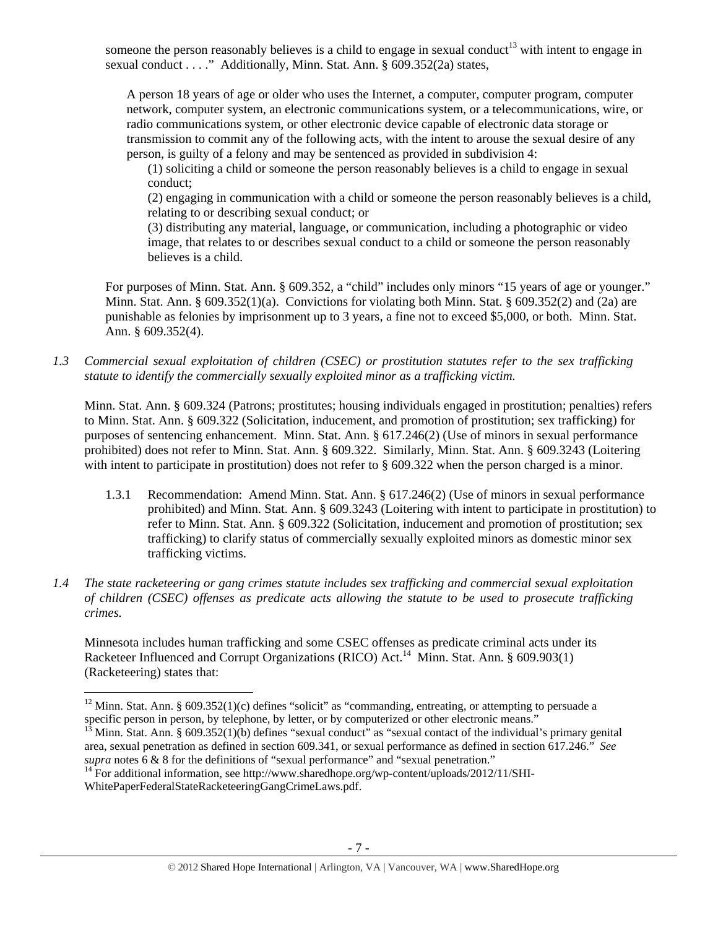someone the person reasonably believes is a child to engage in sexual conduct<sup>13</sup> with intent to engage in sexual conduct . . . ." Additionally, Minn. Stat. Ann. § 609.352(2a) states,

A person 18 years of age or older who uses the Internet, a computer, computer program, computer network, computer system, an electronic communications system, or a telecommunications, wire, or radio communications system, or other electronic device capable of electronic data storage or transmission to commit any of the following acts, with the intent to arouse the sexual desire of any person, is guilty of a felony and may be sentenced as provided in subdivision 4:

(1) soliciting a child or someone the person reasonably believes is a child to engage in sexual conduct;

(2) engaging in communication with a child or someone the person reasonably believes is a child, relating to or describing sexual conduct; or

(3) distributing any material, language, or communication, including a photographic or video image, that relates to or describes sexual conduct to a child or someone the person reasonably believes is a child.

For purposes of Minn. Stat. Ann. § 609.352, a "child" includes only minors "15 years of age or younger." Minn. Stat. Ann.  $\S 609.352(1)(a)$ . Convictions for violating both Minn. Stat.  $\S 609.352(2)$  and (2a) are punishable as felonies by imprisonment up to 3 years, a fine not to exceed \$5,000, or both. Minn. Stat. Ann. § 609.352(4).

*1.3 Commercial sexual exploitation of children (CSEC) or prostitution statutes refer to the sex trafficking statute to identify the commercially sexually exploited minor as a trafficking victim.* 

Minn. Stat. Ann. § 609.324 (Patrons; prostitutes; housing individuals engaged in prostitution; penalties) refers to Minn. Stat. Ann. § 609.322 (Solicitation, inducement, and promotion of prostitution; sex trafficking) for purposes of sentencing enhancement. Minn. Stat. Ann. § 617.246(2) (Use of minors in sexual performance prohibited) does not refer to Minn. Stat. Ann. § 609.322. Similarly, Minn. Stat. Ann. § 609.3243 (Loitering with intent to participate in prostitution) does not refer to  $\S$  609.322 when the person charged is a minor.

- 1.3.1 Recommendation: Amend Minn. Stat. Ann. § 617.246(2) (Use of minors in sexual performance prohibited) and Minn. Stat. Ann. § 609.3243 (Loitering with intent to participate in prostitution) to refer to Minn. Stat. Ann. § 609.322 (Solicitation, inducement and promotion of prostitution; sex trafficking) to clarify status of commercially sexually exploited minors as domestic minor sex trafficking victims.
- *1.4 The state racketeering or gang crimes statute includes sex trafficking and commercial sexual exploitation of children (CSEC) offenses as predicate acts allowing the statute to be used to prosecute trafficking crimes.*

Minnesota includes human trafficking and some CSEC offenses as predicate criminal acts under its Racketeer Influenced and Corrupt Organizations (RICO) Act.<sup>14</sup> Minn. Stat. Ann. § 609.903(1) (Racketeering) states that:

 $12$  Minn. Stat. Ann. § 609.352(1)(c) defines "solicit" as "commanding, entreating, or attempting to persuade a specific person in person, by telephone, by letter, or by computerized or other electronic means."

Minn. Stat. Ann.  $\S 609.352(1)(b)$  defines "sexual conduct" as "sexual contact of the individual's primary genital area, sexual penetration as defined in section 609.341, or sexual performance as defined in section 617.246." *See supra* notes 6 & 8 for the definitions of "sexual performance" and "sexual penetration." 14 For additional information, see http://www.sharedhope.org/wp-content/uploads/2012/11/SHI-

WhitePaperFederalStateRacketeeringGangCrimeLaws.pdf.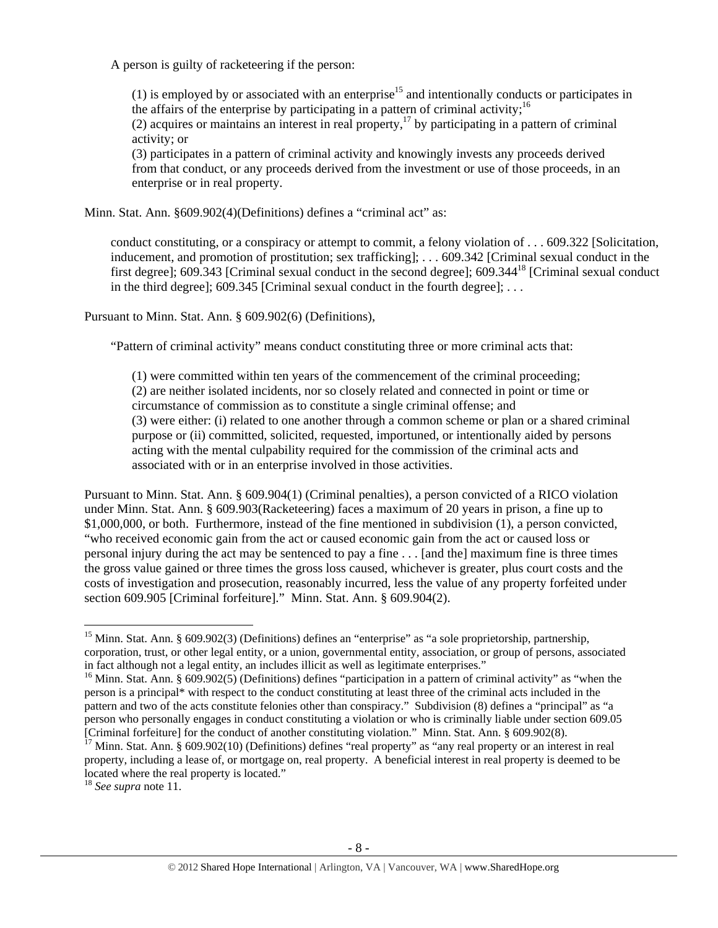A person is guilty of racketeering if the person:

(1) is employed by or associated with an enterprise<sup>15</sup> and intentionally conducts or participates in the affairs of the enterprise by participating in a pattern of criminal activity;<sup>16</sup>

(2) acquires or maintains an interest in real property,<sup>17</sup> by participating in a pattern of criminal activity; or

(3) participates in a pattern of criminal activity and knowingly invests any proceeds derived from that conduct, or any proceeds derived from the investment or use of those proceeds, in an enterprise or in real property.

Minn. Stat. Ann. §609.902(4)(Definitions) defines a "criminal act" as:

conduct constituting, or a conspiracy or attempt to commit, a felony violation of . . . 609.322 [Solicitation, inducement, and promotion of prostitution; sex trafficking]; . . . 609.342 [Criminal sexual conduct in the first degree]; 609.343 [Criminal sexual conduct in the second degree]; 609.344<sup>18</sup> [Criminal sexual conduct in the third degree];  $609.345$  [Criminal sexual conduct in the fourth degree];  $\dots$ 

Pursuant to Minn. Stat. Ann. § 609.902(6) (Definitions),

"Pattern of criminal activity" means conduct constituting three or more criminal acts that:

(1) were committed within ten years of the commencement of the criminal proceeding; (2) are neither isolated incidents, nor so closely related and connected in point or time or circumstance of commission as to constitute a single criminal offense; and (3) were either: (i) related to one another through a common scheme or plan or a shared criminal purpose or (ii) committed, solicited, requested, importuned, or intentionally aided by persons acting with the mental culpability required for the commission of the criminal acts and associated with or in an enterprise involved in those activities.

Pursuant to Minn. Stat. Ann. § 609.904(1) (Criminal penalties), a person convicted of a RICO violation under Minn. Stat. Ann. § 609.903(Racketeering) faces a maximum of 20 years in prison, a fine up to \$1,000,000, or both. Furthermore, instead of the fine mentioned in subdivision (1), a person convicted, "who received economic gain from the act or caused economic gain from the act or caused loss or personal injury during the act may be sentenced to pay a fine . . . [and the] maximum fine is three times the gross value gained or three times the gross loss caused, whichever is greater, plus court costs and the costs of investigation and prosecution, reasonably incurred, less the value of any property forfeited under section 609.905 [Criminal forfeiture]." Minn. Stat. Ann. § 609.904(2).

<sup>&</sup>lt;sup>15</sup> Minn. Stat. Ann. § 609.902(3) (Definitions) defines an "enterprise" as "a sole proprietorship, partnership, corporation, trust, or other legal entity, or a union, governmental entity, association, or group of persons, associated in fact although not a legal entity, an includes illicit as well as legitimate enterprises." 16 Minn. Stat. Ann. § 609.902(5) (Definitions) defines "participation in a pattern of criminal activity" as "when the

person is a principal\* with respect to the conduct constituting at least three of the criminal acts included in the pattern and two of the acts constitute felonies other than conspiracy." Subdivision (8) defines a "principal" as "a person who personally engages in conduct constituting a violation or who is criminally liable under section 609.05 [Criminal forfeiture] for the conduct of another constituting violation." Minn. Stat. Ann. § 609.902(8).

 $17$  Minn. Stat. Ann. § 609.902(10) (Definitions) defines "real property" as "any real property or an interest in real property, including a lease of, or mortgage on, real property. A beneficial interest in real property is deemed to be located where the real property is located." 18 *See supra* note 11.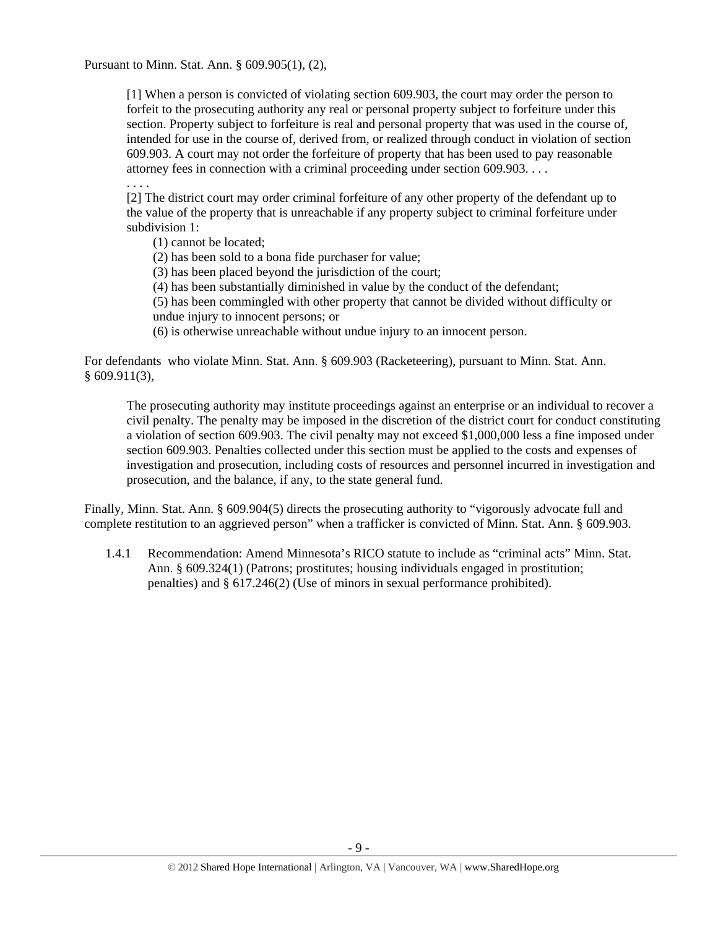Pursuant to Minn. Stat. Ann. § 609.905(1), (2),

[1] When a person is convicted of violating section 609.903, the court may order the person to forfeit to the prosecuting authority any real or personal property subject to forfeiture under this section. Property subject to forfeiture is real and personal property that was used in the course of, intended for use in the course of, derived from, or realized through conduct in violation of section 609.903. A court may not order the forfeiture of property that has been used to pay reasonable attorney fees in connection with a criminal proceeding under section 609.903. . . .

. . . .

[2] The district court may order criminal forfeiture of any other property of the defendant up to the value of the property that is unreachable if any property subject to criminal forfeiture under subdivision 1:

(1) cannot be located;

(2) has been sold to a bona fide purchaser for value;

(3) has been placed beyond the jurisdiction of the court;

(4) has been substantially diminished in value by the conduct of the defendant;

(5) has been commingled with other property that cannot be divided without difficulty or undue injury to innocent persons; or

(6) is otherwise unreachable without undue injury to an innocent person.

For defendants who violate Minn. Stat. Ann. § 609.903 (Racketeering), pursuant to Minn. Stat. Ann. § 609.911(3),

The prosecuting authority may institute proceedings against an enterprise or an individual to recover a civil penalty. The penalty may be imposed in the discretion of the district court for conduct constituting a violation of section 609.903. The civil penalty may not exceed \$1,000,000 less a fine imposed under section 609.903. Penalties collected under this section must be applied to the costs and expenses of investigation and prosecution, including costs of resources and personnel incurred in investigation and prosecution, and the balance, if any, to the state general fund.

Finally, Minn. Stat. Ann. § 609.904(5) directs the prosecuting authority to "vigorously advocate full and complete restitution to an aggrieved person" when a trafficker is convicted of Minn. Stat. Ann. § 609.903.

1.4.1 Recommendation: Amend Minnesota's RICO statute to include as "criminal acts" Minn. Stat. Ann. § 609.324(1) (Patrons; prostitutes; housing individuals engaged in prostitution; penalties) and § 617.246(2) (Use of minors in sexual performance prohibited).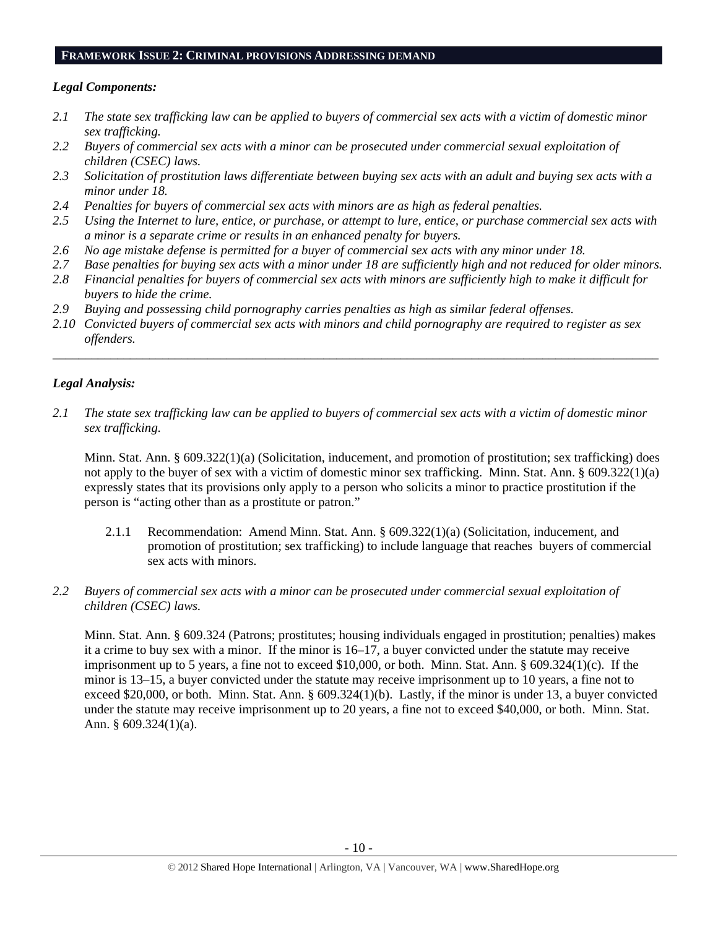#### **FRAMEWORK ISSUE 2: CRIMINAL PROVISIONS ADDRESSING DEMAND**

# *Legal Components:*

- *2.1 The state sex trafficking law can be applied to buyers of commercial sex acts with a victim of domestic minor sex trafficking.*
- *2.2 Buyers of commercial sex acts with a minor can be prosecuted under commercial sexual exploitation of children (CSEC) laws.*
- *2.3 Solicitation of prostitution laws differentiate between buying sex acts with an adult and buying sex acts with a minor under 18.*
- *2.4 Penalties for buyers of commercial sex acts with minors are as high as federal penalties.*
- *2.5 Using the Internet to lure, entice, or purchase, or attempt to lure, entice, or purchase commercial sex acts with a minor is a separate crime or results in an enhanced penalty for buyers.*
- *2.6 No age mistake defense is permitted for a buyer of commercial sex acts with any minor under 18.*
- *2.7 Base penalties for buying sex acts with a minor under 18 are sufficiently high and not reduced for older minors.*
- *2.8 Financial penalties for buyers of commercial sex acts with minors are sufficiently high to make it difficult for buyers to hide the crime.*
- *2.9 Buying and possessing child pornography carries penalties as high as similar federal offenses.*
- *2.10 Convicted buyers of commercial sex acts with minors and child pornography are required to register as sex offenders.*

\_\_\_\_\_\_\_\_\_\_\_\_\_\_\_\_\_\_\_\_\_\_\_\_\_\_\_\_\_\_\_\_\_\_\_\_\_\_\_\_\_\_\_\_\_\_\_\_\_\_\_\_\_\_\_\_\_\_\_\_\_\_\_\_\_\_\_\_\_\_\_\_\_\_\_\_\_\_\_\_\_\_\_\_\_\_\_\_\_\_\_\_\_\_

# *Legal Analysis:*

*2.1 The state sex trafficking law can be applied to buyers of commercial sex acts with a victim of domestic minor sex trafficking.*

Minn. Stat. Ann. § 609.322(1)(a) (Solicitation, inducement, and promotion of prostitution; sex trafficking) does not apply to the buyer of sex with a victim of domestic minor sex trafficking. Minn. Stat. Ann. § 609.322(1)(a) expressly states that its provisions only apply to a person who solicits a minor to practice prostitution if the person is "acting other than as a prostitute or patron."

- 2.1.1 Recommendation: Amend Minn. Stat. Ann. § 609.322(1)(a) (Solicitation, inducement, and promotion of prostitution; sex trafficking) to include language that reaches buyers of commercial sex acts with minors.
- *2.2 Buyers of commercial sex acts with a minor can be prosecuted under commercial sexual exploitation of children (CSEC) laws.*

Minn. Stat. Ann. § 609.324 (Patrons; prostitutes; housing individuals engaged in prostitution; penalties) makes it a crime to buy sex with a minor. If the minor is 16–17, a buyer convicted under the statute may receive imprisonment up to 5 years, a fine not to exceed \$10,000, or both. Minn. Stat. Ann. § 609.324(1)(c). If the minor is 13–15, a buyer convicted under the statute may receive imprisonment up to 10 years, a fine not to exceed \$20,000, or both. Minn. Stat. Ann. § 609.324(1)(b). Lastly, if the minor is under 13, a buyer convicted under the statute may receive imprisonment up to 20 years, a fine not to exceed \$40,000, or both. Minn. Stat. Ann. § 609.324(1)(a).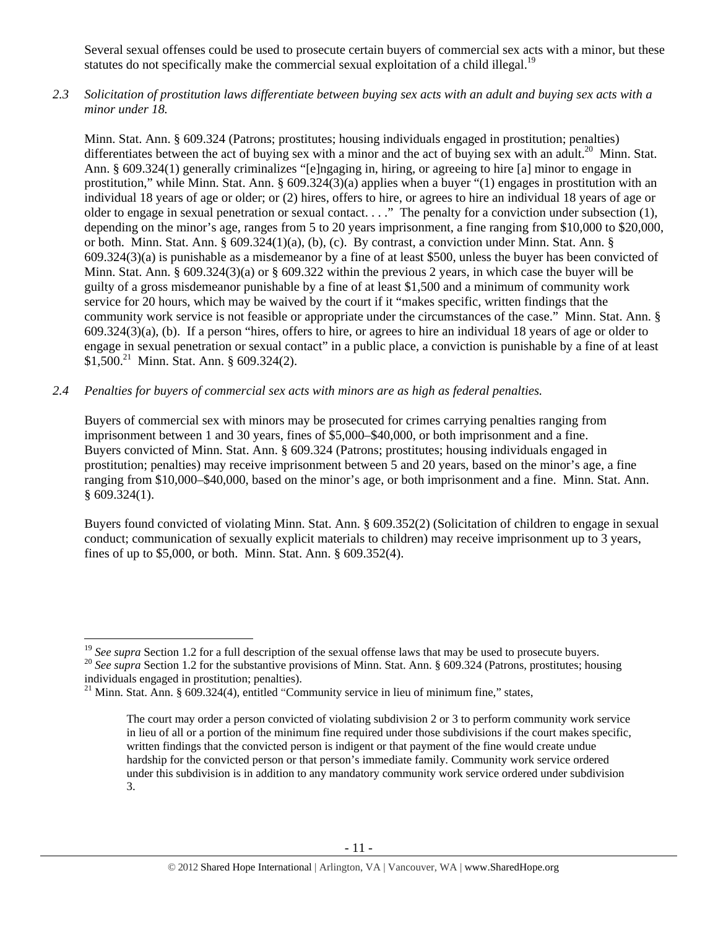Several sexual offenses could be used to prosecute certain buyers of commercial sex acts with a minor, but these statutes do not specifically make the commercial sexual exploitation of a child illegal.<sup>19</sup>

*2.3 Solicitation of prostitution laws differentiate between buying sex acts with an adult and buying sex acts with a minor under 18.* 

Minn. Stat. Ann. § 609.324 (Patrons; prostitutes; housing individuals engaged in prostitution; penalties) differentiates between the act of buying sex with a minor and the act of buying sex with an adult.<sup>20</sup> Minn. Stat. Ann. § 609.324(1) generally criminalizes "[e]ngaging in, hiring, or agreeing to hire [a] minor to engage in prostitution," while Minn. Stat. Ann. § 609.324(3)(a) applies when a buyer "(1) engages in prostitution with an individual 18 years of age or older; or (2) hires, offers to hire, or agrees to hire an individual 18 years of age or older to engage in sexual penetration or sexual contact. . . ." The penalty for a conviction under subsection (1), depending on the minor's age, ranges from 5 to 20 years imprisonment, a fine ranging from \$10,000 to \$20,000, or both. Minn. Stat. Ann. § 609.324(1)(a), (b), (c). By contrast, a conviction under Minn. Stat. Ann. § 609.324(3)(a) is punishable as a misdemeanor by a fine of at least \$500, unless the buyer has been convicted of Minn. Stat. Ann. § 609.324(3)(a) or § 609.322 within the previous 2 years, in which case the buyer will be guilty of a gross misdemeanor punishable by a fine of at least \$1,500 and a minimum of community work service for 20 hours, which may be waived by the court if it "makes specific, written findings that the community work service is not feasible or appropriate under the circumstances of the case." Minn. Stat. Ann. § 609.324(3)(a), (b). If a person "hires, offers to hire, or agrees to hire an individual 18 years of age or older to engage in sexual penetration or sexual contact" in a public place, a conviction is punishable by a fine of at least  $$1,500.<sup>21</sup>$  Minn. Stat. Ann. § 609.324(2).

*2.4 Penalties for buyers of commercial sex acts with minors are as high as federal penalties.* 

Buyers of commercial sex with minors may be prosecuted for crimes carrying penalties ranging from imprisonment between 1 and 30 years, fines of \$5,000–\$40,000, or both imprisonment and a fine. Buyers convicted of Minn. Stat. Ann. § 609.324 (Patrons; prostitutes; housing individuals engaged in prostitution; penalties) may receive imprisonment between 5 and 20 years, based on the minor's age, a fine ranging from \$10,000–\$40,000, based on the minor's age, or both imprisonment and a fine. Minn. Stat. Ann. § 609.324(1).

Buyers found convicted of violating Minn. Stat. Ann. § 609.352(2) (Solicitation of children to engage in sexual conduct; communication of sexually explicit materials to children) may receive imprisonment up to 3 years, fines of up to \$5,000, or both. Minn. Stat. Ann. § 609.352(4).

 $19$  See supra Section 1.2 for a full description of the sexual offense laws that may be used to prosecute buyers.

<sup>&</sup>lt;sup>20</sup> See supra Section 1.2 for the substantive provisions of Minn. Stat. Ann. § 609.324 (Patrons, prostitutes; housing individuals engaged in prostitution; penalties).

<sup>&</sup>lt;sup>21</sup> Minn. Stat. Ann. § 609.324(4), entitled "Community service in lieu of minimum fine," states,

The court may order a person convicted of violating subdivision 2 or 3 to perform community work service in lieu of all or a portion of the minimum fine required under those subdivisions if the court makes specific, written findings that the convicted person is indigent or that payment of the fine would create undue hardship for the convicted person or that person's immediate family. Community work service ordered under this subdivision is in addition to any mandatory community work service ordered under subdivision 3.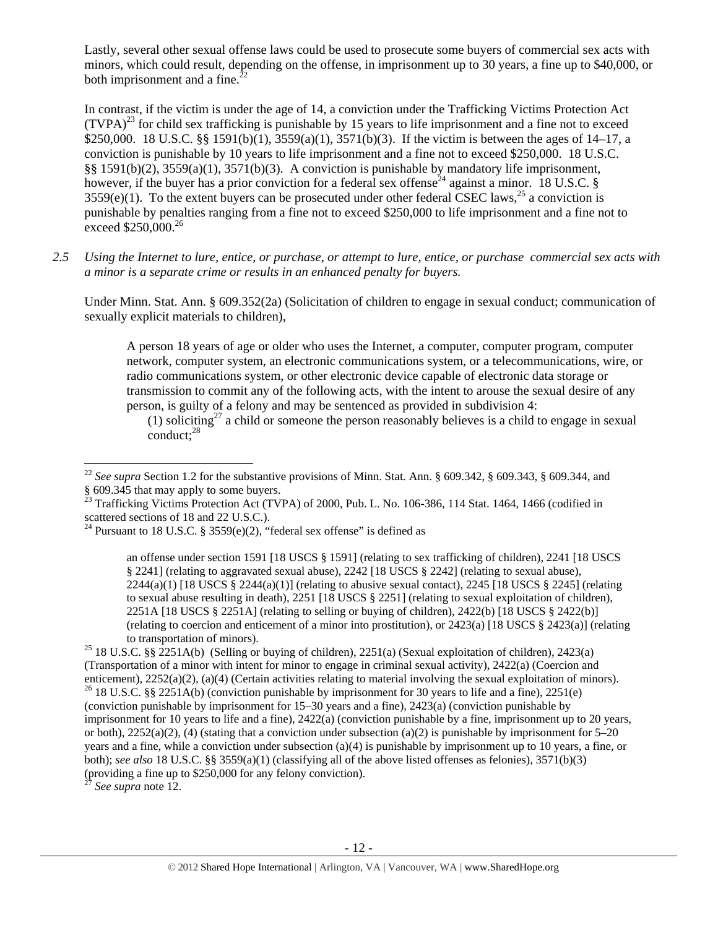Lastly, several other sexual offense laws could be used to prosecute some buyers of commercial sex acts with minors, which could result, depending on the offense, in imprisonment up to 30 years, a fine up to \$40,000, or both imprisonment and a fine.<sup>22</sup>

In contrast, if the victim is under the age of 14, a conviction under the Trafficking Victims Protection Act  $(TVPA)<sup>23</sup>$  for child sex trafficking is punishable by 15 years to life imprisonment and a fine not to exceed \$250,000. 18 U.S.C. §§ 1591(b)(1), 3559(a)(1), 3571(b)(3). If the victim is between the ages of 14–17, a conviction is punishable by 10 years to life imprisonment and a fine not to exceed \$250,000. 18 U.S.C. §§ 1591(b)(2), 3559(a)(1), 3571(b)(3). A conviction is punishable by mandatory life imprisonment, however, if the buyer has a prior conviction for a federal sex offense<sup>24</sup> against a minor. 18 U.S.C. §  $3559(e)(1)$ . To the extent buyers can be prosecuted under other federal CSEC laws,<sup>25</sup> a conviction is punishable by penalties ranging from a fine not to exceed \$250,000 to life imprisonment and a fine not to exceed \$250,000.<sup>26</sup>

*2.5 Using the Internet to lure, entice, or purchase, or attempt to lure, entice, or purchase commercial sex acts with a minor is a separate crime or results in an enhanced penalty for buyers.* 

Under Minn. Stat. Ann. § 609.352(2a) (Solicitation of children to engage in sexual conduct; communication of sexually explicit materials to children),

A person 18 years of age or older who uses the Internet, a computer, computer program, computer network, computer system, an electronic communications system, or a telecommunications, wire, or radio communications system, or other electronic device capable of electronic data storage or transmission to commit any of the following acts, with the intent to arouse the sexual desire of any person, is guilty of a felony and may be sentenced as provided in subdivision 4:

(1) soliciting<sup>27</sup> a child or someone the person reasonably believes is a child to engage in sexual conduct: $28$ 

<sup>27</sup> *See supra* note 12.

<sup>&</sup>lt;sup>22</sup> *See supra* Section 1.2 for the substantive provisions of Minn. Stat. Ann. § 609.342, § 609.343, § 609.344, and § 609.345 that may apply to some buyers.

 $\frac{\tilde{c}_3}{2}$  Trafficking Victims Protection Act (TVPA) of 2000, Pub. L. No. 106-386, 114 Stat. 1464, 1466 (codified in scattered sections of 18 and 22 U.S.C.).

<sup>&</sup>lt;sup>24</sup> Pursuant to 18 U.S.C. § 3559(e)(2), "federal sex offense" is defined as

an offense under section 1591 [18 USCS § 1591] (relating to sex trafficking of children), 2241 [18 USCS § 2241] (relating to aggravated sexual abuse), 2242 [18 USCS § 2242] (relating to sexual abuse),  $2244(a)(1)$  [18 USCS §  $2244(a)(1)$ ] (relating to abusive sexual contact),  $2245$  [18 USCS § 2245] (relating to sexual abuse resulting in death), 2251 [18 USCS § 2251] (relating to sexual exploitation of children), 2251A [18 USCS § 2251A] (relating to selling or buying of children), 2422(b) [18 USCS § 2422(b)] (relating to coercion and enticement of a minor into prostitution), or 2423(a) [18 USCS § 2423(a)] (relating to transportation of minors).<br><sup>25</sup> 18 U.S.C. §§ 2251A(b) (Selling or buying of children), 2251(a) (Sexual exploitation of children), 2423(a)

<sup>(</sup>Transportation of a minor with intent for minor to engage in criminal sexual activity), 2422(a) (Coercion and enticement), 2252(a)(2), (a)(4) (Certain activities relating to material involving the sexual exploitation of minors). <sup>26</sup> 18 U.S.C. §§ 2251A(b) (conviction punishable by imprisonment for 30 years to life and a fine), 22 (conviction punishable by imprisonment for 15–30 years and a fine), 2423(a) (conviction punishable by imprisonment for 10 years to life and a fine), 2422(a) (conviction punishable by a fine, imprisonment up to 20 years, or both),  $2252(a)(2)$ , (4) (stating that a conviction under subsection (a)(2) is punishable by imprisonment for 5–20 years and a fine, while a conviction under subsection (a)(4) is punishable by imprisonment up to 10 years, a fine, or both); *see also* 18 U.S.C. §§ 3559(a)(1) (classifying all of the above listed offenses as felonies), 3571(b)(3) (providing a fine up to \$250,000 for any felony conviction).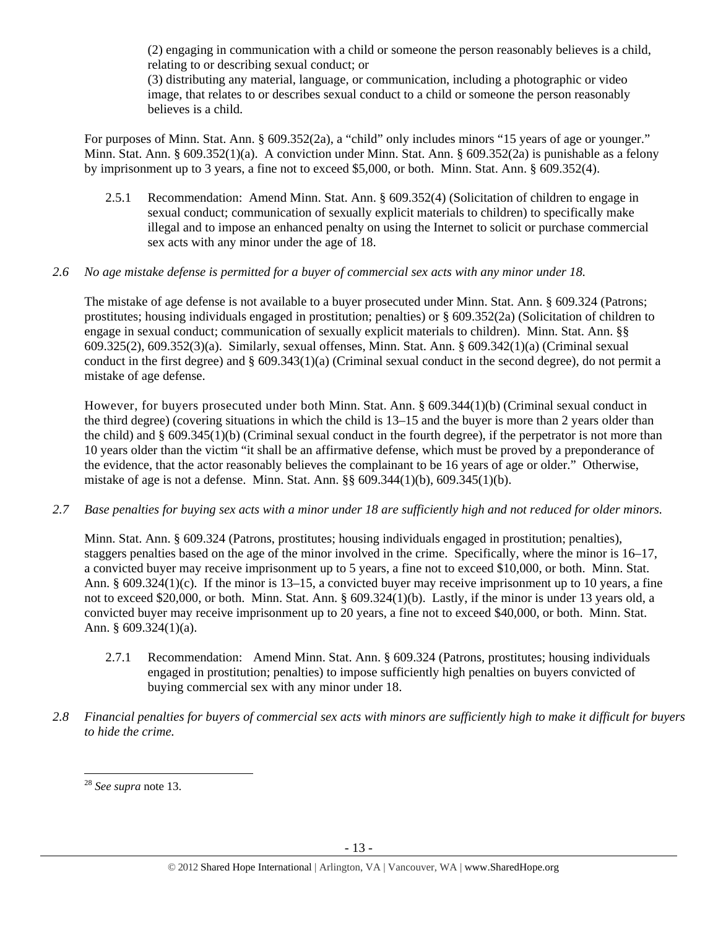(2) engaging in communication with a child or someone the person reasonably believes is a child, relating to or describing sexual conduct; or

(3) distributing any material, language, or communication, including a photographic or video image, that relates to or describes sexual conduct to a child or someone the person reasonably believes is a child.

For purposes of Minn. Stat. Ann. § 609.352(2a), a "child" only includes minors "15 years of age or younger." Minn. Stat. Ann. § 609.352(1)(a). A conviction under Minn. Stat. Ann. § 609.352(2a) is punishable as a felony by imprisonment up to 3 years, a fine not to exceed \$5,000, or both. Minn. Stat. Ann. § 609.352(4).

2.5.1 Recommendation: Amend Minn. Stat. Ann. § 609.352(4) (Solicitation of children to engage in sexual conduct; communication of sexually explicit materials to children) to specifically make illegal and to impose an enhanced penalty on using the Internet to solicit or purchase commercial sex acts with any minor under the age of 18.

# *2.6 No age mistake defense is permitted for a buyer of commercial sex acts with any minor under 18.*

The mistake of age defense is not available to a buyer prosecuted under Minn. Stat. Ann. § 609.324 (Patrons; prostitutes; housing individuals engaged in prostitution; penalties) or § 609.352(2a) (Solicitation of children to engage in sexual conduct; communication of sexually explicit materials to children). Minn. Stat. Ann. §§ 609.325(2), 609.352(3)(a). Similarly, sexual offenses, Minn. Stat. Ann. § 609.342(1)(a) (Criminal sexual conduct in the first degree) and § 609.343(1)(a) (Criminal sexual conduct in the second degree), do not permit a mistake of age defense.

However, for buyers prosecuted under both Minn. Stat. Ann. § 609.344(1)(b) (Criminal sexual conduct in the third degree) (covering situations in which the child is 13–15 and the buyer is more than 2 years older than the child) and § 609.345(1)(b) (Criminal sexual conduct in the fourth degree), if the perpetrator is not more than 10 years older than the victim "it shall be an affirmative defense, which must be proved by a preponderance of the evidence, that the actor reasonably believes the complainant to be 16 years of age or older." Otherwise, mistake of age is not a defense. Minn. Stat. Ann. §§ 609.344(1)(b), 609.345(1)(b).

*2.7 Base penalties for buying sex acts with a minor under 18 are sufficiently high and not reduced for older minors.* 

Minn. Stat. Ann. § 609.324 (Patrons, prostitutes; housing individuals engaged in prostitution; penalties), staggers penalties based on the age of the minor involved in the crime. Specifically, where the minor is 16–17, a convicted buyer may receive imprisonment up to 5 years, a fine not to exceed \$10,000, or both. Minn. Stat. Ann. § 609.324(1)(c). If the minor is 13–15, a convicted buyer may receive imprisonment up to 10 years, a fine not to exceed \$20,000, or both. Minn. Stat. Ann. § 609.324(1)(b). Lastly, if the minor is under 13 years old, a convicted buyer may receive imprisonment up to 20 years, a fine not to exceed \$40,000, or both. Minn. Stat. Ann. § 609.324(1)(a).

- 2.7.1 Recommendation: Amend Minn. Stat. Ann. § 609.324 (Patrons, prostitutes; housing individuals engaged in prostitution; penalties) to impose sufficiently high penalties on buyers convicted of buying commercial sex with any minor under 18.
- *2.8 Financial penalties for buyers of commercial sex acts with minors are sufficiently high to make it difficult for buyers to hide the crime.*

<sup>28</sup> *See supra* note 13.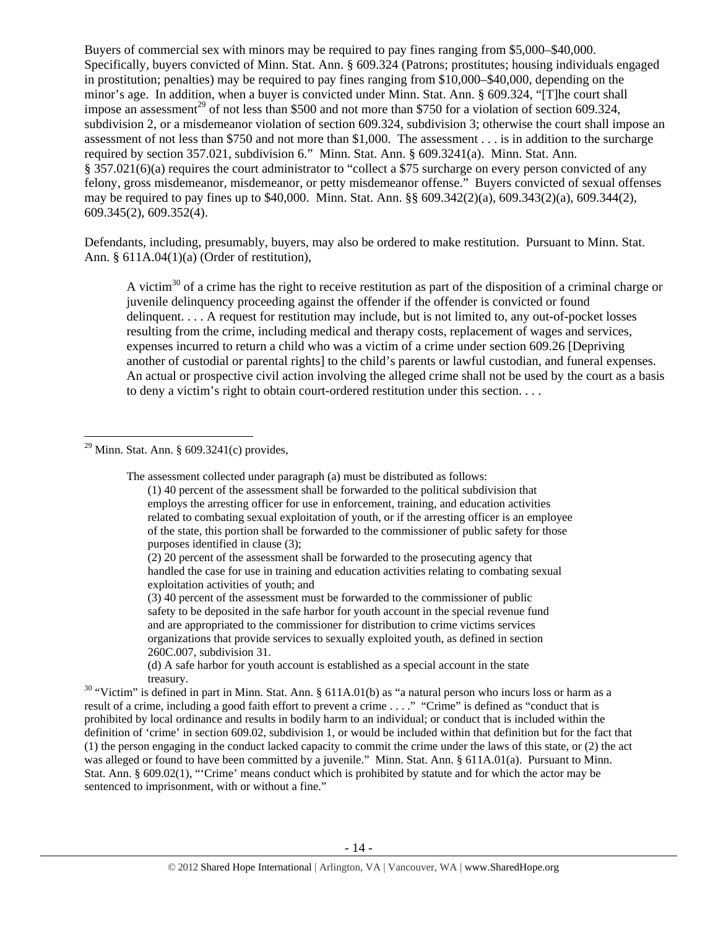Buyers of commercial sex with minors may be required to pay fines ranging from \$5,000–\$40,000. Specifically, buyers convicted of Minn. Stat. Ann. § 609.324 (Patrons; prostitutes; housing individuals engaged in prostitution; penalties) may be required to pay fines ranging from \$10,000–\$40,000, depending on the minor's age. In addition, when a buyer is convicted under Minn. Stat. Ann. § 609.324, "[T]he court shall impose an assessment<sup>29</sup> of not less than \$500 and not more than \$750 for a violation of section 609.324, subdivision 2, or a misdemeanor violation of section 609.324, subdivision 3; otherwise the court shall impose an assessment of not less than \$750 and not more than \$1,000. The assessment . . . is in addition to the surcharge required by section 357.021, subdivision 6." Minn. Stat. Ann. § 609.3241(a). Minn. Stat. Ann. § 357.021(6)(a) requires the court administrator to "collect a \$75 surcharge on every person convicted of any felony, gross misdemeanor, misdemeanor, or petty misdemeanor offense." Buyers convicted of sexual offenses may be required to pay fines up to \$40,000. Minn. Stat. Ann. §§ 609.342(2)(a), 609.343(2)(a), 609.344(2), 609.345(2), 609.352(4).

Defendants, including, presumably, buyers, may also be ordered to make restitution. Pursuant to Minn. Stat. Ann. § 611A.04(1)(a) (Order of restitution),

A victim<sup>30</sup> of a crime has the right to receive restitution as part of the disposition of a criminal charge or juvenile delinquency proceeding against the offender if the offender is convicted or found delinquent. . . . A request for restitution may include, but is not limited to, any out-of-pocket losses resulting from the crime, including medical and therapy costs, replacement of wages and services, expenses incurred to return a child who was a victim of a crime under section 609.26 [Depriving another of custodial or parental rights] to the child's parents or lawful custodian, and funeral expenses. An actual or prospective civil action involving the alleged crime shall not be used by the court as a basis to deny a victim's right to obtain court-ordered restitution under this section. . . .

The assessment collected under paragraph (a) must be distributed as follows:

(d) A safe harbor for youth account is established as a special account in the state

treasury.<br><sup>30</sup> "Victim" is defined in part in Minn. Stat. Ann. § 611A.01(b) as "a natural person who incurs loss or harm as a result of a crime, including a good faith effort to prevent a crime . . . ." "Crime" is defined as "conduct that is prohibited by local ordinance and results in bodily harm to an individual; or conduct that is included within the definition of 'crime' in section 609.02, subdivision 1, or would be included within that definition but for the fact that (1) the person engaging in the conduct lacked capacity to commit the crime under the laws of this state, or (2) the act was alleged or found to have been committed by a juvenile." Minn. Stat. Ann. § 611A.01(a). Pursuant to Minn. Stat. Ann. § 609.02(1), "'Crime' means conduct which is prohibited by statute and for which the actor may be sentenced to imprisonment, with or without a fine."

 <sup>29</sup> Minn. Stat. Ann. § 609.3241(c) provides,

<sup>(1) 40</sup> percent of the assessment shall be forwarded to the political subdivision that employs the arresting officer for use in enforcement, training, and education activities related to combating sexual exploitation of youth, or if the arresting officer is an employee of the state, this portion shall be forwarded to the commissioner of public safety for those purposes identified in clause (3);

<sup>(2) 20</sup> percent of the assessment shall be forwarded to the prosecuting agency that handled the case for use in training and education activities relating to combating sexual exploitation activities of youth; and

<sup>(3) 40</sup> percent of the assessment must be forwarded to the commissioner of public safety to be deposited in the safe harbor for youth account in the special revenue fund and are appropriated to the commissioner for distribution to crime victims services organizations that provide services to sexually exploited youth, as defined in section 260C.007, subdivision 31.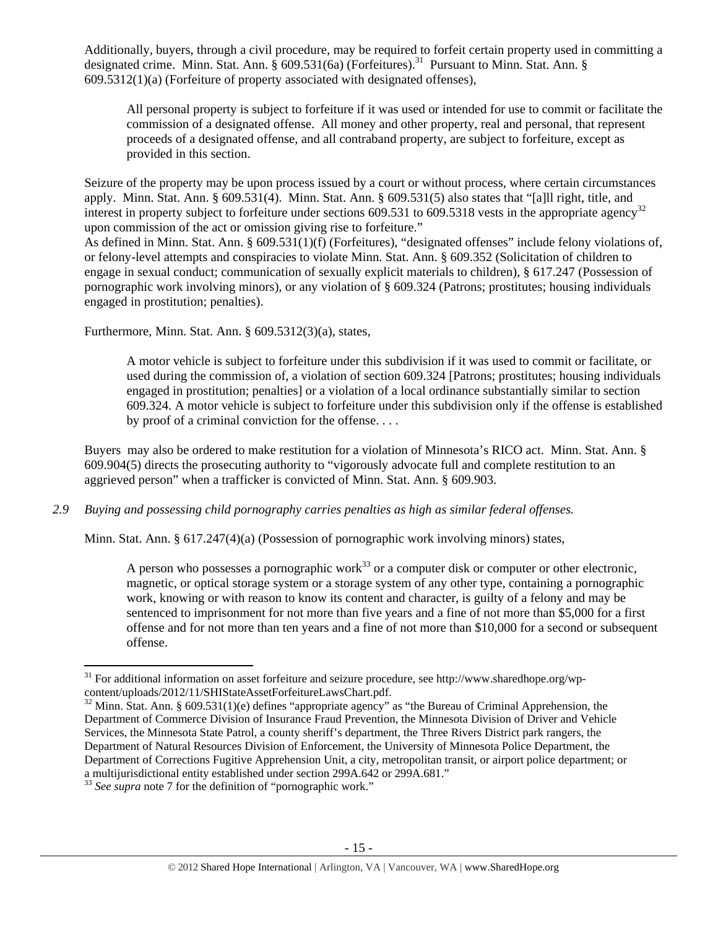Additionally, buyers, through a civil procedure, may be required to forfeit certain property used in committing a designated crime. Minn. Stat. Ann.  $\frac{6}{9}$  609.531(6a) (Forfeitures).<sup>31</sup> Pursuant to Minn. Stat. Ann. § 609.5312(1)(a) (Forfeiture of property associated with designated offenses),

All personal property is subject to forfeiture if it was used or intended for use to commit or facilitate the commission of a designated offense. All money and other property, real and personal, that represent proceeds of a designated offense, and all contraband property, are subject to forfeiture, except as provided in this section.

Seizure of the property may be upon process issued by a court or without process, where certain circumstances apply. Minn. Stat. Ann. § 609.531(4). Minn. Stat. Ann. § 609.531(5) also states that "[a]ll right, title, and interest in property subject to forfeiture under sections  $609.531$  to  $609.5318$  vests in the appropriate agency<sup>32</sup> upon commission of the act or omission giving rise to forfeiture."

As defined in Minn. Stat. Ann. § 609.531(1)(f) (Forfeitures), "designated offenses" include felony violations of, or felony-level attempts and conspiracies to violate Minn. Stat. Ann. § 609.352 (Solicitation of children to engage in sexual conduct; communication of sexually explicit materials to children), § 617.247 (Possession of pornographic work involving minors), or any violation of § 609.324 (Patrons; prostitutes; housing individuals engaged in prostitution; penalties).

Furthermore, Minn. Stat. Ann. § 609.5312(3)(a), states,

A motor vehicle is subject to forfeiture under this subdivision if it was used to commit or facilitate, or used during the commission of, a violation of section 609.324 [Patrons; prostitutes; housing individuals engaged in prostitution; penalties] or a violation of a local ordinance substantially similar to section 609.324. A motor vehicle is subject to forfeiture under this subdivision only if the offense is established by proof of a criminal conviction for the offense. . . .

Buyers may also be ordered to make restitution for a violation of Minnesota's RICO act. Minn. Stat. Ann. § 609.904(5) directs the prosecuting authority to "vigorously advocate full and complete restitution to an aggrieved person" when a trafficker is convicted of Minn. Stat. Ann. § 609.903.

# *2.9 Buying and possessing child pornography carries penalties as high as similar federal offenses.*

Minn. Stat. Ann. § 617.247(4)(a) (Possession of pornographic work involving minors) states,

A person who possesses a pornographic work<sup>33</sup> or a computer disk or computer or other electronic, magnetic, or optical storage system or a storage system of any other type, containing a pornographic work, knowing or with reason to know its content and character, is guilty of a felony and may be sentenced to imprisonment for not more than five years and a fine of not more than \$5,000 for a first offense and for not more than ten years and a fine of not more than \$10,000 for a second or subsequent offense.

  $31$  For additional information on asset forfeiture and seizure procedure, see http://www.sharedhope.org/wpcontent/uploads/2012/11/SHIStateAssetForfeitureLawsChart.pdf.<br><sup>32</sup> Minn. Stat. Ann. § 609.531(1)(e) defines "appropriate agency" as "the Bureau of Criminal Apprehension, the

Department of Commerce Division of Insurance Fraud Prevention, the Minnesota Division of Driver and Vehicle Services, the Minnesota State Patrol, a county sheriff's department, the Three Rivers District park rangers, the Department of Natural Resources Division of Enforcement, the University of Minnesota Police Department, the Department of Corrections Fugitive Apprehension Unit, a city, metropolitan transit, or airport police department; or a multijurisdictional entity established under section 299A.642 or 299A.681." 33 *See supra* note 7 for the definition of "pornographic work."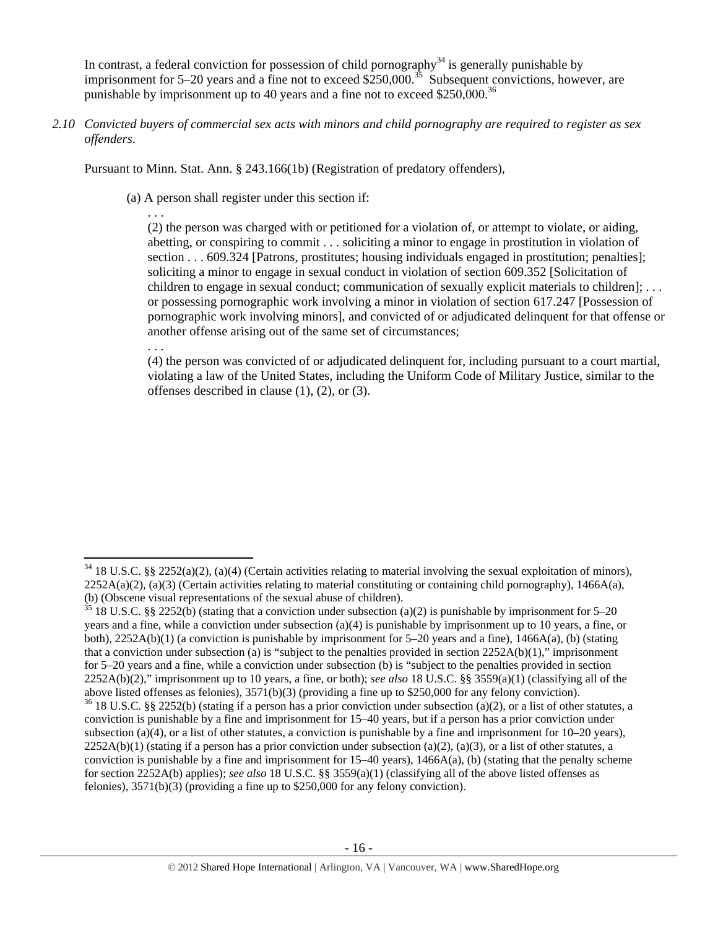In contrast, a federal conviction for possession of child pornography<sup>34</sup> is generally punishable by imprisonment for 5–20 years and a fine not to exceed  $\frac{$250,000^3}{5}$  Subsequent convictions, however, are punishable by imprisonment up to 40 years and a fine not to exceed \$250,000.<sup>36</sup>

*2.10 Convicted buyers of commercial sex acts with minors and child pornography are required to register as sex offenders*.

Pursuant to Minn. Stat. Ann. § 243.166(1b) (Registration of predatory offenders),

(a) A person shall register under this section if:

. . .

(2) the person was charged with or petitioned for a violation of, or attempt to violate, or aiding, abetting, or conspiring to commit . . . soliciting a minor to engage in prostitution in violation of section . . . 609.324 [Patrons, prostitutes; housing individuals engaged in prostitution; penalties]; soliciting a minor to engage in sexual conduct in violation of section 609.352 [Solicitation of children to engage in sexual conduct; communication of sexually explicit materials to children]; . . . or possessing pornographic work involving a minor in violation of section 617.247 [Possession of pornographic work involving minors], and convicted of or adjudicated delinquent for that offense or another offense arising out of the same set of circumstances;

. . .

(4) the person was convicted of or adjudicated delinquent for, including pursuant to a court martial, violating a law of the United States, including the Uniform Code of Military Justice, similar to the offenses described in clause (1), (2), or (3).

  $34$  18 U.S.C. §§ 2252(a)(2), (a)(4) (Certain activities relating to material involving the sexual exploitation of minors),  $2252A(a)(2)$ ,  $(a)(3)$  (Certain activities relating to material constituting or containing child pornography), 1466A(a), (b) (Obscene visual representations of the sexual abuse of children).

 $35$  18 U.S.C. §§ 2252(b) (stating that a conviction under subsection (a)(2) is punishable by imprisonment for 5–20 years and a fine, while a conviction under subsection (a)(4) is punishable by imprisonment up to 10 years, a fine, or both), 2252A(b)(1) (a conviction is punishable by imprisonment for 5–20 years and a fine), 1466A(a), (b) (stating that a conviction under subsection (a) is "subject to the penalties provided in section  $2252A(b)(1)$ ," imprisonment for 5–20 years and a fine, while a conviction under subsection (b) is "subject to the penalties provided in section 2252A(b)(2)," imprisonment up to 10 years, a fine, or both); *see also* 18 U.S.C. §§ 3559(a)(1) (classifying all of the above listed offenses as felonies), 3571(b)(3) (providing a fine up to \$250,000 for any felony conviction).  $36\,18$  U.S.C. §§ 2252(b) (stating if a person has a prior conviction under subsection (a)(2), or a list of other statutes, a

conviction is punishable by a fine and imprisonment for 15–40 years, but if a person has a prior conviction under subsection (a)(4), or a list of other statutes, a conviction is punishable by a fine and imprisonment for  $10-20$  years),  $2252A(b)(1)$  (stating if a person has a prior conviction under subsection (a)(2), (a)(3), or a list of other statutes, a conviction is punishable by a fine and imprisonment for  $15-40$  years),  $1466A(a)$ , (b) (stating that the penalty scheme for section 2252A(b) applies); *see also* 18 U.S.C. §§ 3559(a)(1) (classifying all of the above listed offenses as felonies), 3571(b)(3) (providing a fine up to \$250,000 for any felony conviction).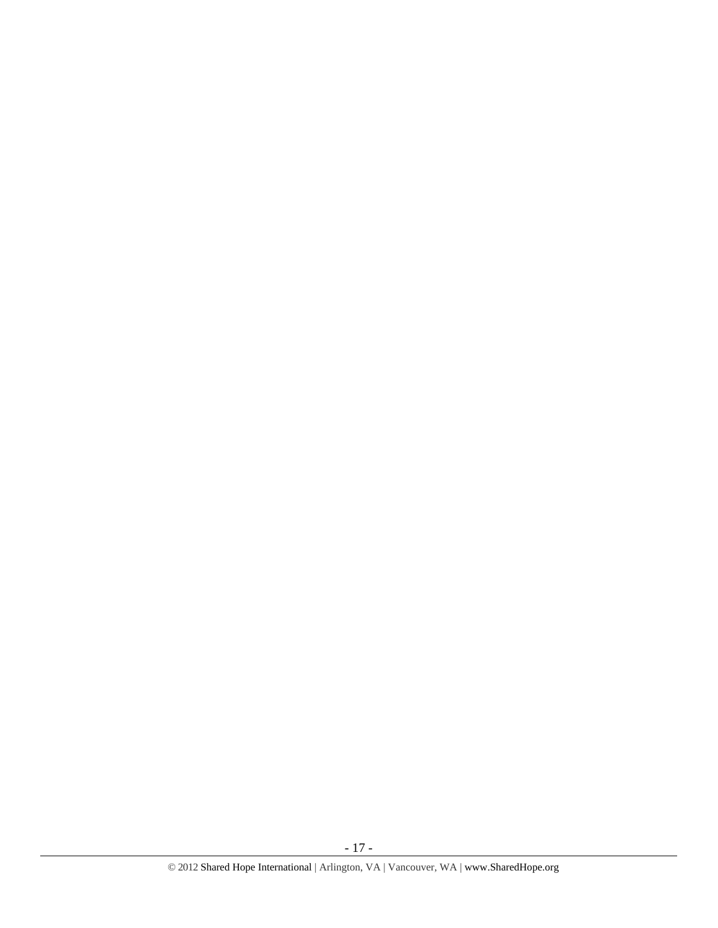© 2012 Shared Hope International | Arlington, VA | Vancouver, WA | www.SharedHope.org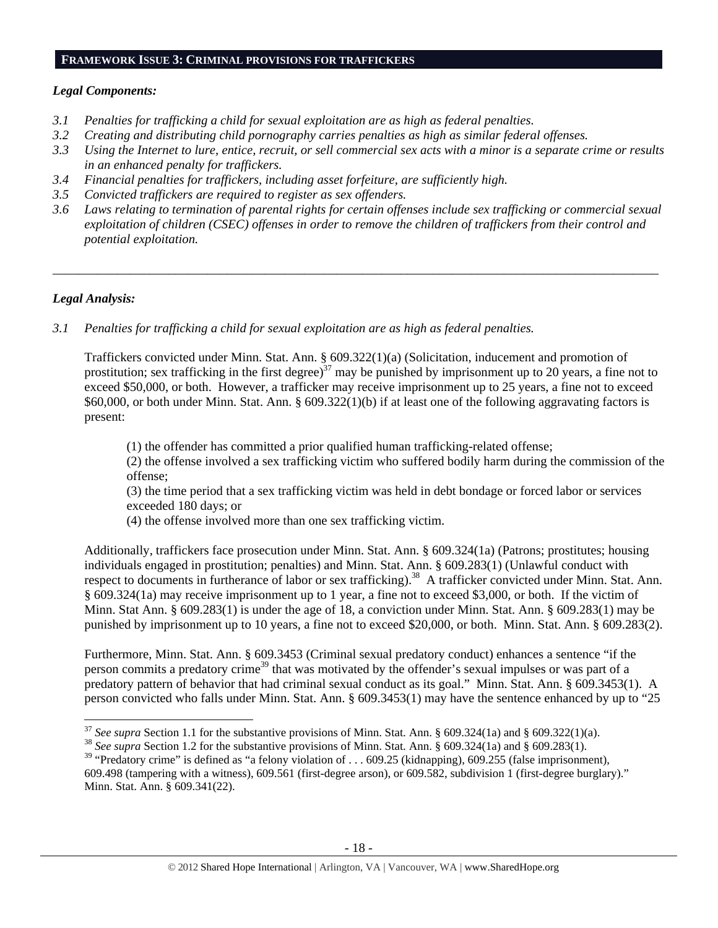#### **FRAMEWORK ISSUE 3: CRIMINAL PROVISIONS FOR TRAFFICKERS**

# *Legal Components:*

- *3.1 Penalties for trafficking a child for sexual exploitation are as high as federal penalties.*
- *3.2 Creating and distributing child pornography carries penalties as high as similar federal offenses.*
- *3.3 Using the Internet to lure, entice, recruit, or sell commercial sex acts with a minor is a separate crime or results in an enhanced penalty for traffickers.*
- *3.4 Financial penalties for traffickers, including asset forfeiture, are sufficiently high.*
- *3.5 Convicted traffickers are required to register as sex offenders.*
- *3.6 Laws relating to termination of parental rights for certain offenses include sex trafficking or commercial sexual exploitation of children (CSEC) offenses in order to remove the children of traffickers from their control and potential exploitation.*

*\_\_\_\_\_\_\_\_\_\_\_\_\_\_\_\_\_\_\_\_\_\_\_\_\_\_\_\_\_\_\_\_\_\_\_\_\_\_\_\_\_\_\_\_\_\_\_\_\_\_\_\_\_\_\_\_\_\_\_\_\_\_\_\_\_\_\_\_\_\_\_\_\_\_\_\_\_\_\_\_\_\_\_\_\_\_\_\_\_\_\_\_\_\_* 

# *Legal Analysis:*

*3.1 Penalties for trafficking a child for sexual exploitation are as high as federal penalties.* 

Traffickers convicted under Minn. Stat. Ann. § 609.322(1)(a) (Solicitation, inducement and promotion of prostitution; sex trafficking in the first degree)<sup>37</sup> may be punished by imprisonment up to 20 years, a fine not to exceed \$50,000, or both. However, a trafficker may receive imprisonment up to 25 years, a fine not to exceed \$60,000, or both under Minn. Stat. Ann. § 609.322(1)(b) if at least one of the following aggravating factors is present:

(1) the offender has committed a prior qualified human trafficking-related offense;

(2) the offense involved a sex trafficking victim who suffered bodily harm during the commission of the offense;

(3) the time period that a sex trafficking victim was held in debt bondage or forced labor or services exceeded 180 days; or

(4) the offense involved more than one sex trafficking victim.

Additionally, traffickers face prosecution under Minn. Stat. Ann. § 609.324(1a) (Patrons; prostitutes; housing individuals engaged in prostitution; penalties) and Minn. Stat. Ann. § 609.283(1) (Unlawful conduct with respect to documents in furtherance of labor or sex trafficking).<sup>38</sup> A trafficker convicted under Minn. Stat. Ann. § 609.324(1a) may receive imprisonment up to 1 year, a fine not to exceed \$3,000, or both. If the victim of Minn. Stat Ann. § 609.283(1) is under the age of 18, a conviction under Minn. Stat. Ann. § 609.283(1) may be punished by imprisonment up to 10 years, a fine not to exceed \$20,000, or both. Minn. Stat. Ann. § 609.283(2).

Furthermore, Minn. Stat. Ann. § 609.3453 (Criminal sexual predatory conduct) enhances a sentence "if the person commits a predatory crime<sup>39</sup> that was motivated by the offender's sexual impulses or was part of a predatory pattern of behavior that had criminal sexual conduct as its goal." Minn. Stat. Ann. § 609.3453(1). A person convicted who falls under Minn. Stat. Ann. § 609.3453(1) may have the sentence enhanced by up to "25

 <sup>37</sup> See supra Section 1.1 for the substantive provisions of Minn. Stat. Ann. § 609.324(1a) and § 609.322(1)(a).<br><sup>38</sup> See supra Section 1.2 for the substantive provisions of Minn. Stat. Ann. § 609.324(1a) and § 609.283(1)

<sup>&</sup>lt;sup>39</sup> "Predatory crime" is defined as "a felony violation of  $\dots$  609.25 (kidnapping), 609.255 (false imprisonment), 609.498 (tampering with a witness), 609.561 (first-degree arson), or 609.582, subdivision 1 (first-degree burglary)." Minn. Stat. Ann. § 609.341(22).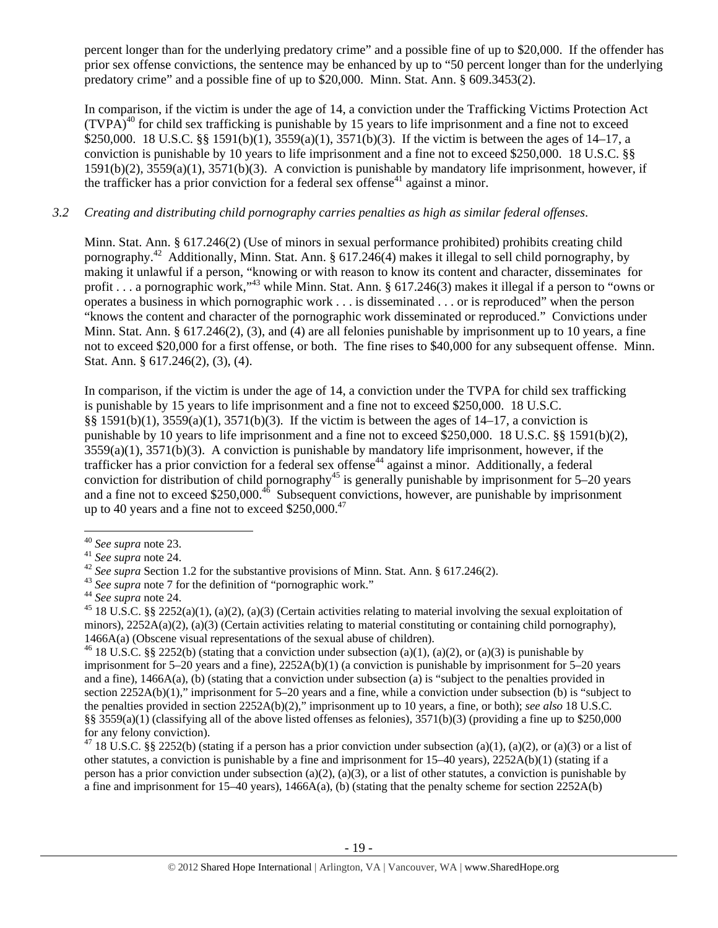percent longer than for the underlying predatory crime" and a possible fine of up to \$20,000. If the offender has prior sex offense convictions, the sentence may be enhanced by up to "50 percent longer than for the underlying predatory crime" and a possible fine of up to \$20,000. Minn. Stat. Ann. § 609.3453(2).

In comparison, if the victim is under the age of 14, a conviction under the Trafficking Victims Protection Act  $(TVPA)<sup>40</sup>$  for child sex trafficking is punishable by 15 years to life imprisonment and a fine not to exceed \$250,000. 18 U.S.C. §§ 1591(b)(1), 3559(a)(1), 3571(b)(3). If the victim is between the ages of 14–17, a conviction is punishable by 10 years to life imprisonment and a fine not to exceed \$250,000. 18 U.S.C. §§ 1591(b)(2), 3559(a)(1), 3571(b)(3). A conviction is punishable by mandatory life imprisonment, however, if the trafficker has a prior conviction for a federal sex offense<sup>41</sup> against a minor.

# *3.2 Creating and distributing child pornography carries penalties as high as similar federal offenses*.

Minn. Stat. Ann. § 617.246(2) (Use of minors in sexual performance prohibited) prohibits creating child pornography.42 Additionally, Minn. Stat. Ann. § 617.246(4) makes it illegal to sell child pornography, by making it unlawful if a person, "knowing or with reason to know its content and character, disseminates for profit . . . a pornographic work,"43 while Minn. Stat. Ann. § 617.246(3) makes it illegal if a person to "owns or operates a business in which pornographic work . . . is disseminated . . . or is reproduced" when the person "knows the content and character of the pornographic work disseminated or reproduced." Convictions under Minn. Stat. Ann. § 617.246(2), (3), and (4) are all felonies punishable by imprisonment up to 10 years, a fine not to exceed \$20,000 for a first offense, or both. The fine rises to \$40,000 for any subsequent offense. Minn. Stat. Ann. § 617.246(2), (3), (4).

In comparison, if the victim is under the age of 14, a conviction under the TVPA for child sex trafficking is punishable by 15 years to life imprisonment and a fine not to exceed \$250,000. 18 U.S.C.  $§§ 1591(b)(1), 3559(a)(1), 3571(b)(3).$  If the victim is between the ages of  $14-17$ , a conviction is punishable by 10 years to life imprisonment and a fine not to exceed \$250,000. 18 U.S.C. §§ 1591(b)(2), 3559(a)(1), 3571(b)(3). A conviction is punishable by mandatory life imprisonment, however, if the trafficker has a prior conviction for a federal sex offense<sup>44</sup> against a minor. Additionally, a federal conviction for distribution of child pornography<sup>45</sup> is generally punishable by imprisonment for  $5-20$  years and a fine not to exceed \$250,000.<sup>46</sup> Subsequent convictions, however, are punishable by imprisonment up to 40 years and a fine not to exceed  $$250,000.<sup>47</sup>$ 

<sup>&</sup>lt;sup>40</sup> See supra note 23.<br>
<sup>41</sup> See supra note 24.<br>
<sup>42</sup> See supra Section 1.2 for the substantive provisions of Minn. Stat. Ann. § 617.246(2).<br>
<sup>42</sup> See supra note 7 for the definition of "pornographic work."<br>
<sup>44</sup> See sup minors),  $2252A(a)(2)$ , (a)(3) (Certain activities relating to material constituting or containing child pornography), 1466A(a) (Obscene visual representations of the sexual abuse of children).<br><sup>46</sup> 18 U.S.C. §§ 2252(b) (stating that a conviction under subsection (a)(1), (a)(2), or (a)(3) is punishable by

imprisonment for 5–20 years and a fine), 2252A(b)(1) (a conviction is punishable by imprisonment for 5–20 years and a fine), 1466A(a), (b) (stating that a conviction under subsection (a) is "subject to the penalties provided in section 2252A(b)(1)," imprisonment for 5–20 years and a fine, while a conviction under subsection (b) is "subject to the penalties provided in section 2252A(b)(2)," imprisonment up to 10 years, a fine, or both); *see also* 18 U.S.C. §§ 3559(a)(1) (classifying all of the above listed offenses as felonies),  $3571(b)(3)$  (providing a fine up to \$250,000 for any felony conviction).

<sup>&</sup>lt;sup>47</sup> 18 U.S.C. §§ 2252(b) (stating if a person has a prior conviction under subsection (a)(1), (a)(2), or (a)(3) or a list of other statutes, a conviction is punishable by a fine and imprisonment for  $15-40$  years),  $2252A(b)(1)$  (stating if a person has a prior conviction under subsection (a)(2), (a)(3), or a list of other statutes, a conviction is punishable by a fine and imprisonment for 15–40 years), 1466A(a), (b) (stating that the penalty scheme for section 2252A(b)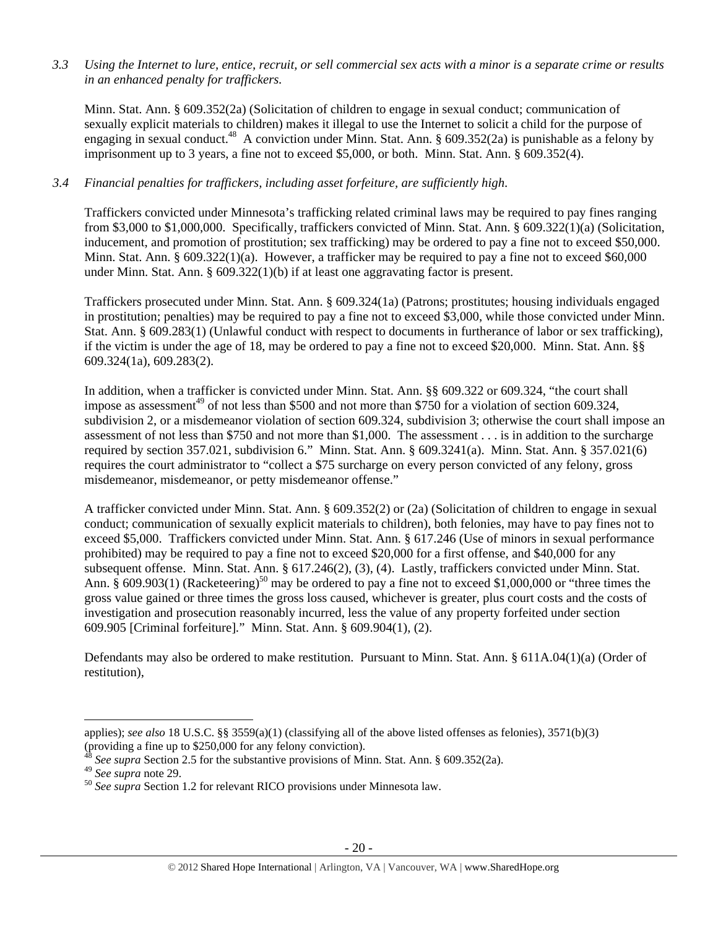*3.3 Using the Internet to lure, entice, recruit, or sell commercial sex acts with a minor is a separate crime or results in an enhanced penalty for traffickers.* 

Minn. Stat. Ann. § 609.352(2a) (Solicitation of children to engage in sexual conduct; communication of sexually explicit materials to children) makes it illegal to use the Internet to solicit a child for the purpose of engaging in sexual conduct.<sup>48</sup> A conviction under Minn. Stat. Ann. § 609.352(2a) is punishable as a felony by imprisonment up to 3 years, a fine not to exceed \$5,000, or both. Minn. Stat. Ann. § 609.352(4).

# *3.4 Financial penalties for traffickers, including asset forfeiture, are sufficiently high*.

Traffickers convicted under Minnesota's trafficking related criminal laws may be required to pay fines ranging from \$3,000 to \$1,000,000. Specifically, traffickers convicted of Minn. Stat. Ann. § 609.322(1)(a) (Solicitation, inducement, and promotion of prostitution; sex trafficking) may be ordered to pay a fine not to exceed \$50,000. Minn. Stat. Ann.  $\S 609.322(1)(a)$ . However, a trafficker may be required to pay a fine not to exceed \$60,000 under Minn. Stat. Ann. § 609.322(1)(b) if at least one aggravating factor is present.

Traffickers prosecuted under Minn. Stat. Ann. § 609.324(1a) (Patrons; prostitutes; housing individuals engaged in prostitution; penalties) may be required to pay a fine not to exceed \$3,000, while those convicted under Minn. Stat. Ann. § 609.283(1) (Unlawful conduct with respect to documents in furtherance of labor or sex trafficking), if the victim is under the age of 18, may be ordered to pay a fine not to exceed \$20,000. Minn. Stat. Ann. §§ 609.324(1a), 609.283(2).

In addition, when a trafficker is convicted under Minn. Stat. Ann. §§ 609.322 or 609.324, "the court shall impose as assessment<sup>49</sup> of not less than \$500 and not more than \$750 for a violation of section 609.324, subdivision 2, or a misdemeanor violation of section 609.324, subdivision 3; otherwise the court shall impose an assessment of not less than \$750 and not more than \$1,000. The assessment . . . is in addition to the surcharge required by section 357.021, subdivision 6." Minn. Stat. Ann. § 609.3241(a). Minn. Stat. Ann. § 357.021(6) requires the court administrator to "collect a \$75 surcharge on every person convicted of any felony, gross misdemeanor, misdemeanor, or petty misdemeanor offense."

A trafficker convicted under Minn. Stat. Ann. § 609.352(2) or (2a) (Solicitation of children to engage in sexual conduct; communication of sexually explicit materials to children), both felonies, may have to pay fines not to exceed \$5,000. Traffickers convicted under Minn. Stat. Ann. § 617.246 (Use of minors in sexual performance prohibited) may be required to pay a fine not to exceed \$20,000 for a first offense, and \$40,000 for any subsequent offense. Minn. Stat. Ann. § 617.246(2), (3), (4). Lastly, traffickers convicted under Minn. Stat. Ann.  $\hat{\S}$  609.903(1) (Racketeering)<sup>50</sup> may be ordered to pay a fine not to exceed \$1,000,000 or "three times the gross value gained or three times the gross loss caused, whichever is greater, plus court costs and the costs of investigation and prosecution reasonably incurred, less the value of any property forfeited under section 609.905 [Criminal forfeiture]." Minn. Stat. Ann. § 609.904(1), (2).

Defendants may also be ordered to make restitution. Pursuant to Minn. Stat. Ann. § 611A.04(1)(a) (Order of restitution),

applies); *see also* 18 U.S.C. §§ 3559(a)(1) (classifying all of the above listed offenses as felonies), 3571(b)(3) (providing a fine up to \$250,000 for any felony conviction).

<sup>&</sup>lt;sup>48</sup> *See supra* Section 2.5 for the substantive provisions of Minn. Stat. Ann. § 609.352(2a). <sup>49</sup> *See supra* note 29.

<sup>&</sup>lt;sup>50</sup> See supra Section 1.2 for relevant RICO provisions under Minnesota law.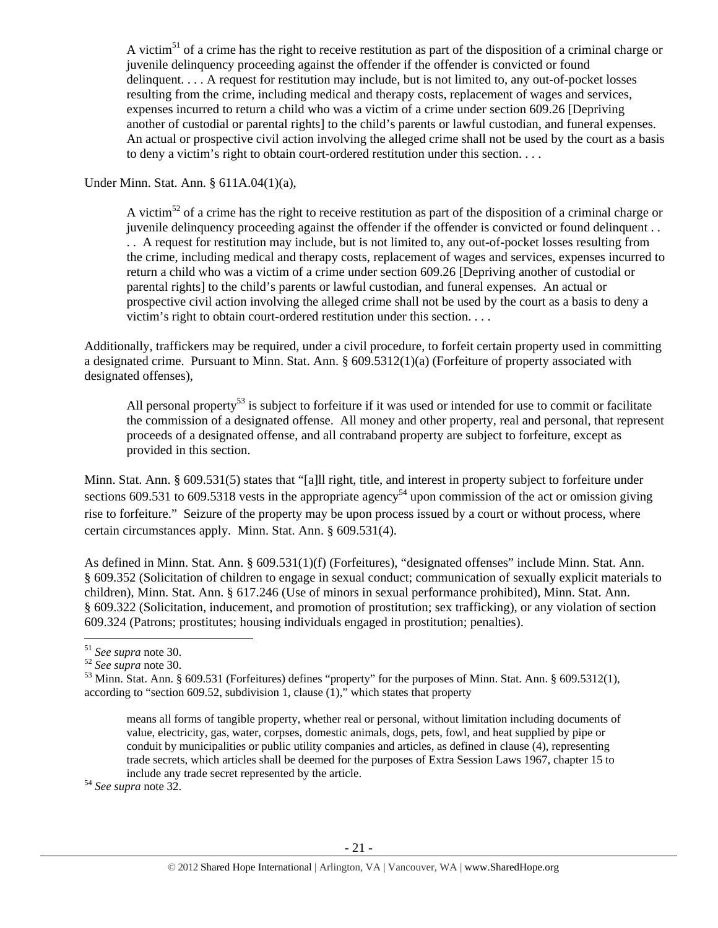A victim<sup>51</sup> of a crime has the right to receive restitution as part of the disposition of a criminal charge or juvenile delinquency proceeding against the offender if the offender is convicted or found delinquent. . . . A request for restitution may include, but is not limited to, any out-of-pocket losses resulting from the crime, including medical and therapy costs, replacement of wages and services, expenses incurred to return a child who was a victim of a crime under section 609.26 [Depriving another of custodial or parental rights] to the child's parents or lawful custodian, and funeral expenses. An actual or prospective civil action involving the alleged crime shall not be used by the court as a basis to deny a victim's right to obtain court-ordered restitution under this section. . . .

Under Minn. Stat. Ann. § 611A.04(1)(a),

A victim<sup>52</sup> of a crime has the right to receive restitution as part of the disposition of a criminal charge or juvenile delinquency proceeding against the offender if the offender is convicted or found delinquent . . . . A request for restitution may include, but is not limited to, any out-of-pocket losses resulting from the crime, including medical and therapy costs, replacement of wages and services, expenses incurred to return a child who was a victim of a crime under section 609.26 [Depriving another of custodial or parental rights] to the child's parents or lawful custodian, and funeral expenses. An actual or prospective civil action involving the alleged crime shall not be used by the court as a basis to deny a victim's right to obtain court-ordered restitution under this section. . . .

Additionally, traffickers may be required, under a civil procedure, to forfeit certain property used in committing a designated crime. Pursuant to Minn. Stat. Ann. § 609.5312(1)(a) (Forfeiture of property associated with designated offenses),

All personal property<sup>53</sup> is subject to forfeiture if it was used or intended for use to commit or facilitate the commission of a designated offense. All money and other property, real and personal, that represent proceeds of a designated offense, and all contraband property are subject to forfeiture, except as provided in this section.

Minn. Stat. Ann. § 609.531(5) states that "[a]ll right, title, and interest in property subject to forfeiture under sections 609.531 to 609.5318 vests in the appropriate agency<sup>54</sup> upon commission of the act or omission giving rise to forfeiture." Seizure of the property may be upon process issued by a court or without process, where certain circumstances apply. Minn. Stat. Ann. § 609.531(4).

As defined in Minn. Stat. Ann. § 609.531(1)(f) (Forfeitures), "designated offenses" include Minn. Stat. Ann. § 609.352 (Solicitation of children to engage in sexual conduct; communication of sexually explicit materials to children), Minn. Stat. Ann. § 617.246 (Use of minors in sexual performance prohibited), Minn. Stat. Ann. § 609.322 (Solicitation, inducement, and promotion of prostitution; sex trafficking), or any violation of section 609.324 (Patrons; prostitutes; housing individuals engaged in prostitution; penalties).

<sup>&</sup>lt;sup>51</sup> See supra note 30.

<sup>&</sup>lt;sup>52</sup> *See supra* note 30.<br><sup>53</sup> Minn. Stat. Ann. § 609.531 (Forfeitures) defines "property" for the purposes of Minn. Stat. Ann. § 609.5312(1), according to "section 609.52, subdivision 1, clause (1)," which states that property

means all forms of tangible property, whether real or personal, without limitation including documents of value, electricity, gas, water, corpses, domestic animals, dogs, pets, fowl, and heat supplied by pipe or conduit by municipalities or public utility companies and articles, as defined in clause (4), representing trade secrets, which articles shall be deemed for the purposes of Extra Session Laws 1967, chapter 15 to include any trade secret represented by the article. 54 *See supra* note 32.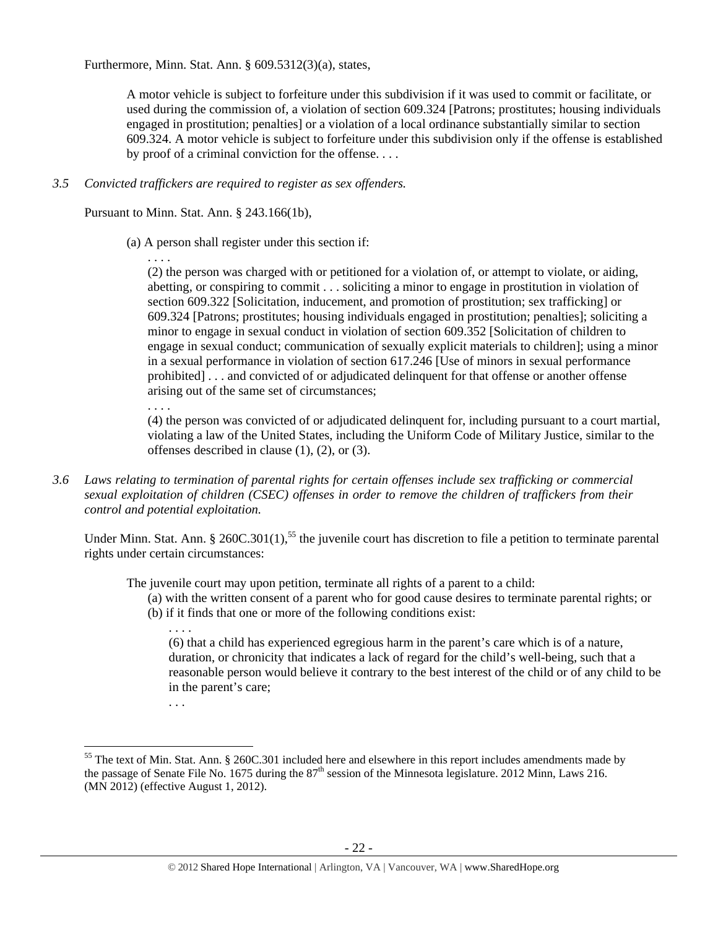Furthermore, Minn. Stat. Ann. § 609.5312(3)(a), states,

A motor vehicle is subject to forfeiture under this subdivision if it was used to commit or facilitate, or used during the commission of, a violation of section 609.324 [Patrons; prostitutes; housing individuals engaged in prostitution; penalties] or a violation of a local ordinance substantially similar to section 609.324. A motor vehicle is subject to forfeiture under this subdivision only if the offense is established by proof of a criminal conviction for the offense. . . .

*3.5 Convicted traffickers are required to register as sex offenders.*

Pursuant to Minn. Stat. Ann. § 243.166(1b),

(a) A person shall register under this section if:

. . . . (2) the person was charged with or petitioned for a violation of, or attempt to violate, or aiding, abetting, or conspiring to commit . . . soliciting a minor to engage in prostitution in violation of section 609.322 [Solicitation, inducement, and promotion of prostitution; sex trafficking] or 609.324 [Patrons; prostitutes; housing individuals engaged in prostitution; penalties]; soliciting a minor to engage in sexual conduct in violation of section 609.352 [Solicitation of children to engage in sexual conduct; communication of sexually explicit materials to children]; using a minor in a sexual performance in violation of section 617.246 [Use of minors in sexual performance prohibited] . . . and convicted of or adjudicated delinquent for that offense or another offense arising out of the same set of circumstances;

. . . .

(4) the person was convicted of or adjudicated delinquent for, including pursuant to a court martial, violating a law of the United States, including the Uniform Code of Military Justice, similar to the offenses described in clause (1), (2), or (3).

*3.6 Laws relating to termination of parental rights for certain offenses include sex trafficking or commercial sexual exploitation of children (CSEC) offenses in order to remove the children of traffickers from their control and potential exploitation.* 

Under Minn. Stat. Ann. § 260C.301(1),<sup>55</sup> the juvenile court has discretion to file a petition to terminate parental rights under certain circumstances:

The juvenile court may upon petition, terminate all rights of a parent to a child:

(a) with the written consent of a parent who for good cause desires to terminate parental rights; or (b) if it finds that one or more of the following conditions exist:

. . . . (6) that a child has experienced egregious harm in the parent's care which is of a nature, duration, or chronicity that indicates a lack of regard for the child's well-being, such that a reasonable person would believe it contrary to the best interest of the child or of any child to be in the parent's care;

. . .

<sup>&</sup>lt;sup>55</sup> The text of Min. Stat. Ann. § 260C.301 included here and elsewhere in this report includes amendments made by the passage of Senate File No. 1675 during the 87<sup>th</sup> session of the Minnesota legislature. 2012 Minn, Laws 216. (MN 2012) (effective August 1, 2012).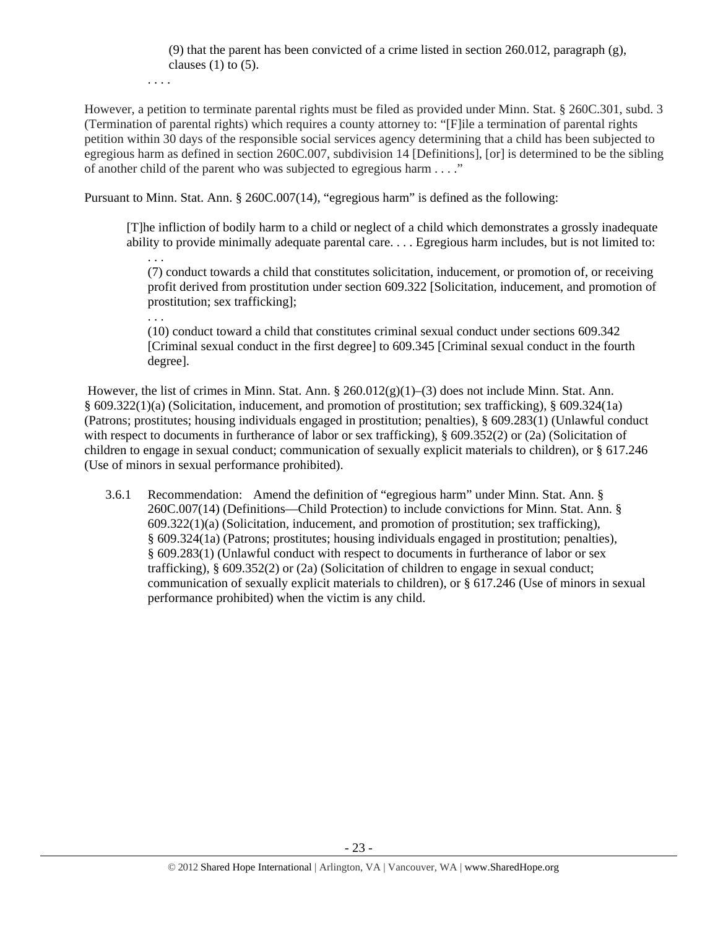(9) that the parent has been convicted of a crime listed in section 260.012, paragraph (g), clauses  $(1)$  to  $(5)$ .

. . . .

. . .

However, a petition to terminate parental rights must be filed as provided under Minn. Stat. § 260C.301, subd. 3 (Termination of parental rights) which requires a county attorney to: "[F]ile a termination of parental rights petition within 30 days of the responsible social services agency determining that a child has been subjected to egregious harm as defined in section 260C.007, subdivision 14 [Definitions], [or] is determined to be the sibling of another child of the parent who was subjected to egregious harm . . . ."

Pursuant to Minn. Stat. Ann. § 260C.007(14), "egregious harm" is defined as the following:

[T]he infliction of bodily harm to a child or neglect of a child which demonstrates a grossly inadequate ability to provide minimally adequate parental care. . . . Egregious harm includes, but is not limited to:

. . . (7) conduct towards a child that constitutes solicitation, inducement, or promotion of, or receiving profit derived from prostitution under section 609.322 [Solicitation, inducement, and promotion of prostitution; sex trafficking];

(10) conduct toward a child that constitutes criminal sexual conduct under sections 609.342 [Criminal sexual conduct in the first degree] to 609.345 [Criminal sexual conduct in the fourth degree].

However, the list of crimes in Minn. Stat. Ann.  $\S 260.012(g)(1)$ –(3) does not include Minn. Stat. Ann. § 609.322(1)(a) (Solicitation, inducement, and promotion of prostitution; sex trafficking), § 609.324(1a) (Patrons; prostitutes; housing individuals engaged in prostitution; penalties), § 609.283(1) (Unlawful conduct with respect to documents in furtherance of labor or sex trafficking), § 609.352(2) or (2a) (Solicitation of children to engage in sexual conduct; communication of sexually explicit materials to children), or § 617.246 (Use of minors in sexual performance prohibited).

3.6.1 Recommendation: Amend the definition of "egregious harm" under Minn. Stat. Ann. § 260C.007(14) (Definitions—Child Protection) to include convictions for Minn. Stat. Ann. § 609.322(1)(a) (Solicitation, inducement, and promotion of prostitution; sex trafficking), § 609.324(1a) (Patrons; prostitutes; housing individuals engaged in prostitution; penalties), § 609.283(1) (Unlawful conduct with respect to documents in furtherance of labor or sex trafficking), § 609.352(2) or (2a) (Solicitation of children to engage in sexual conduct; communication of sexually explicit materials to children), or § 617.246 (Use of minors in sexual performance prohibited) when the victim is any child.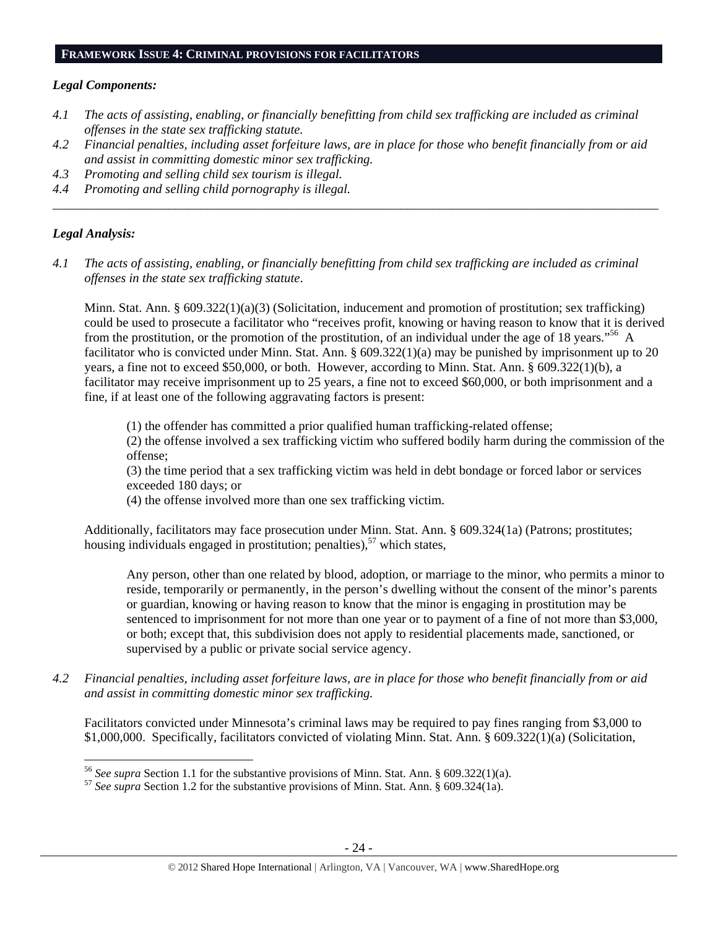#### **FRAMEWORK ISSUE 4: CRIMINAL PROVISIONS FOR FACILITATORS**

#### *Legal Components:*

- *4.1 The acts of assisting, enabling, or financially benefitting from child sex trafficking are included as criminal offenses in the state sex trafficking statute.*
- *4.2 Financial penalties, including asset forfeiture laws, are in place for those who benefit financially from or aid and assist in committing domestic minor sex trafficking.*

*\_\_\_\_\_\_\_\_\_\_\_\_\_\_\_\_\_\_\_\_\_\_\_\_\_\_\_\_\_\_\_\_\_\_\_\_\_\_\_\_\_\_\_\_\_\_\_\_\_\_\_\_\_\_\_\_\_\_\_\_\_\_\_\_\_\_\_\_\_\_\_\_\_\_\_\_\_\_\_\_\_\_\_\_\_\_\_\_\_\_\_\_\_\_* 

- *4.3 Promoting and selling child sex tourism is illegal.*
- *4.4 Promoting and selling child pornography is illegal.*

#### *Legal Analysis:*

*4.1 The acts of assisting, enabling, or financially benefitting from child sex trafficking are included as criminal offenses in the state sex trafficking statute*.

Minn. Stat. Ann. §  $609.322(1)(a)(3)$  (Solicitation, inducement and promotion of prostitution; sex trafficking) could be used to prosecute a facilitator who "receives profit, knowing or having reason to know that it is derived from the prostitution, or the promotion of the prostitution, of an individual under the age of 18 years."<sup>56</sup> A facilitator who is convicted under Minn. Stat. Ann. § 609.322(1)(a) may be punished by imprisonment up to 20 years, a fine not to exceed \$50,000, or both. However, according to Minn. Stat. Ann. § 609.322(1)(b), a facilitator may receive imprisonment up to 25 years, a fine not to exceed \$60,000, or both imprisonment and a fine, if at least one of the following aggravating factors is present:

(1) the offender has committed a prior qualified human trafficking-related offense;

(2) the offense involved a sex trafficking victim who suffered bodily harm during the commission of the offense;

(3) the time period that a sex trafficking victim was held in debt bondage or forced labor or services exceeded 180 days; or

(4) the offense involved more than one sex trafficking victim.

Additionally, facilitators may face prosecution under Minn. Stat. Ann. § 609.324(1a) (Patrons; prostitutes; housing individuals engaged in prostitution; penalties),  $57$  which states,

Any person, other than one related by blood, adoption, or marriage to the minor, who permits a minor to reside, temporarily or permanently, in the person's dwelling without the consent of the minor's parents or guardian, knowing or having reason to know that the minor is engaging in prostitution may be sentenced to imprisonment for not more than one year or to payment of a fine of not more than \$3,000, or both; except that, this subdivision does not apply to residential placements made, sanctioned, or supervised by a public or private social service agency.

*4.2 Financial penalties, including asset forfeiture laws, are in place for those who benefit financially from or aid and assist in committing domestic minor sex trafficking.* 

Facilitators convicted under Minnesota's criminal laws may be required to pay fines ranging from \$3,000 to \$1,000,000. Specifically, facilitators convicted of violating Minn. Stat. Ann. § 609.322(1)(a) (Solicitation,

<sup>&</sup>lt;sup>56</sup> See supra Section 1.1 for the substantive provisions of Minn. Stat. Ann. § 609.322(1)(a).

<sup>&</sup>lt;sup>57</sup> See supra Section 1.2 for the substantive provisions of Minn. Stat. Ann. § 609.324(1a).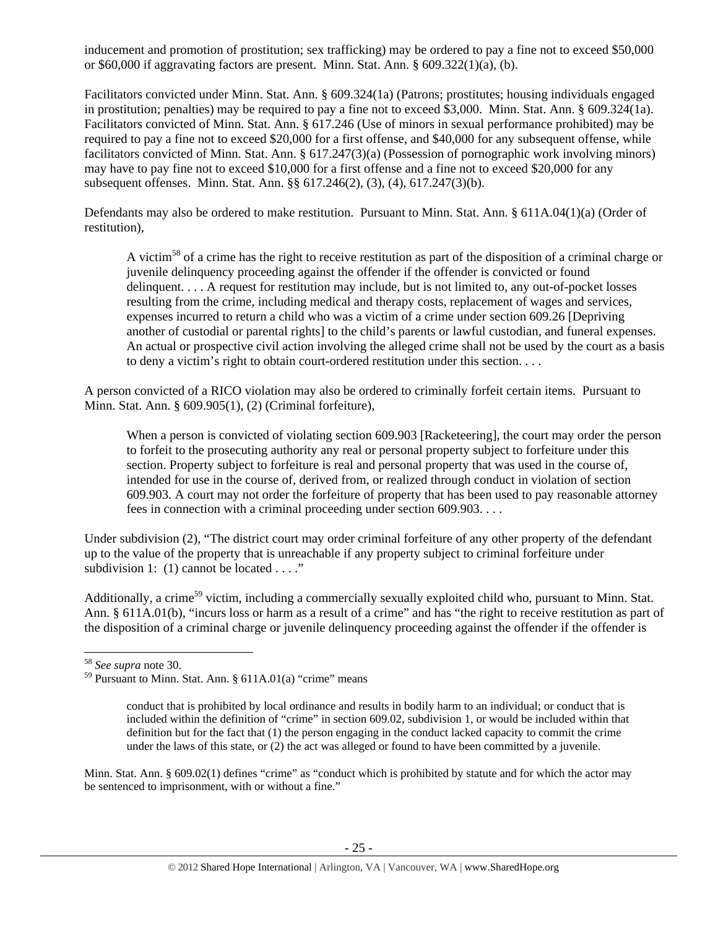inducement and promotion of prostitution; sex trafficking) may be ordered to pay a fine not to exceed \$50,000 or \$60,000 if aggravating factors are present. Minn. Stat. Ann. § 609.322(1)(a), (b).

Facilitators convicted under Minn. Stat. Ann. § 609.324(1a) (Patrons; prostitutes; housing individuals engaged in prostitution; penalties) may be required to pay a fine not to exceed \$3,000. Minn. Stat. Ann. § 609.324(1a). Facilitators convicted of Minn. Stat. Ann. § 617.246 (Use of minors in sexual performance prohibited) may be required to pay a fine not to exceed \$20,000 for a first offense, and \$40,000 for any subsequent offense, while facilitators convicted of Minn. Stat. Ann. § 617.247(3)(a) (Possession of pornographic work involving minors) may have to pay fine not to exceed \$10,000 for a first offense and a fine not to exceed \$20,000 for any subsequent offenses. Minn. Stat. Ann. §§ 617.246(2), (3), (4), 617.247(3)(b).

Defendants may also be ordered to make restitution. Pursuant to Minn. Stat. Ann. § 611A.04(1)(a) (Order of restitution),

A victim58 of a crime has the right to receive restitution as part of the disposition of a criminal charge or juvenile delinquency proceeding against the offender if the offender is convicted or found delinquent. . . . A request for restitution may include, but is not limited to, any out-of-pocket losses resulting from the crime, including medical and therapy costs, replacement of wages and services, expenses incurred to return a child who was a victim of a crime under section 609.26 [Depriving another of custodial or parental rights] to the child's parents or lawful custodian, and funeral expenses. An actual or prospective civil action involving the alleged crime shall not be used by the court as a basis to deny a victim's right to obtain court-ordered restitution under this section. . . .

A person convicted of a RICO violation may also be ordered to criminally forfeit certain items. Pursuant to Minn. Stat. Ann. § 609.905(1), (2) (Criminal forfeiture),

When a person is convicted of violating section 609.903 [Racketeering], the court may order the person to forfeit to the prosecuting authority any real or personal property subject to forfeiture under this section. Property subject to forfeiture is real and personal property that was used in the course of, intended for use in the course of, derived from, or realized through conduct in violation of section 609.903. A court may not order the forfeiture of property that has been used to pay reasonable attorney fees in connection with a criminal proceeding under section 609.903. . . .

Under subdivision (2), "The district court may order criminal forfeiture of any other property of the defendant up to the value of the property that is unreachable if any property subject to criminal forfeiture under subdivision 1: (1) cannot be located  $\dots$ ."

Additionally, a crime<sup>59</sup> victim, including a commercially sexually exploited child who, pursuant to Minn. Stat. Ann. § 611A.01(b), "incurs loss or harm as a result of a crime" and has "the right to receive restitution as part of the disposition of a criminal charge or juvenile delinquency proceeding against the offender if the offender is

Minn. Stat. Ann. § 609.02(1) defines "crime" as "conduct which is prohibited by statute and for which the actor may be sentenced to imprisonment, with or without a fine."

<sup>58</sup> *See supra* note 30.

 $59$  Pursuant to Minn. Stat. Ann. § 611A.01(a) "crime" means

conduct that is prohibited by local ordinance and results in bodily harm to an individual; or conduct that is included within the definition of "crime" in section 609.02, subdivision 1, or would be included within that definition but for the fact that (1) the person engaging in the conduct lacked capacity to commit the crime under the laws of this state, or (2) the act was alleged or found to have been committed by a juvenile.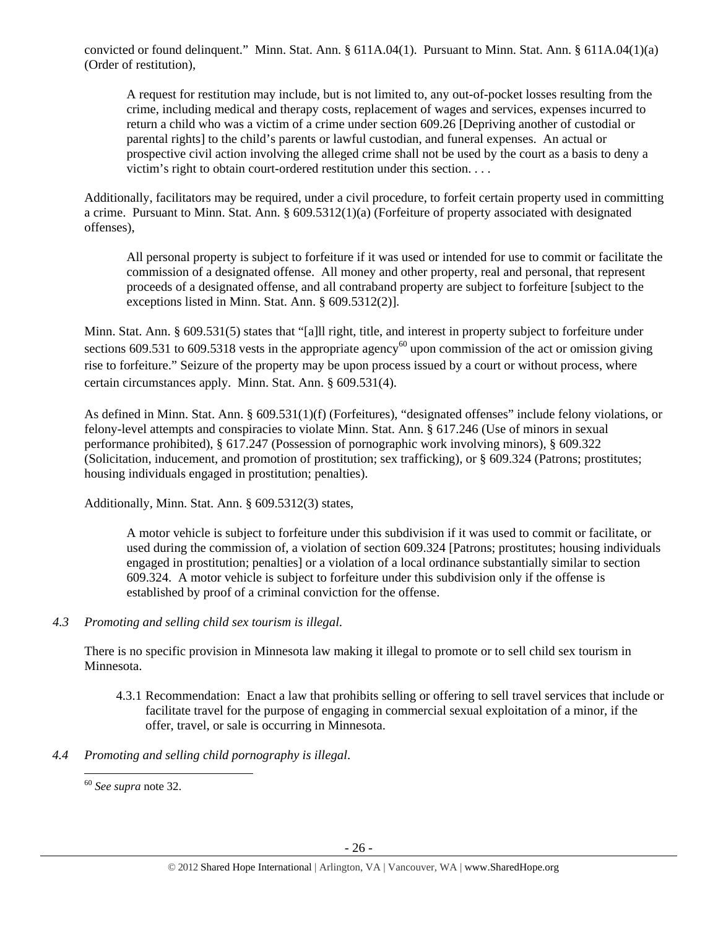convicted or found delinquent." Minn. Stat. Ann. § 611A.04(1). Pursuant to Minn. Stat. Ann. § 611A.04(1)(a) (Order of restitution),

A request for restitution may include, but is not limited to, any out-of-pocket losses resulting from the crime, including medical and therapy costs, replacement of wages and services, expenses incurred to return a child who was a victim of a crime under section 609.26 [Depriving another of custodial or parental rights] to the child's parents or lawful custodian, and funeral expenses. An actual or prospective civil action involving the alleged crime shall not be used by the court as a basis to deny a victim's right to obtain court-ordered restitution under this section. . . .

Additionally, facilitators may be required, under a civil procedure, to forfeit certain property used in committing a crime. Pursuant to Minn. Stat. Ann. § 609.5312(1)(a) (Forfeiture of property associated with designated offenses),

All personal property is subject to forfeiture if it was used or intended for use to commit or facilitate the commission of a designated offense. All money and other property, real and personal, that represent proceeds of a designated offense, and all contraband property are subject to forfeiture [subject to the exceptions listed in Minn. Stat. Ann. § 609.5312(2)].

Minn. Stat. Ann. § 609.531(5) states that "[a]ll right, title, and interest in property subject to forfeiture under sections 609.531 to 609.5318 vests in the appropriate agency<sup>60</sup> upon commission of the act or omission giving rise to forfeiture." Seizure of the property may be upon process issued by a court or without process, where certain circumstances apply. Minn. Stat. Ann. § 609.531(4).

As defined in Minn. Stat. Ann. § 609.531(1)(f) (Forfeitures), "designated offenses" include felony violations, or felony-level attempts and conspiracies to violate Minn. Stat. Ann. § 617.246 (Use of minors in sexual performance prohibited), § 617.247 (Possession of pornographic work involving minors), § 609.322 (Solicitation, inducement, and promotion of prostitution; sex trafficking), or § 609.324 (Patrons; prostitutes; housing individuals engaged in prostitution; penalties).

Additionally, Minn. Stat. Ann. § 609.5312(3) states,

A motor vehicle is subject to forfeiture under this subdivision if it was used to commit or facilitate, or used during the commission of, a violation of section 609.324 [Patrons; prostitutes; housing individuals engaged in prostitution; penalties] or a violation of a local ordinance substantially similar to section 609.324. A motor vehicle is subject to forfeiture under this subdivision only if the offense is established by proof of a criminal conviction for the offense.

# *4.3 Promoting and selling child sex tourism is illegal*.

There is no specific provision in Minnesota law making it illegal to promote or to sell child sex tourism in Minnesota.

4.3.1 Recommendation: Enact a law that prohibits selling or offering to sell travel services that include or facilitate travel for the purpose of engaging in commercial sexual exploitation of a minor, if the offer, travel, or sale is occurring in Minnesota.

# *4.4 Promoting and selling child pornography is illegal*.

<sup>60</sup> *See supra* note 32.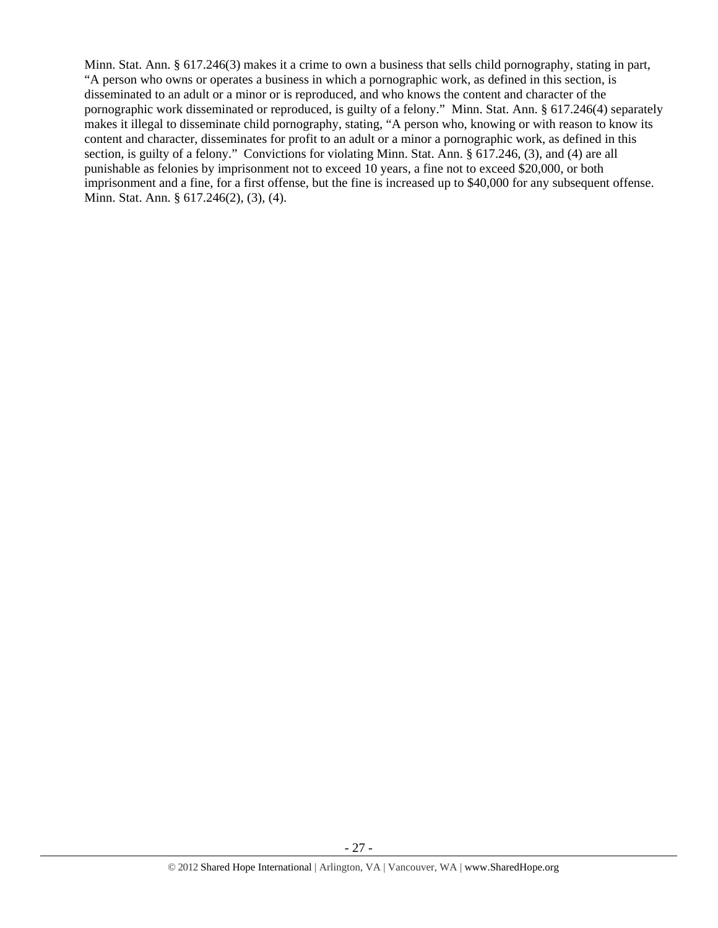Minn. Stat. Ann. § 617.246(3) makes it a crime to own a business that sells child pornography, stating in part, "A person who owns or operates a business in which a pornographic work, as defined in this section, is disseminated to an adult or a minor or is reproduced, and who knows the content and character of the pornographic work disseminated or reproduced, is guilty of a felony." Minn. Stat. Ann. § 617.246(4) separately makes it illegal to disseminate child pornography, stating, "A person who, knowing or with reason to know its content and character, disseminates for profit to an adult or a minor a pornographic work, as defined in this section, is guilty of a felony." Convictions for violating Minn. Stat. Ann. § 617.246, (3), and (4) are all punishable as felonies by imprisonment not to exceed 10 years, a fine not to exceed \$20,000, or both imprisonment and a fine, for a first offense, but the fine is increased up to \$40,000 for any subsequent offense. Minn. Stat. Ann. § 617.246(2), (3), (4).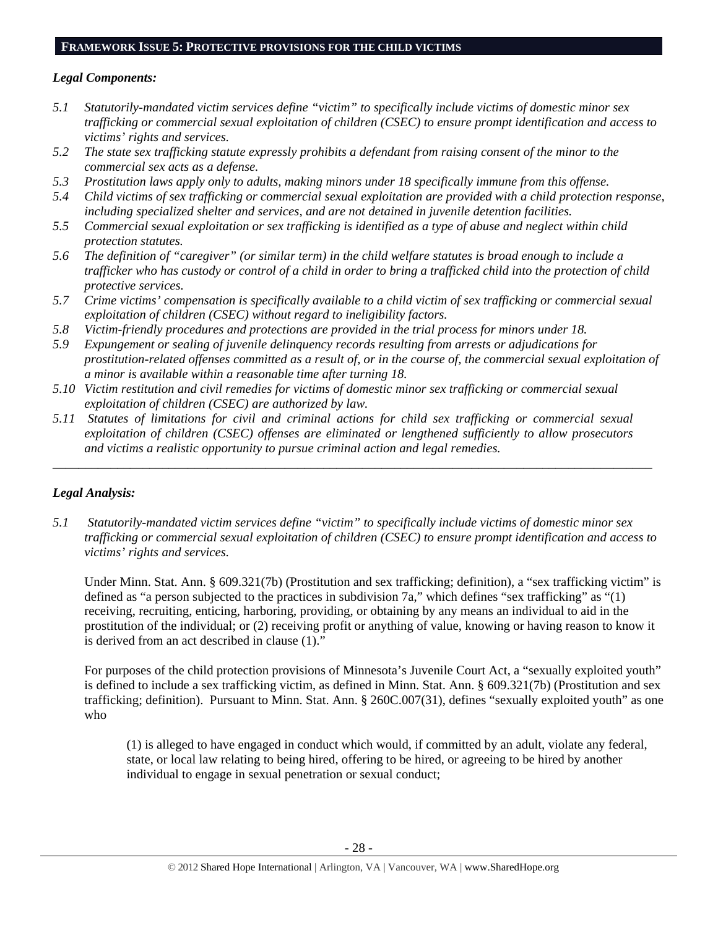#### **FRAMEWORK ISSUE 5: PROTECTIVE PROVISIONS FOR THE CHILD VICTIMS**

# *Legal Components:*

- *5.1 Statutorily-mandated victim services define "victim" to specifically include victims of domestic minor sex trafficking or commercial sexual exploitation of children (CSEC) to ensure prompt identification and access to victims' rights and services.*
- *5.2 The state sex trafficking statute expressly prohibits a defendant from raising consent of the minor to the commercial sex acts as a defense.*
- *5.3 Prostitution laws apply only to adults, making minors under 18 specifically immune from this offense.*
- *5.4 Child victims of sex trafficking or commercial sexual exploitation are provided with a child protection response, including specialized shelter and services, and are not detained in juvenile detention facilities.*
- *5.5 Commercial sexual exploitation or sex trafficking is identified as a type of abuse and neglect within child protection statutes.*
- *5.6 The definition of "caregiver" (or similar term) in the child welfare statutes is broad enough to include a trafficker who has custody or control of a child in order to bring a trafficked child into the protection of child protective services.*
- *5.7 Crime victims' compensation is specifically available to a child victim of sex trafficking or commercial sexual exploitation of children (CSEC) without regard to ineligibility factors.*
- *5.8 Victim-friendly procedures and protections are provided in the trial process for minors under 18.*
- *5.9 Expungement or sealing of juvenile delinquency records resulting from arrests or adjudications for prostitution-related offenses committed as a result of, or in the course of, the commercial sexual exploitation of a minor is available within a reasonable time after turning 18.*
- *5.10 Victim restitution and civil remedies for victims of domestic minor sex trafficking or commercial sexual exploitation of children (CSEC) are authorized by law.*
- *5.11 Statutes of limitations for civil and criminal actions for child sex trafficking or commercial sexual exploitation of children (CSEC) offenses are eliminated or lengthened sufficiently to allow prosecutors and victims a realistic opportunity to pursue criminal action and legal remedies.*

*\_\_\_\_\_\_\_\_\_\_\_\_\_\_\_\_\_\_\_\_\_\_\_\_\_\_\_\_\_\_\_\_\_\_\_\_\_\_\_\_\_\_\_\_\_\_\_\_\_\_\_\_\_\_\_\_\_\_\_\_\_\_\_\_\_\_\_\_\_\_\_\_\_\_\_\_\_\_\_\_\_\_\_\_\_\_\_\_\_\_\_\_\_* 

# *Legal Analysis:*

*5.1 Statutorily-mandated victim services define "victim" to specifically include victims of domestic minor sex trafficking or commercial sexual exploitation of children (CSEC) to ensure prompt identification and access to victims' rights and services.* 

Under Minn. Stat. Ann. § 609.321(7b) (Prostitution and sex trafficking; definition), a "sex trafficking victim" is defined as "a person subjected to the practices in subdivision 7a," which defines "sex trafficking" as "(1) receiving, recruiting, enticing, harboring, providing, or obtaining by any means an individual to aid in the prostitution of the individual; or (2) receiving profit or anything of value, knowing or having reason to know it is derived from an act described in clause (1)."

For purposes of the child protection provisions of Minnesota's Juvenile Court Act, a "sexually exploited youth" is defined to include a sex trafficking victim, as defined in Minn. Stat. Ann. § 609.321(7b) (Prostitution and sex trafficking; definition). Pursuant to Minn. Stat. Ann. § 260C.007(31), defines "sexually exploited youth" as one who

(1) is alleged to have engaged in conduct which would, if committed by an adult, violate any federal, state, or local law relating to being hired, offering to be hired, or agreeing to be hired by another individual to engage in sexual penetration or sexual conduct;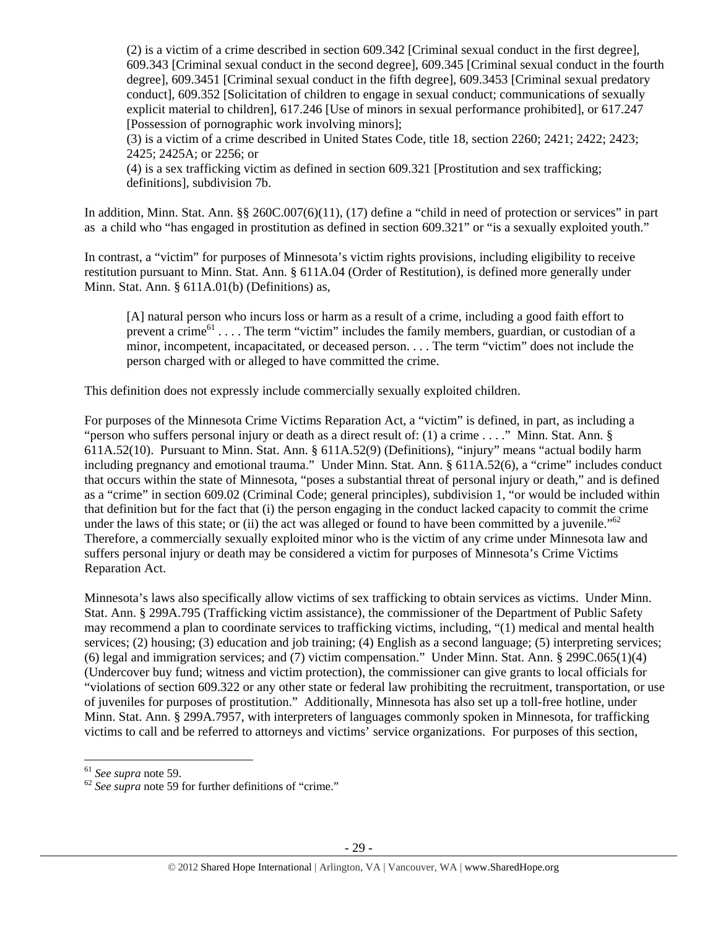(2) is a victim of a crime described in section 609.342 [Criminal sexual conduct in the first degree], 609.343 [Criminal sexual conduct in the second degree], 609.345 [Criminal sexual conduct in the fourth degree], 609.3451 [Criminal sexual conduct in the fifth degree], 609.3453 [Criminal sexual predatory conduct], 609.352 [Solicitation of children to engage in sexual conduct; communications of sexually explicit material to children], 617.246 [Use of minors in sexual performance prohibited], or 617.247 [Possession of pornographic work involving minors];

(3) is a victim of a crime described in United States Code, title 18, section 2260; 2421; 2422; 2423; 2425; 2425A; or 2256; or

(4) is a sex trafficking victim as defined in section 609.321 [Prostitution and sex trafficking; definitions], subdivision 7b.

In addition, Minn. Stat. Ann. §§ 260C.007(6)(11), (17) define a "child in need of protection or services" in part as a child who "has engaged in prostitution as defined in section 609.321" or "is a sexually exploited youth."

In contrast, a "victim" for purposes of Minnesota's victim rights provisions, including eligibility to receive restitution pursuant to Minn. Stat. Ann. § 611A.04 (Order of Restitution), is defined more generally under Minn. Stat. Ann. § 611A.01(b) (Definitions) as,

[A] natural person who incurs loss or harm as a result of a crime, including a good faith effort to prevent a crime<sup>61</sup> . . . . The term "victim" includes the family members, guardian, or custodian of a minor, incompetent, incapacitated, or deceased person. . . . The term "victim" does not include the person charged with or alleged to have committed the crime.

This definition does not expressly include commercially sexually exploited children.

For purposes of the Minnesota Crime Victims Reparation Act, a "victim" is defined, in part, as including a "person who suffers personal injury or death as a direct result of: (1) a crime . . . ." Minn. Stat. Ann. § 611A.52(10). Pursuant to Minn. Stat. Ann. § 611A.52(9) (Definitions), "injury" means "actual bodily harm including pregnancy and emotional trauma." Under Minn. Stat. Ann. § 611A.52(6), a "crime" includes conduct that occurs within the state of Minnesota, "poses a substantial threat of personal injury or death," and is defined as a "crime" in section 609.02 (Criminal Code; general principles), subdivision 1, "or would be included within that definition but for the fact that (i) the person engaging in the conduct lacked capacity to commit the crime under the laws of this state; or (ii) the act was alleged or found to have been committed by a juvenile." $62$ Therefore, a commercially sexually exploited minor who is the victim of any crime under Minnesota law and suffers personal injury or death may be considered a victim for purposes of Minnesota's Crime Victims Reparation Act.

Minnesota's laws also specifically allow victims of sex trafficking to obtain services as victims. Under Minn. Stat. Ann. § 299A.795 (Trafficking victim assistance), the commissioner of the Department of Public Safety may recommend a plan to coordinate services to trafficking victims, including, "(1) medical and mental health services; (2) housing; (3) education and job training; (4) English as a second language; (5) interpreting services; (6) legal and immigration services; and (7) victim compensation." Under Minn. Stat. Ann. § 299C.065(1)(4) (Undercover buy fund; witness and victim protection), the commissioner can give grants to local officials for "violations of section 609.322 or any other state or federal law prohibiting the recruitment, transportation, or use of juveniles for purposes of prostitution." Additionally, Minnesota has also set up a toll-free hotline, under Minn. Stat. Ann. § 299A.7957, with interpreters of languages commonly spoken in Minnesota, for trafficking victims to call and be referred to attorneys and victims' service organizations. For purposes of this section,

 $61$  See supra note 59.

<sup>&</sup>lt;sup>62</sup> See supra note 59 for further definitions of "crime."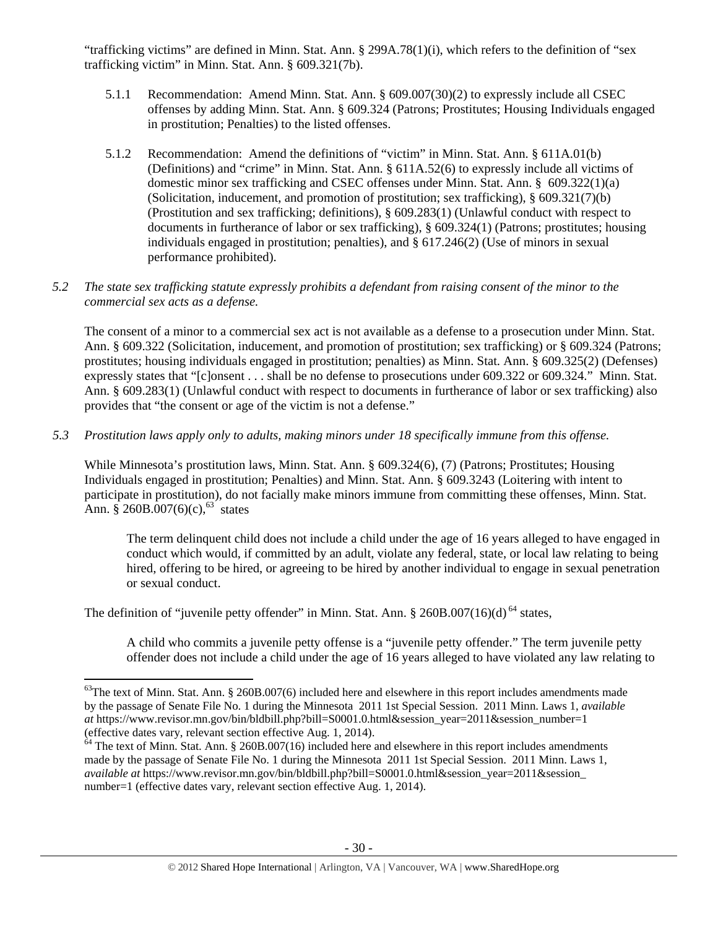"trafficking victims" are defined in Minn. Stat. Ann. § 299A.78(1)(i), which refers to the definition of "sex trafficking victim" in Minn. Stat. Ann. § 609.321(7b).

- 5.1.1 Recommendation: Amend Minn. Stat. Ann. § 609.007(30)(2) to expressly include all CSEC offenses by adding Minn. Stat. Ann. § 609.324 (Patrons; Prostitutes; Housing Individuals engaged in prostitution; Penalties) to the listed offenses.
- 5.1.2 Recommendation: Amend the definitions of "victim" in Minn. Stat. Ann. § 611A.01(b) (Definitions) and "crime" in Minn. Stat. Ann. § 611A.52(6) to expressly include all victims of domestic minor sex trafficking and CSEC offenses under Minn. Stat. Ann. § 609.322(1)(a) (Solicitation, inducement, and promotion of prostitution; sex trafficking), § 609.321(7)(b) (Prostitution and sex trafficking; definitions), § 609.283(1) (Unlawful conduct with respect to documents in furtherance of labor or sex trafficking), § 609.324(1) (Patrons; prostitutes; housing individuals engaged in prostitution; penalties), and § 617.246(2) (Use of minors in sexual performance prohibited).

# *5.2 The state sex trafficking statute expressly prohibits a defendant from raising consent of the minor to the commercial sex acts as a defense.*

The consent of a minor to a commercial sex act is not available as a defense to a prosecution under Minn. Stat. Ann. § 609.322 (Solicitation, inducement, and promotion of prostitution; sex trafficking) or § 609.324 (Patrons; prostitutes; housing individuals engaged in prostitution; penalties) as Minn. Stat. Ann. § 609.325(2) (Defenses) expressly states that "[c]onsent . . . shall be no defense to prosecutions under 609.322 or 609.324." Minn. Stat. Ann. § 609.283(1) (Unlawful conduct with respect to documents in furtherance of labor or sex trafficking) also provides that "the consent or age of the victim is not a defense."

*5.3 Prostitution laws apply only to adults, making minors under 18 specifically immune from this offense.* 

While Minnesota's prostitution laws, Minn. Stat. Ann. § 609.324(6), (7) (Patrons; Prostitutes; Housing Individuals engaged in prostitution; Penalties) and Minn. Stat. Ann. § 609.3243 (Loitering with intent to participate in prostitution), do not facially make minors immune from committing these offenses, Minn. Stat. Ann. § 260B.007(6)(c),  $^{63}$  states

The term delinquent child does not include a child under the age of 16 years alleged to have engaged in conduct which would, if committed by an adult, violate any federal, state, or local law relating to being hired, offering to be hired, or agreeing to be hired by another individual to engage in sexual penetration or sexual conduct.

The definition of "juvenile petty offender" in Minn. Stat. Ann.  $\S 260B.007(16)(d)^{64}$  states,

A child who commits a juvenile petty offense is a "juvenile petty offender." The term juvenile petty offender does not include a child under the age of 16 years alleged to have violated any law relating to

 $63$ The text of Minn. Stat. Ann. § 260B.007(6) included here and elsewhere in this report includes amendments made by the passage of Senate File No. 1 during the Minnesota 2011 1st Special Session. 2011 Minn. Laws 1, *available at* https://www.revisor.mn.gov/bin/bldbill.php?bill=S0001.0.html&session\_year=2011&session\_number=1 (effective dates vary, relevant section effective Aug. 1, 2014).

 $64$  The text of Minn. Stat. Ann. § 260B.007(16) included here and elsewhere in this report includes amendments made by the passage of Senate File No. 1 during the Minnesota 2011 1st Special Session. 2011 Minn. Laws 1, *available at* https://www.revisor.mn.gov/bin/bldbill.php?bill=S0001.0.html&session\_year=2011&session number=1 (effective dates vary, relevant section effective Aug. 1, 2014).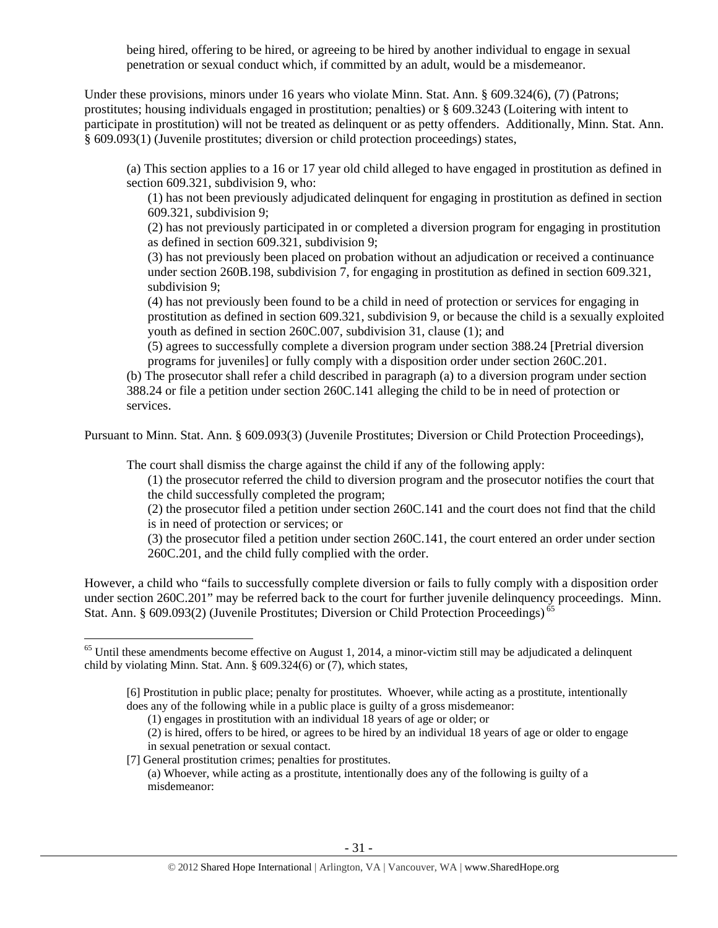being hired, offering to be hired, or agreeing to be hired by another individual to engage in sexual penetration or sexual conduct which, if committed by an adult, would be a misdemeanor.

Under these provisions, minors under 16 years who violate Minn. Stat. Ann. § 609.324(6), (7) (Patrons; prostitutes; housing individuals engaged in prostitution; penalties) or § 609.3243 (Loitering with intent to participate in prostitution) will not be treated as delinquent or as petty offenders. Additionally, Minn. Stat. Ann. § 609.093(1) (Juvenile prostitutes; diversion or child protection proceedings) states,

(a) This section applies to a 16 or 17 year old child alleged to have engaged in prostitution as defined in section 609.321, subdivision 9, who:

(1) has not been previously adjudicated delinquent for engaging in prostitution as defined in section 609.321, subdivision 9;

(2) has not previously participated in or completed a diversion program for engaging in prostitution as defined in section 609.321, subdivision 9;

(3) has not previously been placed on probation without an adjudication or received a continuance under section 260B.198, subdivision 7, for engaging in prostitution as defined in section 609.321, subdivision 9;

(4) has not previously been found to be a child in need of protection or services for engaging in prostitution as defined in section 609.321, subdivision 9, or because the child is a sexually exploited youth as defined in section 260C.007, subdivision 31, clause (1); and

(5) agrees to successfully complete a diversion program under section 388.24 [Pretrial diversion programs for juveniles] or fully comply with a disposition order under section 260C.201.

(b) The prosecutor shall refer a child described in paragraph (a) to a diversion program under section 388.24 or file a petition under section 260C.141 alleging the child to be in need of protection or services.

Pursuant to Minn. Stat. Ann. § 609.093(3) (Juvenile Prostitutes; Diversion or Child Protection Proceedings),

The court shall dismiss the charge against the child if any of the following apply:

(1) the prosecutor referred the child to diversion program and the prosecutor notifies the court that the child successfully completed the program;

(2) the prosecutor filed a petition under section 260C.141 and the court does not find that the child is in need of protection or services; or

(3) the prosecutor filed a petition under section 260C.141, the court entered an order under section 260C.201, and the child fully complied with the order.

However, a child who "fails to successfully complete diversion or fails to fully comply with a disposition order under section 260C.201" may be referred back to the court for further juvenile delinquency proceedings. Minn. Stat. Ann. § 609.093(2) (Juvenile Prostitutes; Diversion or Child Protection Proceedings)<sup>65</sup>

[7] General prostitution crimes; penalties for prostitutes.

(a) Whoever, while acting as a prostitute, intentionally does any of the following is guilty of a misdemeanor:

 $65$  Until these amendments become effective on August 1, 2014, a minor-victim still may be adjudicated a delinquent child by violating Minn. Stat. Ann. § 609.324(6) or (7), which states,

<sup>[6]</sup> Prostitution in public place; penalty for prostitutes. Whoever, while acting as a prostitute, intentionally does any of the following while in a public place is guilty of a gross misdemeanor:

<sup>(1)</sup> engages in prostitution with an individual 18 years of age or older; or

<sup>(2)</sup> is hired, offers to be hired, or agrees to be hired by an individual 18 years of age or older to engage in sexual penetration or sexual contact.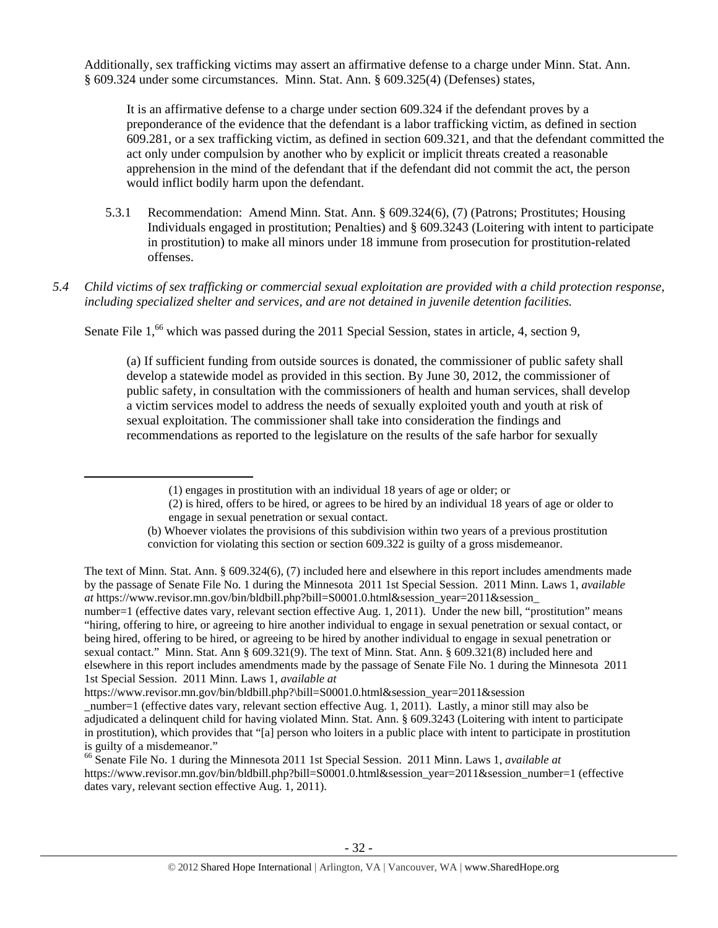Additionally, sex trafficking victims may assert an affirmative defense to a charge under Minn. Stat. Ann. § 609.324 under some circumstances. Minn. Stat. Ann. § 609.325(4) (Defenses) states,

It is an affirmative defense to a charge under section 609.324 if the defendant proves by a preponderance of the evidence that the defendant is a labor trafficking victim, as defined in section 609.281, or a sex trafficking victim, as defined in section 609.321, and that the defendant committed the act only under compulsion by another who by explicit or implicit threats created a reasonable apprehension in the mind of the defendant that if the defendant did not commit the act, the person would inflict bodily harm upon the defendant.

- 5.3.1 Recommendation: Amend Minn. Stat. Ann. § 609.324(6), (7) (Patrons; Prostitutes; Housing Individuals engaged in prostitution; Penalties) and § 609.3243 (Loitering with intent to participate in prostitution) to make all minors under 18 immune from prosecution for prostitution-related offenses.
- *5.4 Child victims of sex trafficking or commercial sexual exploitation are provided with a child protection response, including specialized shelter and services, and are not detained in juvenile detention facilities.*

Senate File 1,<sup>66</sup> which was passed during the 2011 Special Session, states in article, 4, section 9,

(a) If sufficient funding from outside sources is donated, the commissioner of public safety shall develop a statewide model as provided in this section. By June 30, 2012, the commissioner of public safety, in consultation with the commissioners of health and human services, shall develop a victim services model to address the needs of sexually exploited youth and youth at risk of sexual exploitation. The commissioner shall take into consideration the findings and recommendations as reported to the legislature on the results of the safe harbor for sexually

The text of Minn. Stat. Ann. § 609.324(6), (7) included here and elsewhere in this report includes amendments made by the passage of Senate File No. 1 during the Minnesota 2011 1st Special Session. 2011 Minn. Laws 1, *available at* https://www.revisor.mn.gov/bin/bldbill.php?bill=S0001.0.html&session\_year=2011&session\_ number=1 (effective dates vary, relevant section effective Aug. 1, 2011). Under the new bill, "prostitution" means "hiring, offering to hire, or agreeing to hire another individual to engage in sexual penetration or sexual contact, or

being hired, offering to be hired, or agreeing to be hired by another individual to engage in sexual penetration or sexual contact." Minn. Stat. Ann § 609.321(9). The text of Minn. Stat. Ann. § 609.321(8) included here and elsewhere in this report includes amendments made by the passage of Senate File No. 1 during the Minnesota 2011 1st Special Session. 2011 Minn. Laws 1, *available at* 

https://www.revisor.mn.gov/bin/bldbill.php?\bill=S0001.0.html&session\_year=2011&session

<sup>(1)</sup> engages in prostitution with an individual 18 years of age or older; or

<sup>(2)</sup> is hired, offers to be hired, or agrees to be hired by an individual 18 years of age or older to engage in sexual penetration or sexual contact.

<sup>(</sup>b) Whoever violates the provisions of this subdivision within two years of a previous prostitution conviction for violating this section or section 609.322 is guilty of a gross misdemeanor.

\_number=1 (effective dates vary, relevant section effective Aug. 1, 2011). Lastly, a minor still may also be adjudicated a delinquent child for having violated Minn. Stat. Ann. § 609.3243 (Loitering with intent to participate in prostitution), which provides that "[a] person who loiters in a public place with intent to participate in prostitution is guilty of a misdemeanor."

<sup>66</sup> Senate File No. 1 during the Minnesota 2011 1st Special Session. 2011 Minn. Laws 1, *available at*  https://www.revisor.mn.gov/bin/bldbill.php?bill=S0001.0.html&session\_year=2011&session\_number=1 (effective dates vary, relevant section effective Aug. 1, 2011).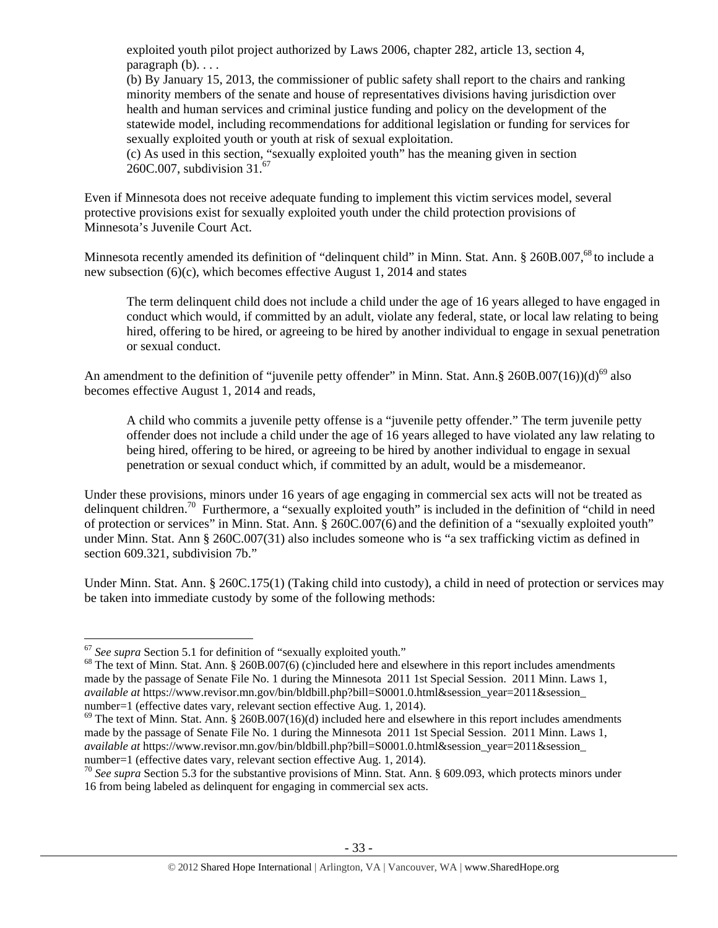exploited youth pilot project authorized by Laws 2006, chapter 282, article 13, section 4, paragraph  $(b)$ ....

(b) By January 15, 2013, the commissioner of public safety shall report to the chairs and ranking minority members of the senate and house of representatives divisions having jurisdiction over health and human services and criminal justice funding and policy on the development of the statewide model, including recommendations for additional legislation or funding for services for sexually exploited youth or youth at risk of sexual exploitation.

(c) As used in this section, "sexually exploited youth" has the meaning given in section 260C.007, subdivision  $31.^{67}$ 

Even if Minnesota does not receive adequate funding to implement this victim services model, several protective provisions exist for sexually exploited youth under the child protection provisions of Minnesota's Juvenile Court Act.

Minnesota recently amended its definition of "delinquent child" in Minn. Stat. Ann. § 260B.007,<sup>68</sup> to include a new subsection (6)(c), which becomes effective August 1, 2014 and states

The term delinquent child does not include a child under the age of 16 years alleged to have engaged in conduct which would, if committed by an adult, violate any federal, state, or local law relating to being hired, offering to be hired, or agreeing to be hired by another individual to engage in sexual penetration or sexual conduct.

An amendment to the definition of "juvenile petty offender" in Minn. Stat. Ann.§  $260B.007(16)$ (d)<sup>69</sup> also becomes effective August 1, 2014 and reads,

A child who commits a juvenile petty offense is a "juvenile petty offender." The term juvenile petty offender does not include a child under the age of 16 years alleged to have violated any law relating to being hired, offering to be hired, or agreeing to be hired by another individual to engage in sexual penetration or sexual conduct which, if committed by an adult, would be a misdemeanor.

Under these provisions, minors under 16 years of age engaging in commercial sex acts will not be treated as delinquent children.70 Furthermore, a "sexually exploited youth" is included in the definition of "child in need of protection or services" in Minn. Stat. Ann. § 260C.007(6) and the definition of a "sexually exploited youth" under Minn. Stat. Ann § 260C.007(31) also includes someone who is "a sex trafficking victim as defined in section 609.321, subdivision 7b."

Under Minn. Stat. Ann. § 260C.175(1) (Taking child into custody), a child in need of protection or services may be taken into immediate custody by some of the following methods:

 $67$  See supra Section 5.1 for definition of "sexually exploited youth."

<sup>&</sup>lt;sup>68</sup> The text of Minn. Stat. Ann. § 260B.007(6) (c)included here and elsewhere in this report includes amendments made by the passage of Senate File No. 1 during the Minnesota 2011 1st Special Session. 2011 Minn. Laws 1, *available at* https://www.revisor.mn.gov/bin/bldbill.php?bill=S0001.0.html&session\_year=2011&session number=1 (effective dates vary, relevant section effective Aug. 1, 2014).

 $69$  The text of Minn. Stat. Ann. § 260B.007(16)(d) included here and elsewhere in this report includes amendments made by the passage of Senate File No. 1 during the Minnesota 2011 1st Special Session. 2011 Minn. Laws 1, *available at* https://www.revisor.mn.gov/bin/bldbill.php?bill=S0001.0.html&session\_year=2011&session\_ number=1 (effective dates vary, relevant section effective Aug. 1, 2014).

<sup>70</sup> *See supra* Section 5.3 for the substantive provisions of Minn. Stat. Ann. § 609.093, which protects minors under 16 from being labeled as delinquent for engaging in commercial sex acts.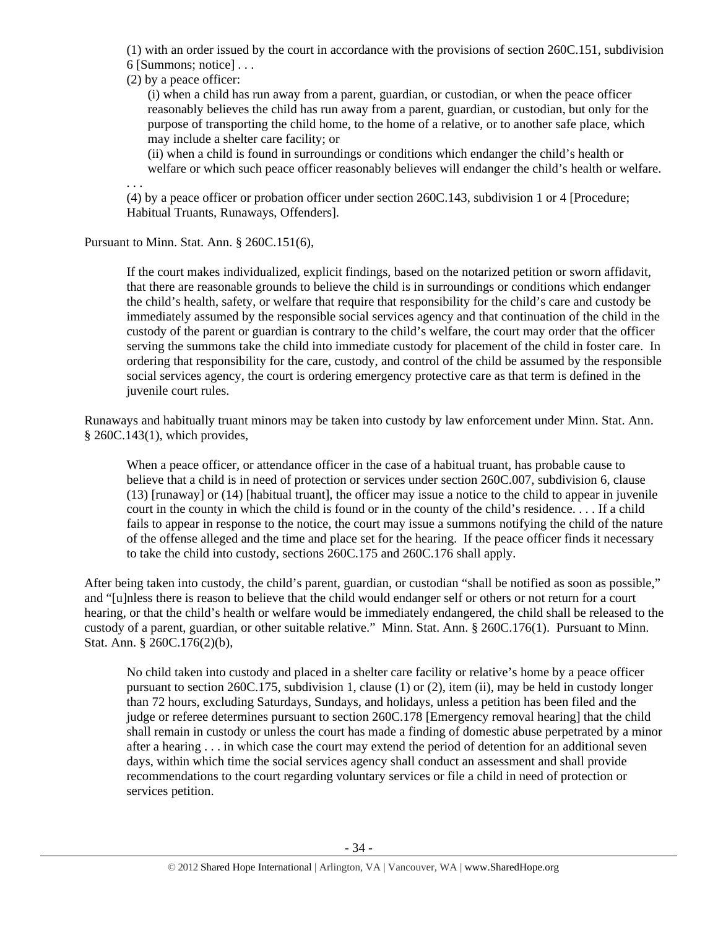(1) with an order issued by the court in accordance with the provisions of section 260C.151, subdivision 6 [Summons; notice] . . .

(2) by a peace officer:

(i) when a child has run away from a parent, guardian, or custodian, or when the peace officer reasonably believes the child has run away from a parent, guardian, or custodian, but only for the purpose of transporting the child home, to the home of a relative, or to another safe place, which may include a shelter care facility; or

(ii) when a child is found in surroundings or conditions which endanger the child's health or welfare or which such peace officer reasonably believes will endanger the child's health or welfare.

. . .

(4) by a peace officer or probation officer under section 260C.143, subdivision 1 or 4 [Procedure; Habitual Truants, Runaways, Offenders].

Pursuant to Minn. Stat. Ann. § 260C.151(6),

If the court makes individualized, explicit findings, based on the notarized petition or sworn affidavit, that there are reasonable grounds to believe the child is in surroundings or conditions which endanger the child's health, safety, or welfare that require that responsibility for the child's care and custody be immediately assumed by the responsible social services agency and that continuation of the child in the custody of the parent or guardian is contrary to the child's welfare, the court may order that the officer serving the summons take the child into immediate custody for placement of the child in foster care. In ordering that responsibility for the care, custody, and control of the child be assumed by the responsible social services agency, the court is ordering emergency protective care as that term is defined in the juvenile court rules.

Runaways and habitually truant minors may be taken into custody by law enforcement under Minn. Stat. Ann. § 260C.143(1), which provides,

When a peace officer, or attendance officer in the case of a habitual truant, has probable cause to believe that a child is in need of protection or services under section 260C.007, subdivision 6, clause (13) [runaway] or (14) [habitual truant], the officer may issue a notice to the child to appear in juvenile court in the county in which the child is found or in the county of the child's residence. . . . If a child fails to appear in response to the notice, the court may issue a summons notifying the child of the nature of the offense alleged and the time and place set for the hearing. If the peace officer finds it necessary to take the child into custody, sections 260C.175 and 260C.176 shall apply.

After being taken into custody, the child's parent, guardian, or custodian "shall be notified as soon as possible," and "[u]nless there is reason to believe that the child would endanger self or others or not return for a court hearing, or that the child's health or welfare would be immediately endangered, the child shall be released to the custody of a parent, guardian, or other suitable relative." Minn. Stat. Ann. § 260C.176(1). Pursuant to Minn. Stat. Ann. § 260C.176(2)(b),

No child taken into custody and placed in a shelter care facility or relative's home by a peace officer pursuant to section 260C.175, subdivision 1, clause (1) or (2), item (ii), may be held in custody longer than 72 hours, excluding Saturdays, Sundays, and holidays, unless a petition has been filed and the judge or referee determines pursuant to section 260C.178 [Emergency removal hearing] that the child shall remain in custody or unless the court has made a finding of domestic abuse perpetrated by a minor after a hearing . . . in which case the court may extend the period of detention for an additional seven days, within which time the social services agency shall conduct an assessment and shall provide recommendations to the court regarding voluntary services or file a child in need of protection or services petition.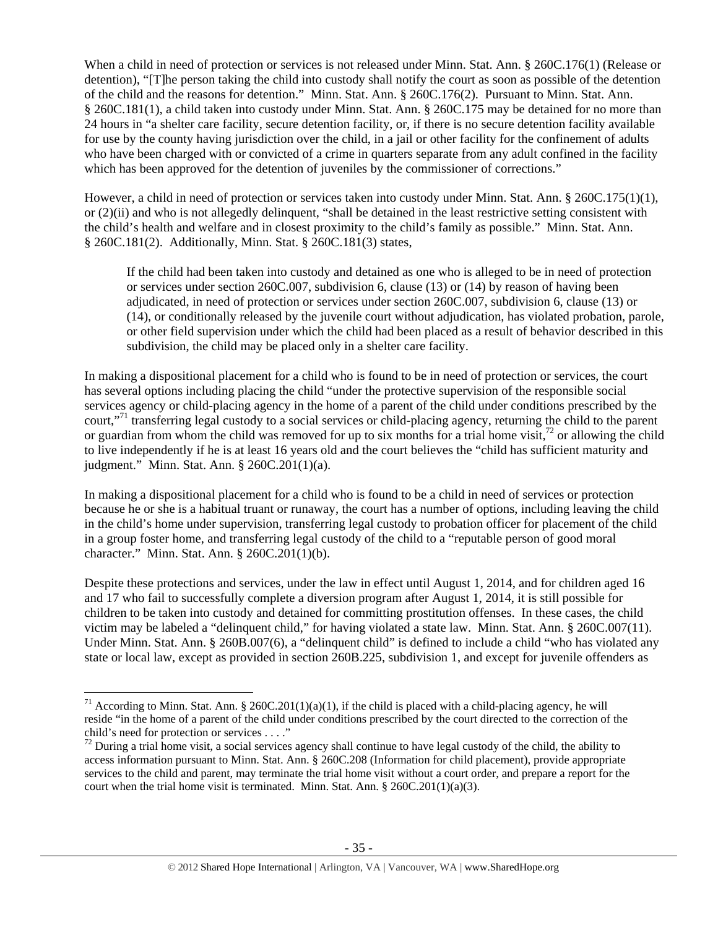When a child in need of protection or services is not released under Minn. Stat. Ann. § 260C.176(1) (Release or detention), "[T]he person taking the child into custody shall notify the court as soon as possible of the detention of the child and the reasons for detention." Minn. Stat. Ann. § 260C.176(2). Pursuant to Minn. Stat. Ann. § 260C.181(1), a child taken into custody under Minn. Stat. Ann. § 260C.175 may be detained for no more than 24 hours in "a shelter care facility, secure detention facility, or, if there is no secure detention facility available for use by the county having jurisdiction over the child, in a jail or other facility for the confinement of adults who have been charged with or convicted of a crime in quarters separate from any adult confined in the facility which has been approved for the detention of juveniles by the commissioner of corrections."

However, a child in need of protection or services taken into custody under Minn. Stat. Ann. § 260C.175(1)(1), or (2)(ii) and who is not allegedly delinquent, "shall be detained in the least restrictive setting consistent with the child's health and welfare and in closest proximity to the child's family as possible." Minn. Stat. Ann. § 260C.181(2). Additionally, Minn. Stat. § 260C.181(3) states,

If the child had been taken into custody and detained as one who is alleged to be in need of protection or services under section 260C.007, subdivision 6, clause (13) or (14) by reason of having been adjudicated, in need of protection or services under section 260C.007, subdivision 6, clause (13) or (14), or conditionally released by the juvenile court without adjudication, has violated probation, parole, or other field supervision under which the child had been placed as a result of behavior described in this subdivision, the child may be placed only in a shelter care facility.

In making a dispositional placement for a child who is found to be in need of protection or services, the court has several options including placing the child "under the protective supervision of the responsible social services agency or child-placing agency in the home of a parent of the child under conditions prescribed by the court,"71 transferring legal custody to a social services or child-placing agency, returning the child to the parent or guardian from whom the child was removed for up to six months for a trial home visit,<sup>72</sup> or allowing the child to live independently if he is at least 16 years old and the court believes the "child has sufficient maturity and judgment." Minn. Stat. Ann. § 260C.201(1)(a).

In making a dispositional placement for a child who is found to be a child in need of services or protection because he or she is a habitual truant or runaway, the court has a number of options, including leaving the child in the child's home under supervision, transferring legal custody to probation officer for placement of the child in a group foster home, and transferring legal custody of the child to a "reputable person of good moral character." Minn. Stat. Ann. § 260C.201(1)(b).

Despite these protections and services, under the law in effect until August 1, 2014, and for children aged 16 and 17 who fail to successfully complete a diversion program after August 1, 2014, it is still possible for children to be taken into custody and detained for committing prostitution offenses. In these cases, the child victim may be labeled a "delinquent child," for having violated a state law. Minn. Stat. Ann. § 260C.007(11). Under Minn. Stat. Ann. § 260B.007(6), a "delinquent child" is defined to include a child "who has violated any state or local law, except as provided in section 260B.225, subdivision 1, and except for juvenile offenders as

<sup>&</sup>lt;sup>71</sup> According to Minn. Stat. Ann. § 260C.201(1)(a)(1), if the child is placed with a child-placing agency, he will reside "in the home of a parent of the child under conditions prescribed by the court directed to the correction of the child's need for protection or services . . . ."

 $72$  During a trial home visit, a social services agency shall continue to have legal custody of the child, the ability to access information pursuant to Minn. Stat. Ann. § 260C.208 (Information for child placement), provide appropriate services to the child and parent, may terminate the trial home visit without a court order, and prepare a report for the court when the trial home visit is terminated. Minn. Stat. Ann. § 260C.201(1)(a)(3).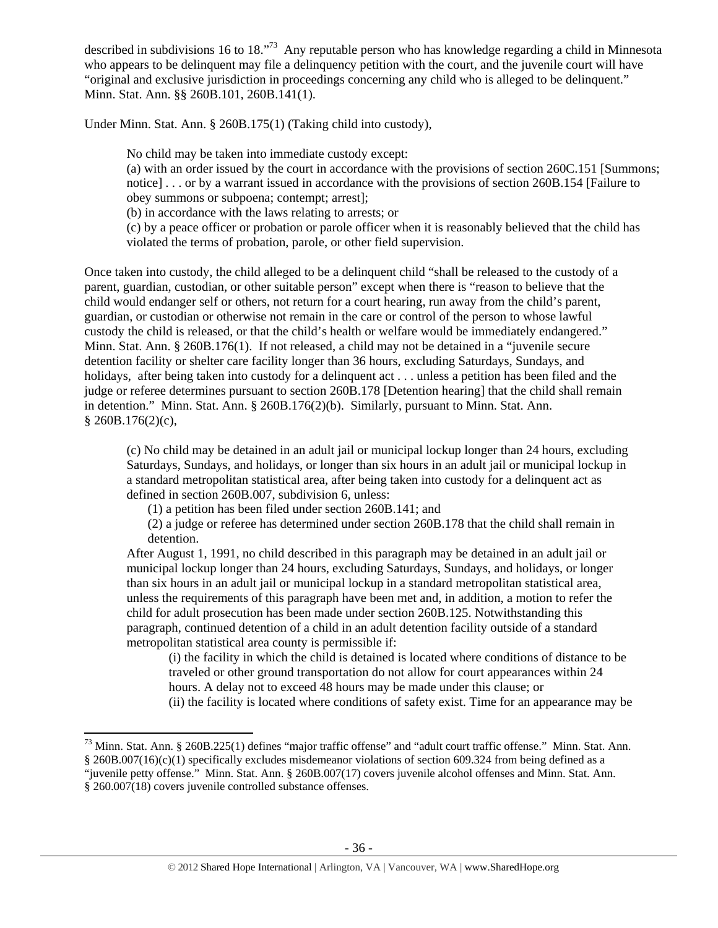described in subdivisions 16 to 18."73 Any reputable person who has knowledge regarding a child in Minnesota who appears to be delinquent may file a delinquency petition with the court, and the juvenile court will have "original and exclusive jurisdiction in proceedings concerning any child who is alleged to be delinquent." Minn. Stat. Ann. §§ 260B.101, 260B.141(1).

Under Minn. Stat. Ann. § 260B.175(1) (Taking child into custody),

No child may be taken into immediate custody except:

(a) with an order issued by the court in accordance with the provisions of section 260C.151 [Summons; notice] . . . or by a warrant issued in accordance with the provisions of section 260B.154 [Failure to obey summons or subpoena; contempt; arrest];

(b) in accordance with the laws relating to arrests; or

(c) by a peace officer or probation or parole officer when it is reasonably believed that the child has violated the terms of probation, parole, or other field supervision.

Once taken into custody, the child alleged to be a delinquent child "shall be released to the custody of a parent, guardian, custodian, or other suitable person" except when there is "reason to believe that the child would endanger self or others, not return for a court hearing, run away from the child's parent, guardian, or custodian or otherwise not remain in the care or control of the person to whose lawful custody the child is released, or that the child's health or welfare would be immediately endangered." Minn. Stat. Ann. § 260B.176(1). If not released, a child may not be detained in a "juvenile secure detention facility or shelter care facility longer than 36 hours, excluding Saturdays, Sundays, and holidays, after being taken into custody for a delinquent act . . . unless a petition has been filed and the judge or referee determines pursuant to section 260B.178 [Detention hearing] that the child shall remain in detention." Minn. Stat. Ann. § 260B.176(2)(b). Similarly, pursuant to Minn. Stat. Ann.  $§$  260B.176(2)(c),

(c) No child may be detained in an adult jail or municipal lockup longer than 24 hours, excluding Saturdays, Sundays, and holidays, or longer than six hours in an adult jail or municipal lockup in a standard metropolitan statistical area, after being taken into custody for a delinquent act as defined in section 260B.007, subdivision 6, unless:

(1) a petition has been filed under section 260B.141; and

(2) a judge or referee has determined under section 260B.178 that the child shall remain in detention.

After August 1, 1991, no child described in this paragraph may be detained in an adult jail or municipal lockup longer than 24 hours, excluding Saturdays, Sundays, and holidays, or longer than six hours in an adult jail or municipal lockup in a standard metropolitan statistical area, unless the requirements of this paragraph have been met and, in addition, a motion to refer the child for adult prosecution has been made under section 260B.125. Notwithstanding this paragraph, continued detention of a child in an adult detention facility outside of a standard metropolitan statistical area county is permissible if:

(i) the facility in which the child is detained is located where conditions of distance to be traveled or other ground transportation do not allow for court appearances within 24 hours. A delay not to exceed 48 hours may be made under this clause; or

(ii) the facility is located where conditions of safety exist. Time for an appearance may be

 $^{73}$  Minn. Stat. Ann. § 260B.225(1) defines "major traffic offense" and "adult court traffic offense." Minn. Stat. Ann. § 260B.007(16)(c)(1) specifically excludes misdemeanor violations of section 609.324 from being defined as a "juvenile petty offense." Minn. Stat. Ann. § 260B.007(17) covers juvenile alcohol offenses and Minn. Stat. Ann. § 260.007(18) covers juvenile controlled substance offenses.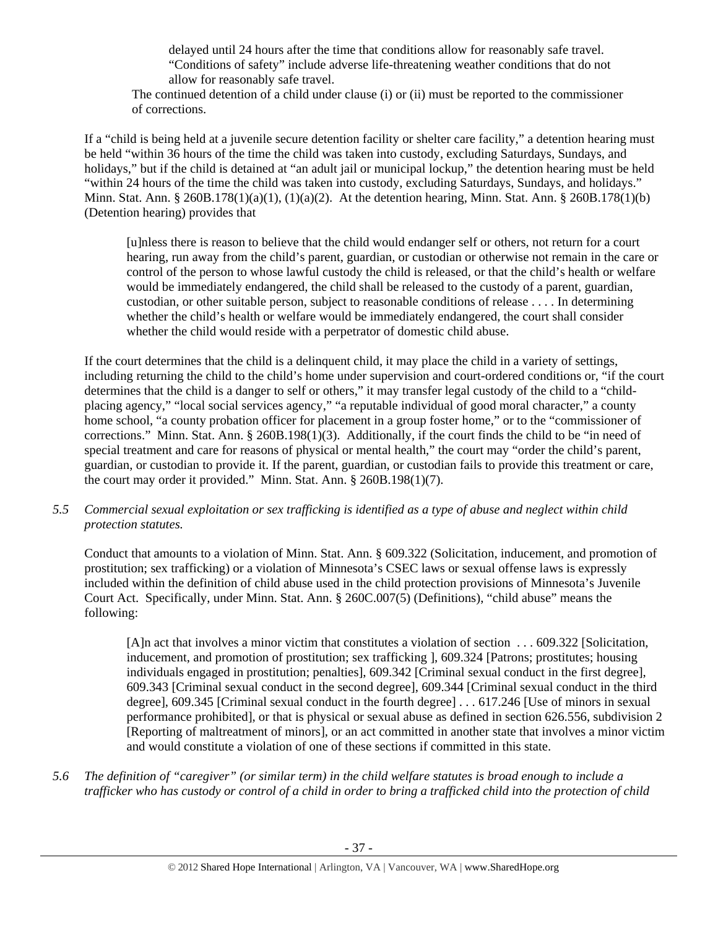delayed until 24 hours after the time that conditions allow for reasonably safe travel. "Conditions of safety" include adverse life-threatening weather conditions that do not allow for reasonably safe travel.

The continued detention of a child under clause (i) or (ii) must be reported to the commissioner of corrections.

If a "child is being held at a juvenile secure detention facility or shelter care facility," a detention hearing must be held "within 36 hours of the time the child was taken into custody, excluding Saturdays, Sundays, and holidays," but if the child is detained at "an adult jail or municipal lockup," the detention hearing must be held "within 24 hours of the time the child was taken into custody, excluding Saturdays, Sundays, and holidays." Minn. Stat. Ann. § 260B.178(1)(a)(1), (1)(a)(2). At the detention hearing, Minn. Stat. Ann. § 260B.178(1)(b) (Detention hearing) provides that

[u]nless there is reason to believe that the child would endanger self or others, not return for a court hearing, run away from the child's parent, guardian, or custodian or otherwise not remain in the care or control of the person to whose lawful custody the child is released, or that the child's health or welfare would be immediately endangered, the child shall be released to the custody of a parent, guardian, custodian, or other suitable person, subject to reasonable conditions of release . . . . In determining whether the child's health or welfare would be immediately endangered, the court shall consider whether the child would reside with a perpetrator of domestic child abuse.

If the court determines that the child is a delinquent child, it may place the child in a variety of settings, including returning the child to the child's home under supervision and court-ordered conditions or, "if the court determines that the child is a danger to self or others," it may transfer legal custody of the child to a "childplacing agency," "local social services agency," "a reputable individual of good moral character," a county home school, "a county probation officer for placement in a group foster home," or to the "commissioner of corrections." Minn. Stat. Ann. § 260B.198(1)(3). Additionally, if the court finds the child to be "in need of special treatment and care for reasons of physical or mental health," the court may "order the child's parent, guardian, or custodian to provide it. If the parent, guardian, or custodian fails to provide this treatment or care, the court may order it provided." Minn. Stat. Ann. § 260B.198(1)(7).

*5.5 Commercial sexual exploitation or sex trafficking is identified as a type of abuse and neglect within child protection statutes.* 

Conduct that amounts to a violation of Minn. Stat. Ann. § 609.322 (Solicitation, inducement, and promotion of prostitution; sex trafficking) or a violation of Minnesota's CSEC laws or sexual offense laws is expressly included within the definition of child abuse used in the child protection provisions of Minnesota's Juvenile Court Act. Specifically, under Minn. Stat. Ann. § 260C.007(5) (Definitions), "child abuse" means the following:

[A]n act that involves a minor victim that constitutes a violation of section . . . 609.322 [Solicitation, inducement, and promotion of prostitution; sex trafficking ], 609.324 [Patrons; prostitutes; housing individuals engaged in prostitution; penalties], 609.342 [Criminal sexual conduct in the first degree], 609.343 [Criminal sexual conduct in the second degree], 609.344 [Criminal sexual conduct in the third degree], 609.345 [Criminal sexual conduct in the fourth degree] . . . 617.246 [Use of minors in sexual performance prohibited], or that is physical or sexual abuse as defined in section 626.556, subdivision 2 [Reporting of maltreatment of minors], or an act committed in another state that involves a minor victim and would constitute a violation of one of these sections if committed in this state.

*5.6 The definition of "caregiver" (or similar term) in the child welfare statutes is broad enough to include a trafficker who has custody or control of a child in order to bring a trafficked child into the protection of child*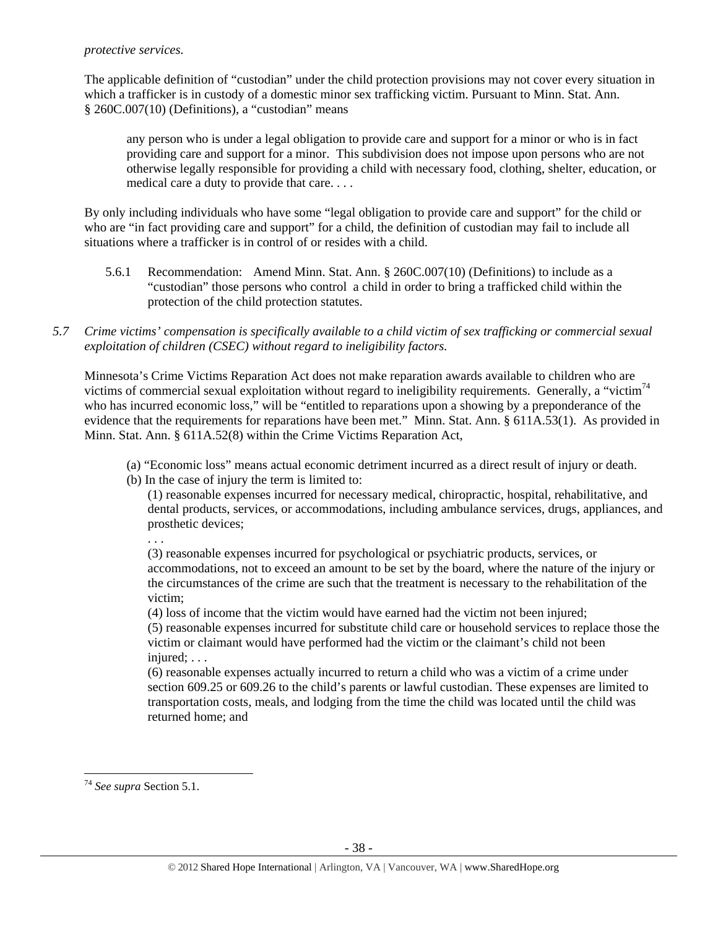The applicable definition of "custodian" under the child protection provisions may not cover every situation in which a trafficker is in custody of a domestic minor sex trafficking victim. Pursuant to Minn. Stat. Ann. § 260C.007(10) (Definitions), a "custodian" means

any person who is under a legal obligation to provide care and support for a minor or who is in fact providing care and support for a minor. This subdivision does not impose upon persons who are not otherwise legally responsible for providing a child with necessary food, clothing, shelter, education, or medical care a duty to provide that care. . . .

By only including individuals who have some "legal obligation to provide care and support" for the child or who are "in fact providing care and support" for a child, the definition of custodian may fail to include all situations where a trafficker is in control of or resides with a child.

- 5.6.1 Recommendation: Amend Minn. Stat. Ann. § 260C.007(10) (Definitions) to include as a "custodian" those persons who control a child in order to bring a trafficked child within the protection of the child protection statutes.
- *5.7 Crime victims' compensation is specifically available to a child victim of sex trafficking or commercial sexual exploitation of children (CSEC) without regard to ineligibility factors.*

Minnesota's Crime Victims Reparation Act does not make reparation awards available to children who are victims of commercial sexual exploitation without regard to ineligibility requirements. Generally, a "victim<sup>74</sup> who has incurred economic loss," will be "entitled to reparations upon a showing by a preponderance of the evidence that the requirements for reparations have been met." Minn. Stat. Ann. § 611A.53(1). As provided in Minn. Stat. Ann. § 611A.52(8) within the Crime Victims Reparation Act,

- (a) "Economic loss" means actual economic detriment incurred as a direct result of injury or death.
- (b) In the case of injury the term is limited to:

(1) reasonable expenses incurred for necessary medical, chiropractic, hospital, rehabilitative, and dental products, services, or accommodations, including ambulance services, drugs, appliances, and prosthetic devices;

. . .

(3) reasonable expenses incurred for psychological or psychiatric products, services, or accommodations, not to exceed an amount to be set by the board, where the nature of the injury or the circumstances of the crime are such that the treatment is necessary to the rehabilitation of the victim;

(4) loss of income that the victim would have earned had the victim not been injured;

(5) reasonable expenses incurred for substitute child care or household services to replace those the victim or claimant would have performed had the victim or the claimant's child not been injured; . . .

(6) reasonable expenses actually incurred to return a child who was a victim of a crime under section 609.25 or 609.26 to the child's parents or lawful custodian. These expenses are limited to transportation costs, meals, and lodging from the time the child was located until the child was returned home; and

<sup>74</sup> *See supra* Section 5.1.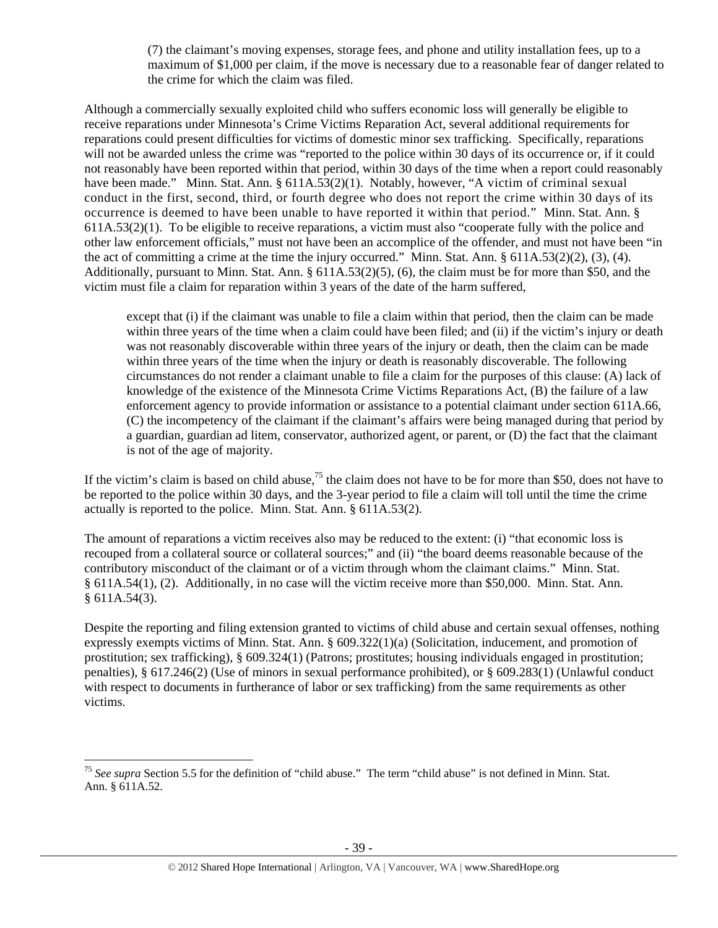(7) the claimant's moving expenses, storage fees, and phone and utility installation fees, up to a maximum of \$1,000 per claim, if the move is necessary due to a reasonable fear of danger related to the crime for which the claim was filed.

Although a commercially sexually exploited child who suffers economic loss will generally be eligible to receive reparations under Minnesota's Crime Victims Reparation Act, several additional requirements for reparations could present difficulties for victims of domestic minor sex trafficking. Specifically, reparations will not be awarded unless the crime was "reported to the police within 30 days of its occurrence or, if it could not reasonably have been reported within that period, within 30 days of the time when a report could reasonably have been made." Minn. Stat. Ann. § 611A.53(2)(1). Notably, however, "A victim of criminal sexual conduct in the first, second, third, or fourth degree who does not report the crime within 30 days of its occurrence is deemed to have been unable to have reported it within that period." Minn. Stat. Ann. § 611A.53(2)(1). To be eligible to receive reparations, a victim must also "cooperate fully with the police and other law enforcement officials," must not have been an accomplice of the offender, and must not have been "in the act of committing a crime at the time the injury occurred." Minn. Stat. Ann. § 611A.53(2)(2), (3), (4). Additionally, pursuant to Minn. Stat. Ann. § 611A.53(2)(5), (6), the claim must be for more than \$50, and the victim must file a claim for reparation within 3 years of the date of the harm suffered,

except that (i) if the claimant was unable to file a claim within that period, then the claim can be made within three years of the time when a claim could have been filed; and (ii) if the victim's injury or death was not reasonably discoverable within three years of the injury or death, then the claim can be made within three years of the time when the injury or death is reasonably discoverable. The following circumstances do not render a claimant unable to file a claim for the purposes of this clause: (A) lack of knowledge of the existence of the Minnesota Crime Victims Reparations Act, (B) the failure of a law enforcement agency to provide information or assistance to a potential claimant under section 611A.66, (C) the incompetency of the claimant if the claimant's affairs were being managed during that period by a guardian, guardian ad litem, conservator, authorized agent, or parent, or (D) the fact that the claimant is not of the age of majority.

If the victim's claim is based on child abuse,<sup>75</sup> the claim does not have to be for more than \$50, does not have to be reported to the police within 30 days, and the 3-year period to file a claim will toll until the time the crime actually is reported to the police. Minn. Stat. Ann. § 611A.53(2).

The amount of reparations a victim receives also may be reduced to the extent: (i) "that economic loss is recouped from a collateral source or collateral sources;" and (ii) "the board deems reasonable because of the contributory misconduct of the claimant or of a victim through whom the claimant claims." Minn. Stat. § 611A.54(1), (2). Additionally, in no case will the victim receive more than \$50,000. Minn. Stat. Ann. § 611A.54(3).

Despite the reporting and filing extension granted to victims of child abuse and certain sexual offenses, nothing expressly exempts victims of Minn. Stat. Ann. § 609.322(1)(a) (Solicitation, inducement, and promotion of prostitution; sex trafficking), § 609.324(1) (Patrons; prostitutes; housing individuals engaged in prostitution; penalties), § 617.246(2) (Use of minors in sexual performance prohibited), or § 609.283(1) (Unlawful conduct with respect to documents in furtherance of labor or sex trafficking) from the same requirements as other victims.

<sup>75</sup> *See supra* Section 5.5 for the definition of "child abuse." The term "child abuse" is not defined in Minn. Stat. Ann. § 611A.52.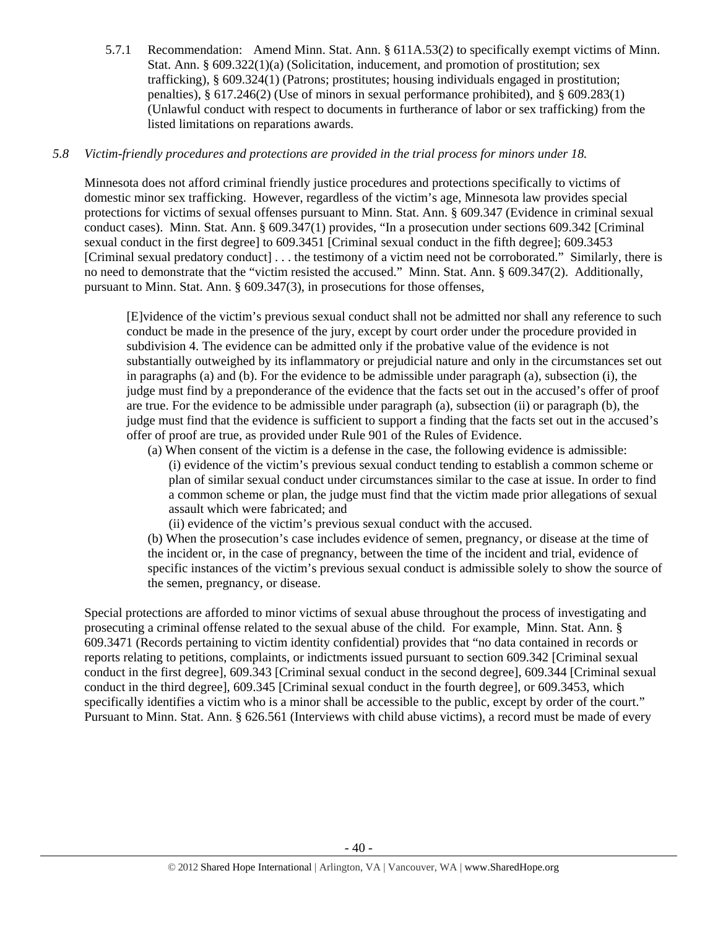5.7.1 Recommendation: Amend Minn. Stat. Ann. § 611A.53(2) to specifically exempt victims of Minn. Stat. Ann. § 609.322(1)(a) (Solicitation, inducement, and promotion of prostitution; sex trafficking), § 609.324(1) (Patrons; prostitutes; housing individuals engaged in prostitution; penalties), § 617.246(2) (Use of minors in sexual performance prohibited), and § 609.283(1) (Unlawful conduct with respect to documents in furtherance of labor or sex trafficking) from the listed limitations on reparations awards.

# *5.8 Victim-friendly procedures and protections are provided in the trial process for minors under 18.*

Minnesota does not afford criminal friendly justice procedures and protections specifically to victims of domestic minor sex trafficking. However, regardless of the victim's age, Minnesota law provides special protections for victims of sexual offenses pursuant to Minn. Stat. Ann. § 609.347 (Evidence in criminal sexual conduct cases). Minn. Stat. Ann. § 609.347(1) provides, "In a prosecution under sections 609.342 [Criminal sexual conduct in the first degree] to 609.3451 [Criminal sexual conduct in the fifth degree]; 609.3453 [Criminal sexual predatory conduct] . . . the testimony of a victim need not be corroborated." Similarly, there is no need to demonstrate that the "victim resisted the accused." Minn. Stat. Ann. § 609.347(2). Additionally, pursuant to Minn. Stat. Ann. § 609.347(3), in prosecutions for those offenses,

[E]vidence of the victim's previous sexual conduct shall not be admitted nor shall any reference to such conduct be made in the presence of the jury, except by court order under the procedure provided in subdivision 4. The evidence can be admitted only if the probative value of the evidence is not substantially outweighed by its inflammatory or prejudicial nature and only in the circumstances set out in paragraphs (a) and (b). For the evidence to be admissible under paragraph (a), subsection (i), the judge must find by a preponderance of the evidence that the facts set out in the accused's offer of proof are true. For the evidence to be admissible under paragraph (a), subsection (ii) or paragraph (b), the judge must find that the evidence is sufficient to support a finding that the facts set out in the accused's offer of proof are true, as provided under Rule 901 of the Rules of Evidence.

- (a) When consent of the victim is a defense in the case, the following evidence is admissible: (i) evidence of the victim's previous sexual conduct tending to establish a common scheme or plan of similar sexual conduct under circumstances similar to the case at issue. In order to find a common scheme or plan, the judge must find that the victim made prior allegations of sexual assault which were fabricated; and
	- (ii) evidence of the victim's previous sexual conduct with the accused.

(b) When the prosecution's case includes evidence of semen, pregnancy, or disease at the time of the incident or, in the case of pregnancy, between the time of the incident and trial, evidence of specific instances of the victim's previous sexual conduct is admissible solely to show the source of the semen, pregnancy, or disease.

Special protections are afforded to minor victims of sexual abuse throughout the process of investigating and prosecuting a criminal offense related to the sexual abuse of the child. For example, Minn. Stat. Ann. § 609.3471 (Records pertaining to victim identity confidential) provides that "no data contained in records or reports relating to petitions, complaints, or indictments issued pursuant to section 609.342 [Criminal sexual conduct in the first degree], 609.343 [Criminal sexual conduct in the second degree], 609.344 [Criminal sexual conduct in the third degree], 609.345 [Criminal sexual conduct in the fourth degree], or 609.3453, which specifically identifies a victim who is a minor shall be accessible to the public, except by order of the court." Pursuant to Minn. Stat. Ann. § 626.561 (Interviews with child abuse victims), a record must be made of every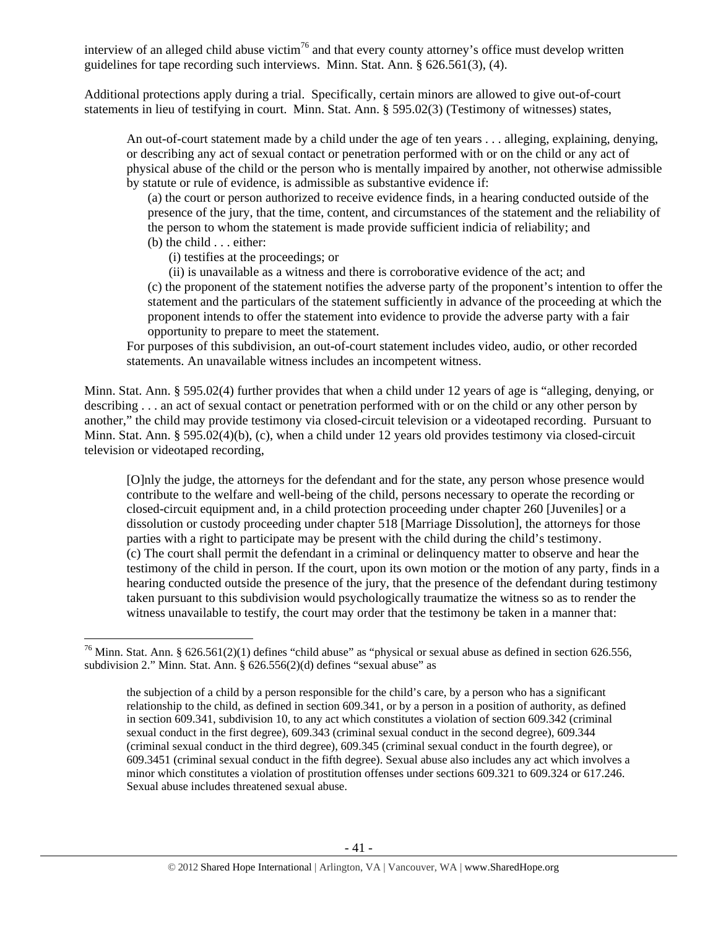interview of an alleged child abuse victim<sup>76</sup> and that every county attorney's office must develop written guidelines for tape recording such interviews. Minn. Stat. Ann. § 626.561(3), (4).

Additional protections apply during a trial. Specifically, certain minors are allowed to give out-of-court statements in lieu of testifying in court. Minn. Stat. Ann. § 595.02(3) (Testimony of witnesses) states,

An out-of-court statement made by a child under the age of ten years . . . alleging, explaining, denying, or describing any act of sexual contact or penetration performed with or on the child or any act of physical abuse of the child or the person who is mentally impaired by another, not otherwise admissible by statute or rule of evidence, is admissible as substantive evidence if:

(a) the court or person authorized to receive evidence finds, in a hearing conducted outside of the presence of the jury, that the time, content, and circumstances of the statement and the reliability of the person to whom the statement is made provide sufficient indicia of reliability; and (b) the child . . . either:

(i) testifies at the proceedings; or

(ii) is unavailable as a witness and there is corroborative evidence of the act; and (c) the proponent of the statement notifies the adverse party of the proponent's intention to offer the statement and the particulars of the statement sufficiently in advance of the proceeding at which the proponent intends to offer the statement into evidence to provide the adverse party with a fair opportunity to prepare to meet the statement.

For purposes of this subdivision, an out-of-court statement includes video, audio, or other recorded statements. An unavailable witness includes an incompetent witness.

Minn. Stat. Ann. § 595.02(4) further provides that when a child under 12 years of age is "alleging, denying, or describing . . . an act of sexual contact or penetration performed with or on the child or any other person by another," the child may provide testimony via closed-circuit television or a videotaped recording. Pursuant to Minn. Stat. Ann. § 595.02(4)(b), (c), when a child under 12 years old provides testimony via closed-circuit television or videotaped recording,

[O]nly the judge, the attorneys for the defendant and for the state, any person whose presence would contribute to the welfare and well-being of the child, persons necessary to operate the recording or closed-circuit equipment and, in a child protection proceeding under chapter 260 [Juveniles] or a dissolution or custody proceeding under chapter 518 [Marriage Dissolution], the attorneys for those parties with a right to participate may be present with the child during the child's testimony. (c) The court shall permit the defendant in a criminal or delinquency matter to observe and hear the testimony of the child in person. If the court, upon its own motion or the motion of any party, finds in a hearing conducted outside the presence of the jury, that the presence of the defendant during testimony taken pursuant to this subdivision would psychologically traumatize the witness so as to render the witness unavailable to testify, the court may order that the testimony be taken in a manner that:

<sup>&</sup>lt;sup>76</sup> Minn. Stat. Ann. § 626.561(2)(1) defines "child abuse" as "physical or sexual abuse as defined in section 626.556, subdivision 2." Minn. Stat. Ann. § 626.556(2)(d) defines "sexual abuse" as

the subjection of a child by a person responsible for the child's care, by a person who has a significant relationship to the child, as defined in section 609.341, or by a person in a position of authority, as defined in section 609.341, subdivision 10, to any act which constitutes a violation of section 609.342 (criminal sexual conduct in the first degree), 609.343 (criminal sexual conduct in the second degree), 609.344 (criminal sexual conduct in the third degree), 609.345 (criminal sexual conduct in the fourth degree), or 609.3451 (criminal sexual conduct in the fifth degree). Sexual abuse also includes any act which involves a minor which constitutes a violation of prostitution offenses under sections 609.321 to 609.324 or 617.246. Sexual abuse includes threatened sexual abuse.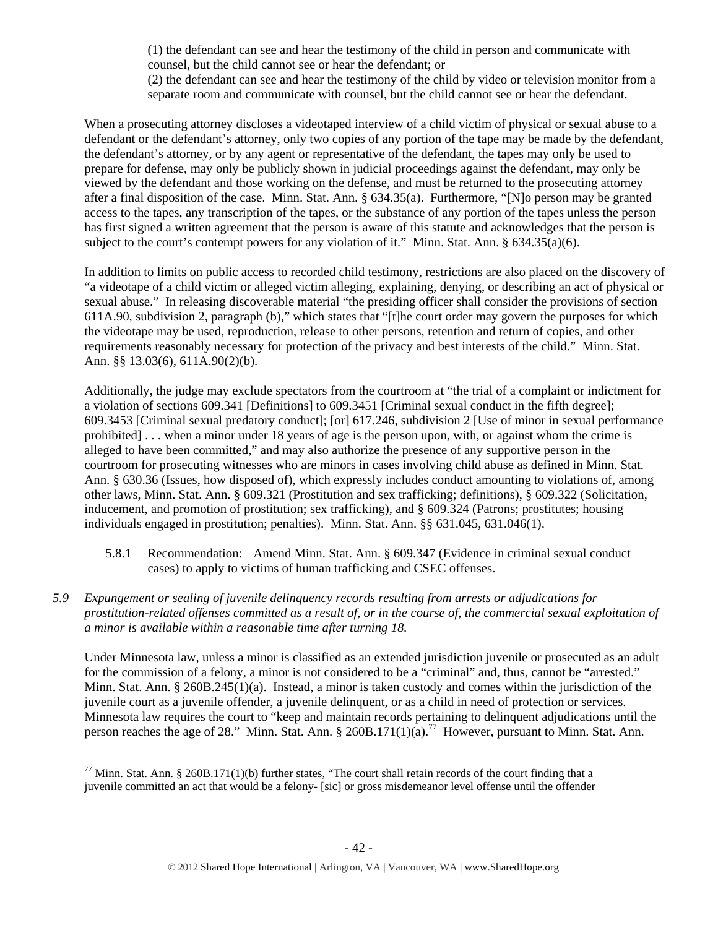(1) the defendant can see and hear the testimony of the child in person and communicate with counsel, but the child cannot see or hear the defendant; or

(2) the defendant can see and hear the testimony of the child by video or television monitor from a separate room and communicate with counsel, but the child cannot see or hear the defendant.

When a prosecuting attorney discloses a videotaped interview of a child victim of physical or sexual abuse to a defendant or the defendant's attorney, only two copies of any portion of the tape may be made by the defendant, the defendant's attorney, or by any agent or representative of the defendant, the tapes may only be used to prepare for defense, may only be publicly shown in judicial proceedings against the defendant, may only be viewed by the defendant and those working on the defense, and must be returned to the prosecuting attorney after a final disposition of the case. Minn. Stat. Ann. § 634.35(a). Furthermore, "[N]o person may be granted access to the tapes, any transcription of the tapes, or the substance of any portion of the tapes unless the person has first signed a written agreement that the person is aware of this statute and acknowledges that the person is subject to the court's contempt powers for any violation of it." Minn. Stat. Ann. § 634.35(a)(6).

In addition to limits on public access to recorded child testimony, restrictions are also placed on the discovery of "a videotape of a child victim or alleged victim alleging, explaining, denying, or describing an act of physical or sexual abuse." In releasing discoverable material "the presiding officer shall consider the provisions of section 611A.90, subdivision 2, paragraph (b)," which states that "[t]he court order may govern the purposes for which the videotape may be used, reproduction, release to other persons, retention and return of copies, and other requirements reasonably necessary for protection of the privacy and best interests of the child." Minn. Stat. Ann. §§ 13.03(6), 611A.90(2)(b).

Additionally, the judge may exclude spectators from the courtroom at "the trial of a complaint or indictment for a violation of sections 609.341 [Definitions] to 609.3451 [Criminal sexual conduct in the fifth degree]; 609.3453 [Criminal sexual predatory conduct]; [or] 617.246, subdivision 2 [Use of minor in sexual performance prohibited] . . . when a minor under 18 years of age is the person upon, with, or against whom the crime is alleged to have been committed," and may also authorize the presence of any supportive person in the courtroom for prosecuting witnesses who are minors in cases involving child abuse as defined in Minn. Stat. Ann. § 630.36 (Issues, how disposed of), which expressly includes conduct amounting to violations of, among other laws, Minn. Stat. Ann. § 609.321 (Prostitution and sex trafficking; definitions), § 609.322 (Solicitation, inducement, and promotion of prostitution; sex trafficking), and § 609.324 (Patrons; prostitutes; housing individuals engaged in prostitution; penalties). Minn. Stat. Ann. §§ 631.045, 631.046(1).

- 5.8.1 Recommendation: Amend Minn. Stat. Ann. § 609.347 (Evidence in criminal sexual conduct cases) to apply to victims of human trafficking and CSEC offenses.
- *5.9 Expungement or sealing of juvenile delinquency records resulting from arrests or adjudications for prostitution-related offenses committed as a result of, or in the course of, the commercial sexual exploitation of a minor is available within a reasonable time after turning 18.*

Under Minnesota law, unless a minor is classified as an extended jurisdiction juvenile or prosecuted as an adult for the commission of a felony, a minor is not considered to be a "criminal" and, thus, cannot be "arrested." Minn. Stat. Ann. § 260B.245(1)(a). Instead, a minor is taken custody and comes within the jurisdiction of the juvenile court as a juvenile offender, a juvenile delinquent, or as a child in need of protection or services. Minnesota law requires the court to "keep and maintain records pertaining to delinquent adjudications until the person reaches the age of 28." Minn. Stat. Ann. § 260B.171(1)(a).<sup>77</sup> However, pursuant to Minn. Stat. Ann.

  $^{77}$  Minn. Stat. Ann. § 260B.171(1)(b) further states, "The court shall retain records of the court finding that a juvenile committed an act that would be a felony- [sic] or gross misdemeanor level offense until the offender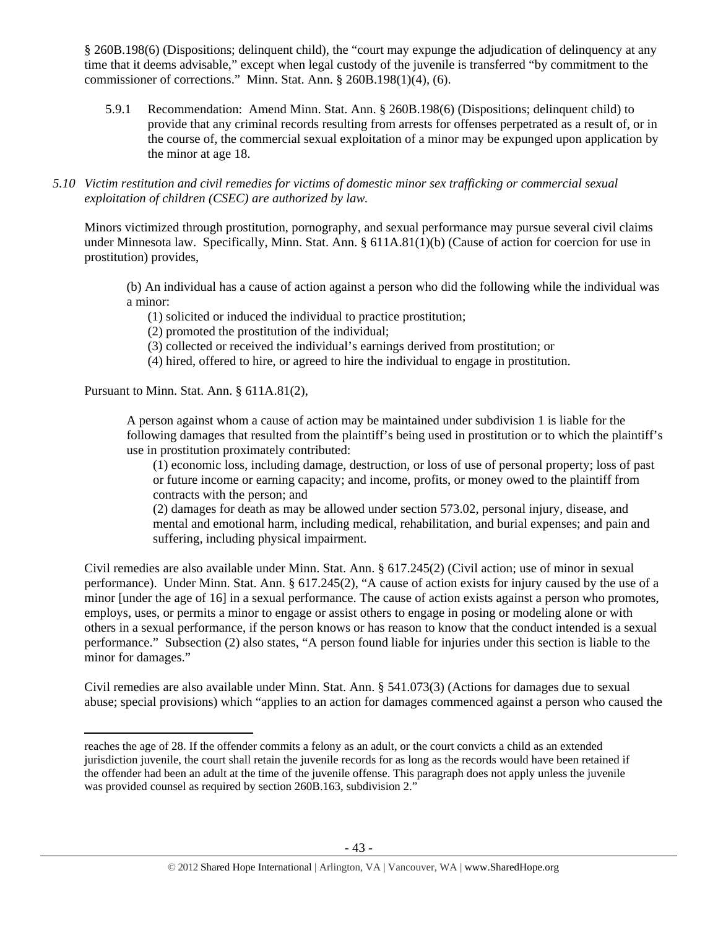§ 260B.198(6) (Dispositions; delinquent child), the "court may expunge the adjudication of delinquency at any time that it deems advisable," except when legal custody of the juvenile is transferred "by commitment to the commissioner of corrections." Minn. Stat. Ann. § 260B.198(1)(4), (6).

5.9.1 Recommendation: Amend Minn. Stat. Ann. § 260B.198(6) (Dispositions; delinquent child) to provide that any criminal records resulting from arrests for offenses perpetrated as a result of, or in the course of, the commercial sexual exploitation of a minor may be expunged upon application by the minor at age 18.

*5.10 Victim restitution and civil remedies for victims of domestic minor sex trafficking or commercial sexual exploitation of children (CSEC) are authorized by law.* 

Minors victimized through prostitution, pornography, and sexual performance may pursue several civil claims under Minnesota law. Specifically, Minn. Stat. Ann. § 611A.81(1)(b) (Cause of action for coercion for use in prostitution) provides,

(b) An individual has a cause of action against a person who did the following while the individual was a minor:

(1) solicited or induced the individual to practice prostitution;

(2) promoted the prostitution of the individual;

(3) collected or received the individual's earnings derived from prostitution; or

(4) hired, offered to hire, or agreed to hire the individual to engage in prostitution.

Pursuant to Minn. Stat. Ann. § 611A.81(2),

A person against whom a cause of action may be maintained under subdivision 1 is liable for the following damages that resulted from the plaintiff's being used in prostitution or to which the plaintiff's use in prostitution proximately contributed:

(1) economic loss, including damage, destruction, or loss of use of personal property; loss of past or future income or earning capacity; and income, profits, or money owed to the plaintiff from contracts with the person; and

(2) damages for death as may be allowed under section 573.02, personal injury, disease, and mental and emotional harm, including medical, rehabilitation, and burial expenses; and pain and suffering, including physical impairment.

Civil remedies are also available under Minn. Stat. Ann. § 617.245(2) (Civil action; use of minor in sexual performance). Under Minn. Stat. Ann. § 617.245(2), "A cause of action exists for injury caused by the use of a minor [under the age of 16] in a sexual performance. The cause of action exists against a person who promotes, employs, uses, or permits a minor to engage or assist others to engage in posing or modeling alone or with others in a sexual performance, if the person knows or has reason to know that the conduct intended is a sexual performance." Subsection (2) also states, "A person found liable for injuries under this section is liable to the minor for damages."

Civil remedies are also available under Minn. Stat. Ann. § 541.073(3) (Actions for damages due to sexual abuse; special provisions) which "applies to an action for damages commenced against a person who caused the

reaches the age of 28. If the offender commits a felony as an adult, or the court convicts a child as an extended jurisdiction juvenile, the court shall retain the juvenile records for as long as the records would have been retained if the offender had been an adult at the time of the juvenile offense. This paragraph does not apply unless the juvenile was provided counsel as required by section 260B.163, subdivision 2."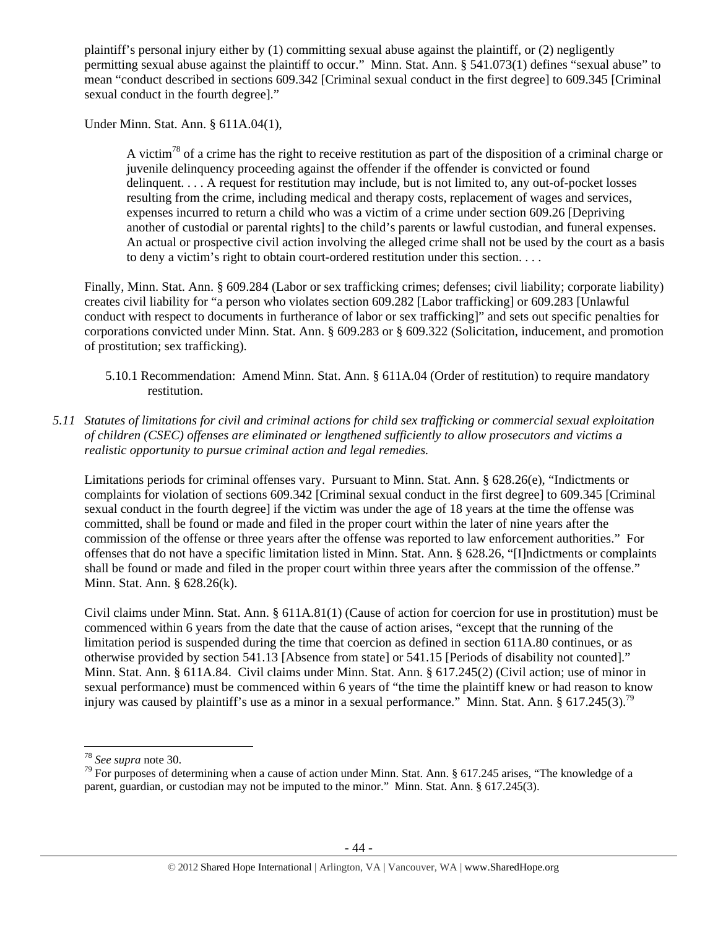plaintiff's personal injury either by (1) committing sexual abuse against the plaintiff, or (2) negligently permitting sexual abuse against the plaintiff to occur." Minn. Stat. Ann. § 541.073(1) defines "sexual abuse" to mean "conduct described in sections 609.342 [Criminal sexual conduct in the first degree] to 609.345 [Criminal sexual conduct in the fourth degree]."

Under Minn. Stat. Ann. § 611A.04(1),

A victim<sup>78</sup> of a crime has the right to receive restitution as part of the disposition of a criminal charge or juvenile delinquency proceeding against the offender if the offender is convicted or found delinquent. . . . A request for restitution may include, but is not limited to, any out-of-pocket losses resulting from the crime, including medical and therapy costs, replacement of wages and services, expenses incurred to return a child who was a victim of a crime under section 609.26 [Depriving another of custodial or parental rights] to the child's parents or lawful custodian, and funeral expenses. An actual or prospective civil action involving the alleged crime shall not be used by the court as a basis to deny a victim's right to obtain court-ordered restitution under this section. . . .

Finally, Minn. Stat. Ann. § 609.284 (Labor or sex trafficking crimes; defenses; civil liability; corporate liability) creates civil liability for "a person who violates section 609.282 [Labor trafficking] or 609.283 [Unlawful conduct with respect to documents in furtherance of labor or sex trafficking]" and sets out specific penalties for corporations convicted under Minn. Stat. Ann. § 609.283 or § 609.322 (Solicitation, inducement, and promotion of prostitution; sex trafficking).

- 5.10.1 Recommendation: Amend Minn. Stat. Ann. § 611A.04 (Order of restitution) to require mandatory restitution.
- *5.11 Statutes of limitations for civil and criminal actions for child sex trafficking or commercial sexual exploitation of children (CSEC) offenses are eliminated or lengthened sufficiently to allow prosecutors and victims a realistic opportunity to pursue criminal action and legal remedies.*

Limitations periods for criminal offenses vary. Pursuant to Minn. Stat. Ann. § 628.26(e), "Indictments or complaints for violation of sections 609.342 [Criminal sexual conduct in the first degree] to 609.345 [Criminal sexual conduct in the fourth degree] if the victim was under the age of 18 years at the time the offense was committed, shall be found or made and filed in the proper court within the later of nine years after the commission of the offense or three years after the offense was reported to law enforcement authorities." For offenses that do not have a specific limitation listed in Minn. Stat. Ann. § 628.26, "[I]ndictments or complaints shall be found or made and filed in the proper court within three years after the commission of the offense." Minn. Stat. Ann. § 628.26(k).

Civil claims under Minn. Stat. Ann. § 611A.81(1) (Cause of action for coercion for use in prostitution) must be commenced within 6 years from the date that the cause of action arises, "except that the running of the limitation period is suspended during the time that coercion as defined in section 611A.80 continues, or as otherwise provided by section 541.13 [Absence from state] or 541.15 [Periods of disability not counted]." Minn. Stat. Ann. § 611A.84. Civil claims under Minn. Stat. Ann. § 617.245(2) (Civil action; use of minor in sexual performance) must be commenced within 6 years of "the time the plaintiff knew or had reason to know injury was caused by plaintiff's use as a minor in a sexual performance." Minn. Stat. Ann.  $\S 617.245(3).^{79}$ 

<sup>&</sup>lt;sup>78</sup> *See supra* note 30.<br><sup>79</sup> For purposes of determining when a cause of action under Minn. Stat. Ann. § 617.245 arises, "The knowledge of a parent, guardian, or custodian may not be imputed to the minor." Minn. Stat. Ann. § 617.245(3).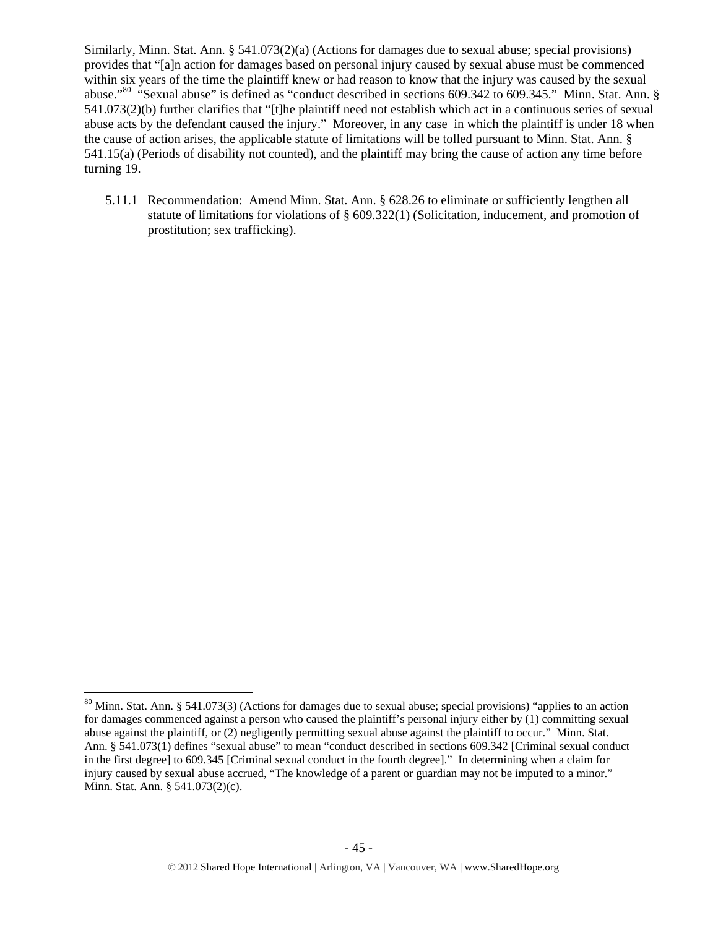Similarly, Minn. Stat. Ann. § 541.073(2)(a) (Actions for damages due to sexual abuse; special provisions) provides that "[a]n action for damages based on personal injury caused by sexual abuse must be commenced within six years of the time the plaintiff knew or had reason to know that the injury was caused by the sexual abuse."80 "Sexual abuse" is defined as "conduct described in sections 609.342 to 609.345." Minn. Stat. Ann. § 541.073(2)(b) further clarifies that "[t]he plaintiff need not establish which act in a continuous series of sexual abuse acts by the defendant caused the injury." Moreover, in any case in which the plaintiff is under 18 when the cause of action arises, the applicable statute of limitations will be tolled pursuant to Minn. Stat. Ann. § 541.15(a) (Periods of disability not counted), and the plaintiff may bring the cause of action any time before turning 19.

5.11.1 Recommendation: Amend Minn. Stat. Ann. § 628.26 to eliminate or sufficiently lengthen all statute of limitations for violations of § 609.322(1) (Solicitation, inducement, and promotion of prostitution; sex trafficking).

 $80$  Minn. Stat. Ann. § 541.073(3) (Actions for damages due to sexual abuse; special provisions) "applies to an action for damages commenced against a person who caused the plaintiff's personal injury either by (1) committing sexual abuse against the plaintiff, or (2) negligently permitting sexual abuse against the plaintiff to occur." Minn. Stat. Ann. § 541.073(1) defines "sexual abuse" to mean "conduct described in sections 609.342 [Criminal sexual conduct in the first degree] to 609.345 [Criminal sexual conduct in the fourth degree]." In determining when a claim for injury caused by sexual abuse accrued, "The knowledge of a parent or guardian may not be imputed to a minor." Minn. Stat. Ann. § 541.073(2)(c).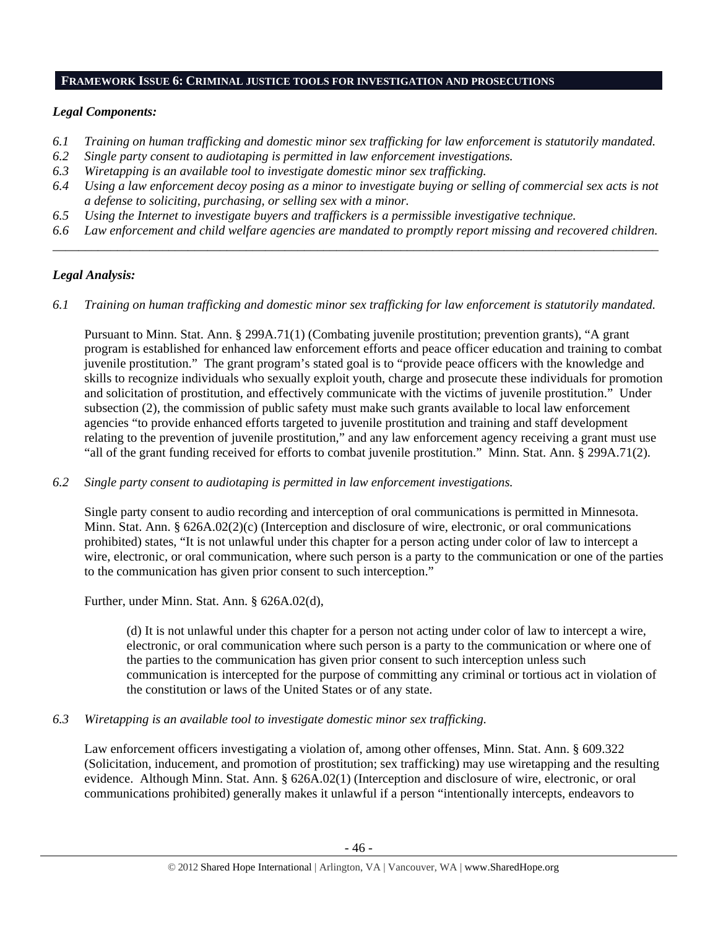# **FRAMEWORK ISSUE 6: CRIMINAL JUSTICE TOOLS FOR INVESTIGATION AND PROSECUTIONS**

# *Legal Components:*

- *6.1 Training on human trafficking and domestic minor sex trafficking for law enforcement is statutorily mandated.*
- *6.2 Single party consent to audiotaping is permitted in law enforcement investigations.*
- *6.3 Wiretapping is an available tool to investigate domestic minor sex trafficking.*
- *6.4 Using a law enforcement decoy posing as a minor to investigate buying or selling of commercial sex acts is not a defense to soliciting, purchasing, or selling sex with a minor.*
- *6.5 Using the Internet to investigate buyers and traffickers is a permissible investigative technique.*
- *6.6 Law enforcement and child welfare agencies are mandated to promptly report missing and recovered children. \_\_\_\_\_\_\_\_\_\_\_\_\_\_\_\_\_\_\_\_\_\_\_\_\_\_\_\_\_\_\_\_\_\_\_\_\_\_\_\_\_\_\_\_\_\_\_\_\_\_\_\_\_\_\_\_\_\_\_\_\_\_\_\_\_\_\_\_\_\_\_\_\_\_\_\_\_\_\_\_\_\_\_\_\_\_\_\_\_\_\_\_\_\_*

# *Legal Analysis:*

*6.1 Training on human trafficking and domestic minor sex trafficking for law enforcement is statutorily mandated.*

Pursuant to Minn. Stat. Ann. § 299A.71(1) (Combating juvenile prostitution; prevention grants), "A grant program is established for enhanced law enforcement efforts and peace officer education and training to combat juvenile prostitution." The grant program's stated goal is to "provide peace officers with the knowledge and skills to recognize individuals who sexually exploit youth, charge and prosecute these individuals for promotion and solicitation of prostitution, and effectively communicate with the victims of juvenile prostitution." Under subsection (2), the commission of public safety must make such grants available to local law enforcement agencies "to provide enhanced efforts targeted to juvenile prostitution and training and staff development relating to the prevention of juvenile prostitution," and any law enforcement agency receiving a grant must use "all of the grant funding received for efforts to combat juvenile prostitution." Minn. Stat. Ann. § 299A.71(2).

*6.2 Single party consent to audiotaping is permitted in law enforcement investigations.* 

Single party consent to audio recording and interception of oral communications is permitted in Minnesota. Minn. Stat. Ann. § 626A.02(2)(c) (Interception and disclosure of wire, electronic, or oral communications prohibited) states, "It is not unlawful under this chapter for a person acting under color of law to intercept a wire, electronic, or oral communication, where such person is a party to the communication or one of the parties to the communication has given prior consent to such interception."

Further, under Minn. Stat. Ann. § 626A.02(d),

(d) It is not unlawful under this chapter for a person not acting under color of law to intercept a wire, electronic, or oral communication where such person is a party to the communication or where one of the parties to the communication has given prior consent to such interception unless such communication is intercepted for the purpose of committing any criminal or tortious act in violation of the constitution or laws of the United States or of any state.

# *6.3 Wiretapping is an available tool to investigate domestic minor sex trafficking.*

Law enforcement officers investigating a violation of, among other offenses, Minn. Stat. Ann. § 609.322 (Solicitation, inducement, and promotion of prostitution; sex trafficking) may use wiretapping and the resulting evidence. Although Minn. Stat. Ann. § 626A.02(1) (Interception and disclosure of wire, electronic, or oral communications prohibited) generally makes it unlawful if a person "intentionally intercepts, endeavors to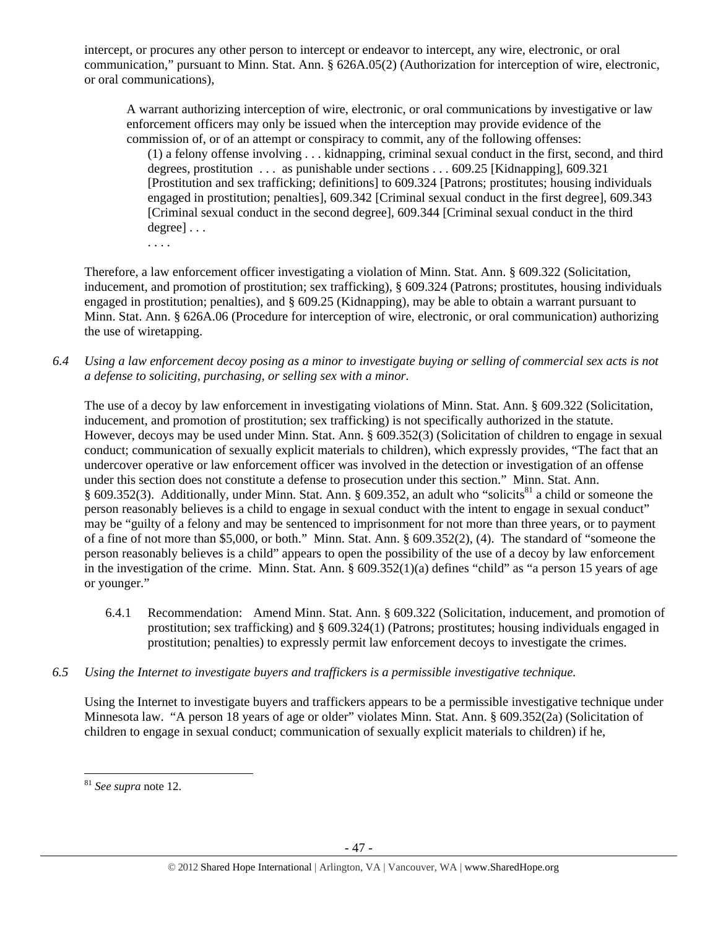intercept, or procures any other person to intercept or endeavor to intercept, any wire, electronic, or oral communication," pursuant to Minn. Stat. Ann. § 626A.05(2) (Authorization for interception of wire, electronic, or oral communications),

A warrant authorizing interception of wire, electronic, or oral communications by investigative or law enforcement officers may only be issued when the interception may provide evidence of the commission of, or of an attempt or conspiracy to commit, any of the following offenses:

(1) a felony offense involving . . . kidnapping, criminal sexual conduct in the first, second, and third degrees, prostitution . . . as punishable under sections . . . 609.25 [Kidnapping], 609.321 [Prostitution and sex trafficking; definitions] to 609.324 [Patrons; prostitutes; housing individuals engaged in prostitution; penalties], 609.342 [Criminal sexual conduct in the first degree], 609.343 [Criminal sexual conduct in the second degree], 609.344 [Criminal sexual conduct in the third degree] . . .

. . . .

Therefore, a law enforcement officer investigating a violation of Minn. Stat. Ann. § 609.322 (Solicitation, inducement, and promotion of prostitution; sex trafficking), § 609.324 (Patrons; prostitutes, housing individuals engaged in prostitution; penalties), and § 609.25 (Kidnapping), may be able to obtain a warrant pursuant to Minn. Stat. Ann. § 626A.06 (Procedure for interception of wire, electronic, or oral communication) authorizing the use of wiretapping.

*6.4 Using a law enforcement decoy posing as a minor to investigate buying or selling of commercial sex acts is not a defense to soliciting, purchasing, or selling sex with a minor.* 

The use of a decoy by law enforcement in investigating violations of Minn. Stat. Ann. § 609.322 (Solicitation, inducement, and promotion of prostitution; sex trafficking) is not specifically authorized in the statute. However, decoys may be used under Minn. Stat. Ann. § 609.352(3) (Solicitation of children to engage in sexual conduct; communication of sexually explicit materials to children), which expressly provides, "The fact that an undercover operative or law enforcement officer was involved in the detection or investigation of an offense under this section does not constitute a defense to prosecution under this section." Minn. Stat. Ann. § 609.352(3). Additionally, under Minn. Stat. Ann. § 609.352, an adult who "solicits<sup>81</sup> a child or someone the person reasonably believes is a child to engage in sexual conduct with the intent to engage in sexual conduct" may be "guilty of a felony and may be sentenced to imprisonment for not more than three years, or to payment of a fine of not more than \$5,000, or both." Minn. Stat. Ann. § 609.352(2), (4). The standard of "someone the person reasonably believes is a child" appears to open the possibility of the use of a decoy by law enforcement in the investigation of the crime. Minn. Stat. Ann. § 609.352(1)(a) defines "child" as "a person 15 years of age or younger."

- 6.4.1 Recommendation: Amend Minn. Stat. Ann. § 609.322 (Solicitation, inducement, and promotion of prostitution; sex trafficking) and § 609.324(1) (Patrons; prostitutes; housing individuals engaged in prostitution; penalties) to expressly permit law enforcement decoys to investigate the crimes.
- *6.5 Using the Internet to investigate buyers and traffickers is a permissible investigative technique.*

Using the Internet to investigate buyers and traffickers appears to be a permissible investigative technique under Minnesota law. "A person 18 years of age or older" violates Minn. Stat. Ann. § 609.352(2a) (Solicitation of children to engage in sexual conduct; communication of sexually explicit materials to children) if he,

<sup>81</sup> *See supra* note 12.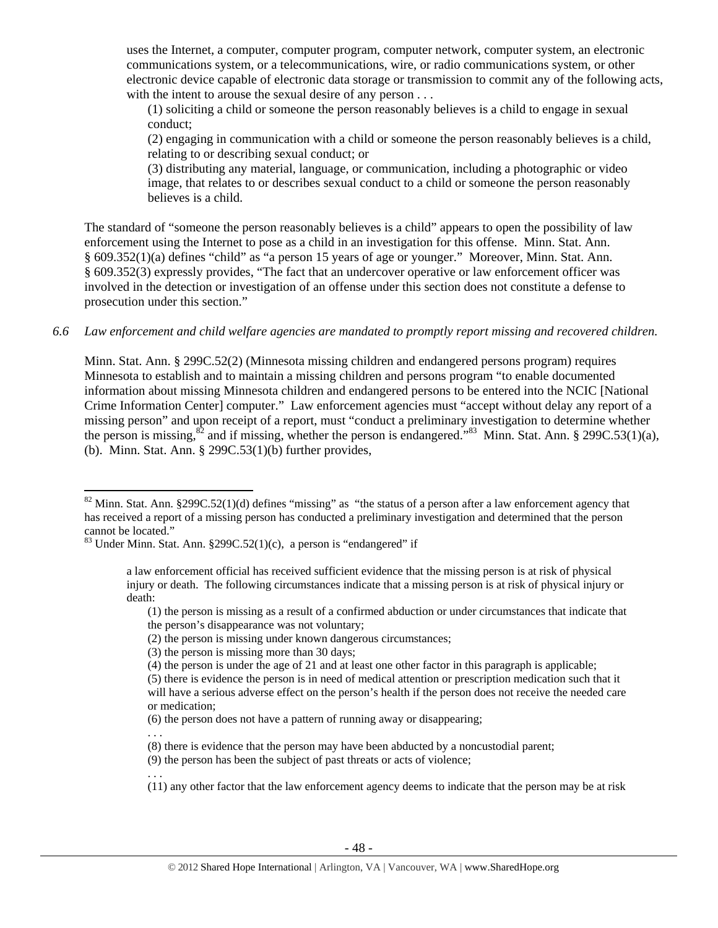uses the Internet, a computer, computer program, computer network, computer system, an electronic communications system, or a telecommunications, wire, or radio communications system, or other electronic device capable of electronic data storage or transmission to commit any of the following acts, with the intent to arouse the sexual desire of any person . . .

(1) soliciting a child or someone the person reasonably believes is a child to engage in sexual conduct;

(2) engaging in communication with a child or someone the person reasonably believes is a child, relating to or describing sexual conduct; or

(3) distributing any material, language, or communication, including a photographic or video image, that relates to or describes sexual conduct to a child or someone the person reasonably believes is a child.

The standard of "someone the person reasonably believes is a child" appears to open the possibility of law enforcement using the Internet to pose as a child in an investigation for this offense. Minn. Stat. Ann. § 609.352(1)(a) defines "child" as "a person 15 years of age or younger." Moreover, Minn. Stat. Ann. § 609.352(3) expressly provides, "The fact that an undercover operative or law enforcement officer was involved in the detection or investigation of an offense under this section does not constitute a defense to prosecution under this section."

#### *6.6 Law enforcement and child welfare agencies are mandated to promptly report missing and recovered children.*

Minn. Stat. Ann. § 299C.52(2) (Minnesota missing children and endangered persons program) requires Minnesota to establish and to maintain a missing children and persons program "to enable documented information about missing Minnesota children and endangered persons to be entered into the NCIC [National Crime Information Center] computer." Law enforcement agencies must "accept without delay any report of a missing person" and upon receipt of a report, must "conduct a preliminary investigation to determine whether the person is missing, $8^2$  and if missing, whether the person is endangered."<sup>83</sup> Minn. Stat. Ann. § 299C.53(1)(a), (b). Minn. Stat. Ann.  $\S 299C.53(1)(b)$  further provides,

. . .

 $82$  Minn. Stat. Ann. §299C.52(1)(d) defines "missing" as "the status of a person after a law enforcement agency that has received a report of a missing person has conducted a preliminary investigation and determined that the person cannot be located."

 $83$  Under Minn. Stat. Ann. §299C.52(1)(c), a person is "endangered" if

a law enforcement official has received sufficient evidence that the missing person is at risk of physical injury or death. The following circumstances indicate that a missing person is at risk of physical injury or death:

<sup>(1)</sup> the person is missing as a result of a confirmed abduction or under circumstances that indicate that the person's disappearance was not voluntary;

<sup>(2)</sup> the person is missing under known dangerous circumstances;

<sup>(3)</sup> the person is missing more than 30 days;

<sup>(4)</sup> the person is under the age of 21 and at least one other factor in this paragraph is applicable;

<sup>(5)</sup> there is evidence the person is in need of medical attention or prescription medication such that it will have a serious adverse effect on the person's health if the person does not receive the needed care or medication;

<sup>(6)</sup> the person does not have a pattern of running away or disappearing;

<sup>. . .</sup> 

<sup>(8)</sup> there is evidence that the person may have been abducted by a noncustodial parent;

<sup>(9)</sup> the person has been the subject of past threats or acts of violence;

<sup>(11)</sup> any other factor that the law enforcement agency deems to indicate that the person may be at risk